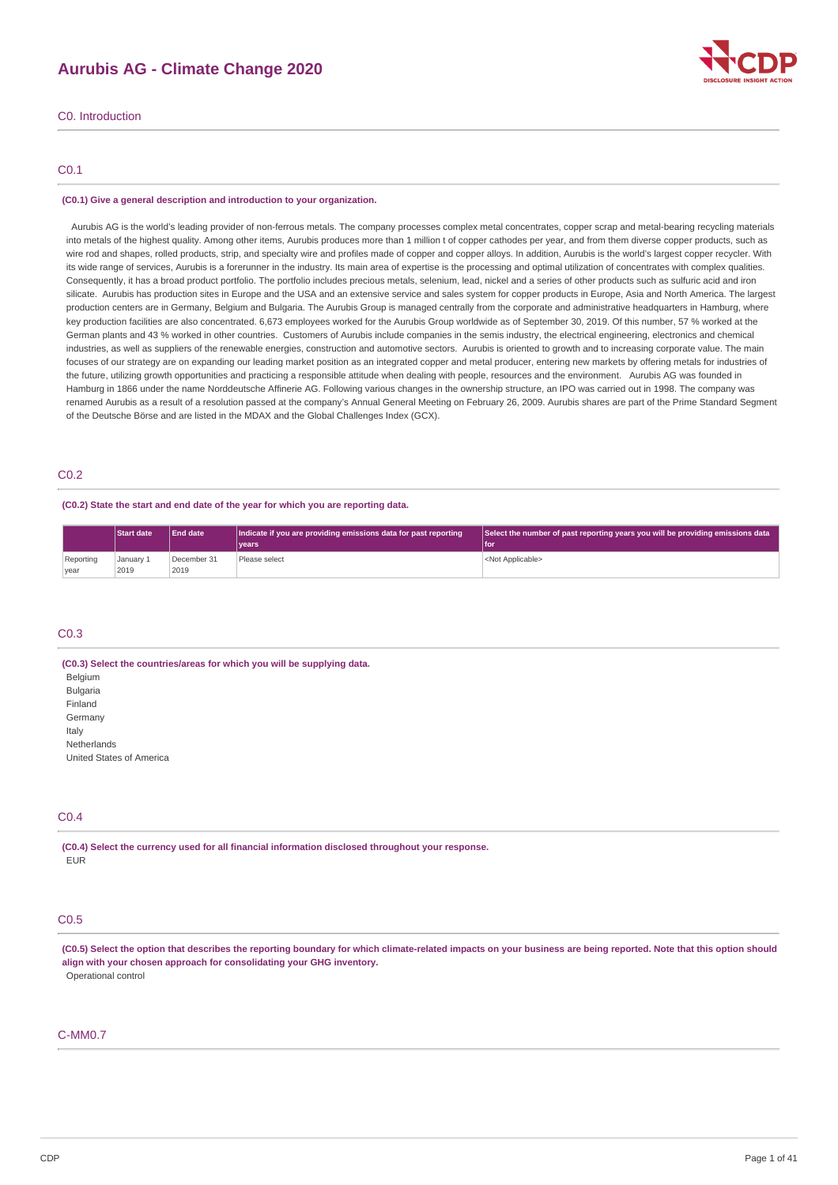# **Aurubis AG - Climate Change 2020**



# C0.1

#### **(C0.1) Give a general description and introduction to your organization.**

Aurubis AG is the world's leading provider of non-ferrous metals. The company processes complex metal concentrates, copper scrap and metal-bearing recycling materials into metals of the highest quality. Among other items, Aurubis produces more than 1 million t of copper cathodes per year, and from them diverse copper products, such as wire rod and shapes, rolled products, strip, and specialty wire and profiles made of copper and copper alloys. In addition, Aurubis is the world's largest copper recycler. With its wide range of services, Aurubis is a forerunner in the industry. Its main area of expertise is the processing and optimal utilization of concentrates with complex qualities. Consequently, it has a broad product portfolio. The portfolio includes precious metals, selenium, lead, nickel and a series of other products such as sulfuric acid and iron silicate. Aurubis has production sites in Europe and the USA and an extensive service and sales system for copper products in Europe, Asia and North America. The largest production centers are in Germany, Belgium and Bulgaria. The Aurubis Group is managed centrally from the corporate and administrative headquarters in Hamburg, where key production facilities are also concentrated. 6,673 employees worked for the Aurubis Group worldwide as of September 30, 2019. Of this number, 57 % worked at the German plants and 43 % worked in other countries. Customers of Aurubis include companies in the semis industry, the electrical engineering, electronics and chemical industries, as well as suppliers of the renewable energies, construction and automotive sectors. Aurubis is oriented to growth and to increasing corporate value. The main focuses of our strategy are on expanding our leading market position as an integrated copper and metal producer, entering new markets by offering metals for industries of the future, utilizing growth opportunities and practicing a responsible attitude when dealing with people, resources and the environment. Aurubis AG was founded in Hamburg in 1866 under the name Norddeutsche Affinerie AG. Following various changes in the ownership structure, an IPO was carried out in 1998. The company was renamed Aurubis as a result of a resolution passed at the company's Annual General Meeting on February 26, 2009. Aurubis shares are part of the Prime Standard Segment of the Deutsche Börse and are listed in the MDAX and the Global Challenges Index (GCX).

# C0.2

#### **(C0.2) State the start and end date of the year for which you are reporting data.**

|                   | <b>Start date</b> | End date            | Indicate if you are providing emissions data for past reporting | Select the number of past reporting years you will be providing emissions data |
|-------------------|-------------------|---------------------|-----------------------------------------------------------------|--------------------------------------------------------------------------------|
|                   |                   |                     | vears                                                           | l for                                                                          |
| Reporting<br>vear | January 1<br>2019 | December 31<br>2019 | Please select                                                   | <not applicable=""></not>                                                      |

## C0.3

**(C0.3) Select the countries/areas for which you will be supplying data. Belgium Bulgaria** Finland Germany Italy Netherlands United States of America

## C0.4

**(C0.4) Select the currency used for all financial information disclosed throughout your response.** EUR

# C<sub>0.5</sub>

(C0.5) Select the option that describes the reporting boundary for which climate-related impacts on your business are being reported. Note that this option should **align with your chosen approach for consolidating your GHG inventory.** Operational control

#### C-MM0.7

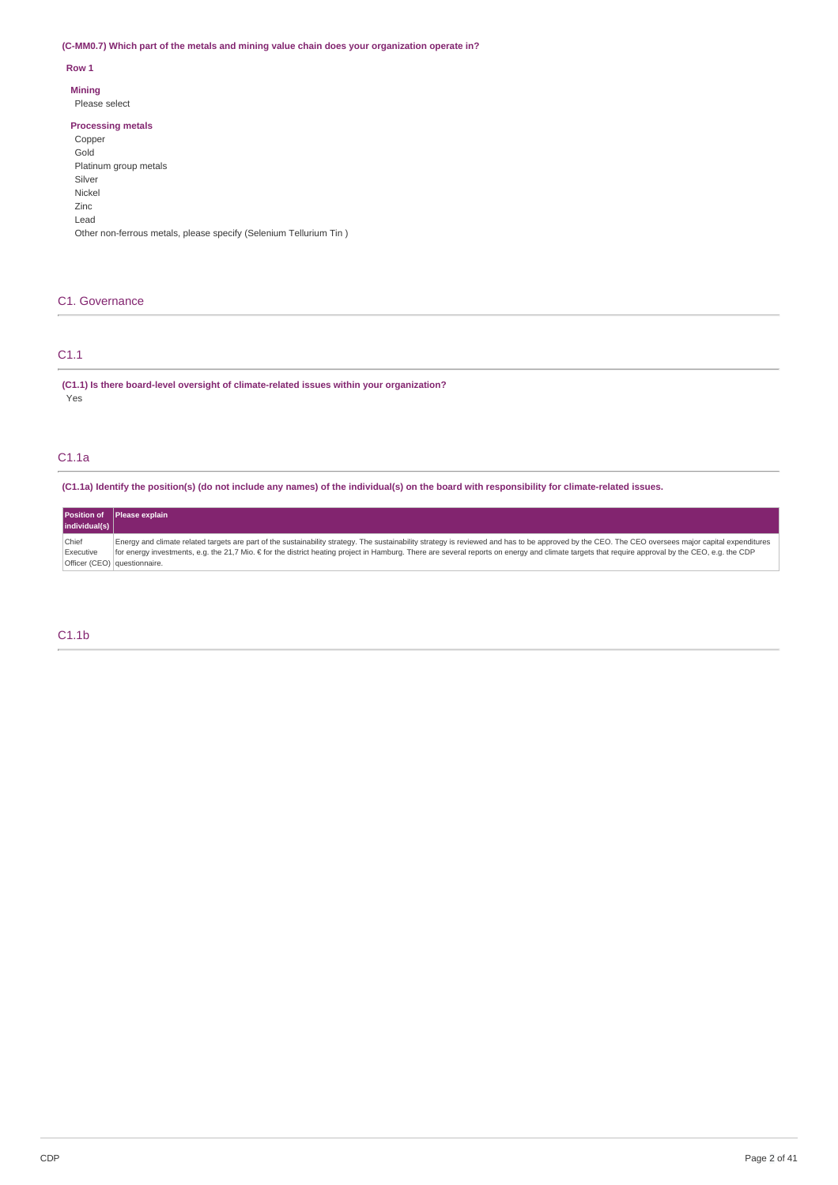# **(C-MM0.7) Which part of the metals and mining value chain does your organization operate in?**

## **Row 1**

**Mining**

Please select

## **Processing metals**

| Copper                                                            |
|-------------------------------------------------------------------|
| Gold                                                              |
| Platinum group metals                                             |
| Silver                                                            |
| Nickel                                                            |
| Zinc.                                                             |
| Lead                                                              |
| Other non-ferrous metals, please specify (Selenium Tellurium Tin) |
|                                                                   |

# C1. Governance

# C1.1

**(C1.1) Is there board-level oversight of climate-related issues within your organization?** Yes

# C1.1a

(C1.1a) Identify the position(s) (do not include any names) of the individual(s) on the board with responsibility for climate-related issues.

**Position of individual(s) Please explain Chief** Executive Officer (CEO) questionnaire. Energy and climate related targets are part of the sustainability strategy. The sustainability strategy is reviewed and has to be approved by the CEO. The CEO oversees major capital expenditures for energy investments, e.g. the 21,7 Mio. € for the district heating project in Hamburg. There are several reports on energy and climate targets that require approval by the CEO, e.g. the CDP

# C1.1b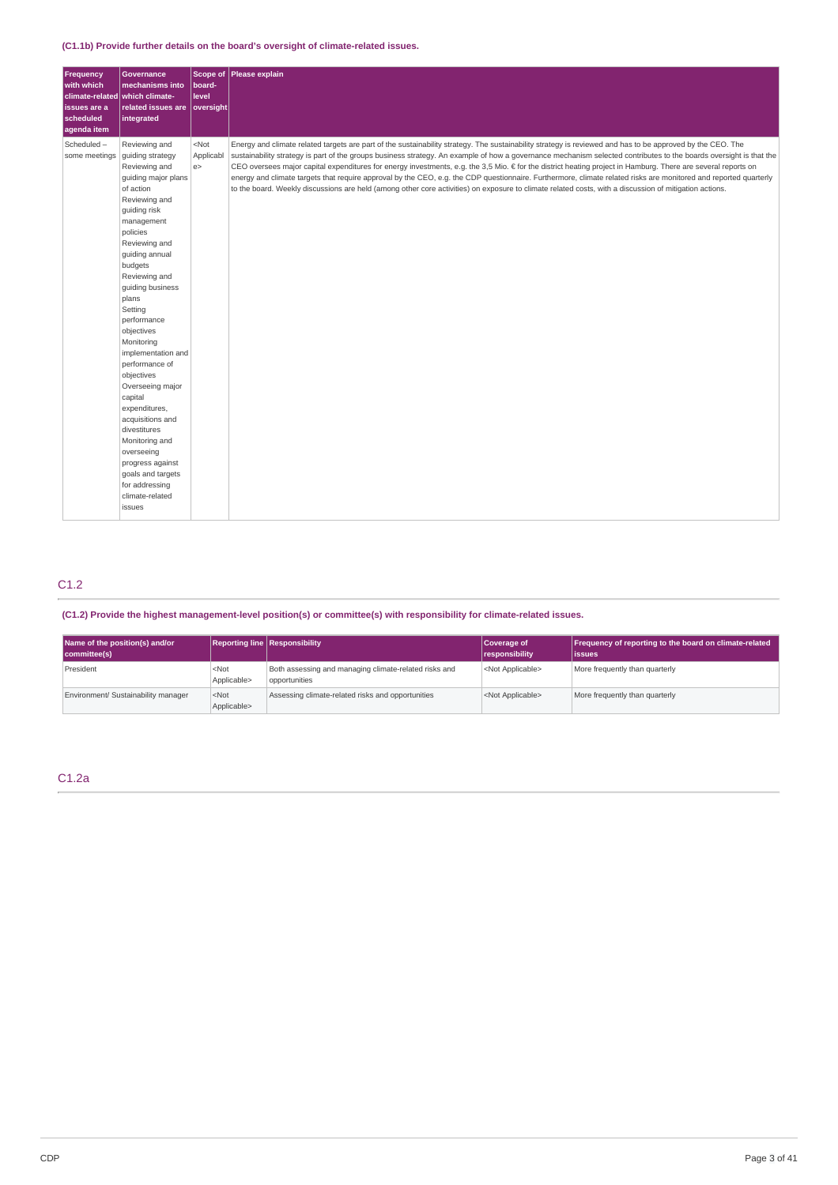# **(C1.1b) Provide further details on the board's oversight of climate-related issues.**

| Frequency<br>with which<br>climate-related which climate-<br>issues are a<br>scheduled<br>agenda item | <b>Governance</b><br>mechanisms into<br>related issues are<br>integrated                                                                                                                                                                                                                                                                                                                                                                                                                                                                                              | board-<br>level<br>oversight | Scope of Please explain                                                                                                                                                                                                                                                                                                                                                                                                                                                                                                                                                                                                                                                                                                                                                                                                         |
|-------------------------------------------------------------------------------------------------------|-----------------------------------------------------------------------------------------------------------------------------------------------------------------------------------------------------------------------------------------------------------------------------------------------------------------------------------------------------------------------------------------------------------------------------------------------------------------------------------------------------------------------------------------------------------------------|------------------------------|---------------------------------------------------------------------------------------------------------------------------------------------------------------------------------------------------------------------------------------------------------------------------------------------------------------------------------------------------------------------------------------------------------------------------------------------------------------------------------------------------------------------------------------------------------------------------------------------------------------------------------------------------------------------------------------------------------------------------------------------------------------------------------------------------------------------------------|
| Scheduled-<br>some meetings                                                                           | Reviewing and<br>guiding strategy<br>Reviewing and<br>quiding major plans<br>of action<br>Reviewing and<br>guiding risk<br>management<br>policies<br>Reviewing and<br>guiding annual<br>budgets<br>Reviewing and<br>guiding business<br>plans<br>Setting<br>performance<br>objectives<br>Monitoring<br>implementation and<br>performance of<br>objectives<br>Overseeing major<br>capital<br>expenditures,<br>acquisitions and<br>divestitures<br>Monitoring and<br>overseeing<br>progress against<br>goals and targets<br>for addressing<br>climate-related<br>issues | $<$ Not<br>Applicabl<br>e    | Energy and climate related targets are part of the sustainability strategy. The sustainability strategy is reviewed and has to be approved by the CEO. The<br>sustainability strategy is part of the groups business strategy. An example of how a governance mechanism selected contributes to the boards oversight is that the<br>CEO oversees major capital expenditures for energy investments, e.g. the 3,5 Mio. € for the district heating project in Hamburg. There are several reports on<br>energy and climate targets that require approval by the CEO, e.g. the CDP questionnaire. Furthermore, climate related risks are monitored and reported quarterly<br>to the board. Weekly discussions are held (among other core activities) on exposure to climate related costs, with a discussion of mitigation actions. |

# C1.2

**(C1.2) Provide the highest management-level position(s) or committee(s) with responsibility for climate-related issues.**

| Name of the position(s) and/or<br>committee(s) |                                 | <b>Reporting line Responsibility</b>                                   | Coverage of<br>responsibility | Frequency of reporting to the board on climate-related<br>lissues |
|------------------------------------------------|---------------------------------|------------------------------------------------------------------------|-------------------------------|-------------------------------------------------------------------|
| President                                      | <not<br>Applicable&gt;</not<br> | Both assessing and managing climate-related risks and<br>opportunities | <not applicable=""></not>     | More frequently than quarterly                                    |
| Environment/ Sustainability manager            | $<$ Not<br>Applicable>          | Assessing climate-related risks and opportunities                      | <not applicable=""></not>     | More frequently than quarterly                                    |

# C1.2a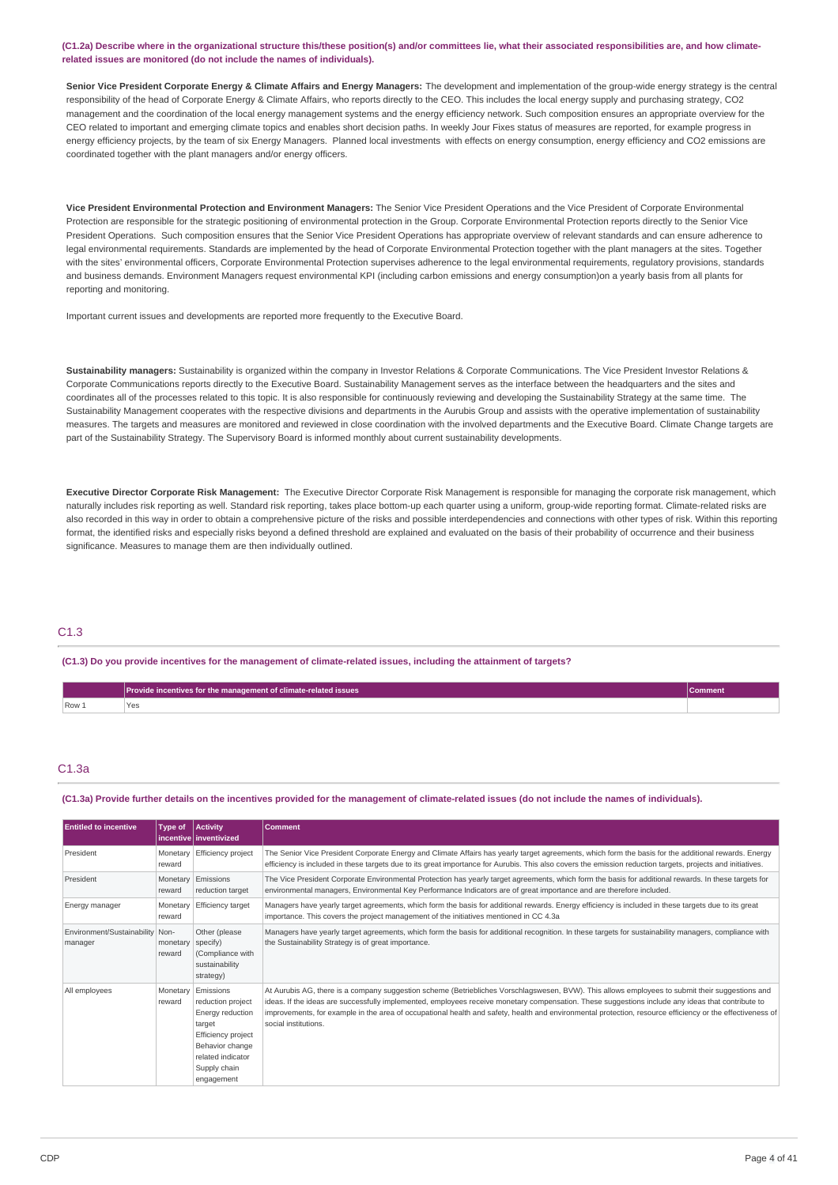(C1.2a) Describe where in the organizational structure this/these position(s) and/or committees lie, what their associated responsibilities are, and how climate**related issues are monitored (do not include the names of individuals).**

Senior Vice President Corporate Energy & Climate Affairs and Energy Managers: The development and implementation of the group-wide energy strategy is the central responsibility of the head of Corporate Energy & Climate Affairs, who reports directly to the CEO. This includes the local energy supply and purchasing strategy, CO2 management and the coordination of the local energy management systems and the energy efficiency network. Such composition ensures an appropriate overview for the CEO related to important and emerging climate topics and enables short decision paths. In weekly Jour Fixes status of measures are reported, for example progress in energy efficiency projects, by the team of six Energy Managers. Planned local investments with effects on energy consumption, energy efficiency and CO2 emissions are coordinated together with the plant managers and/or energy officers.

**Vice President Environmental Protection and Environment Managers:** The Senior Vice President Operations and the Vice President of Corporate Environmental Protection are responsible for the strategic positioning of environmental protection in the Group. Corporate Environmental Protection reports directly to the Senior Vice President Operations. Such composition ensures that the Senior Vice President Operations has appropriate overview of relevant standards and can ensure adherence to legal environmental requirements. Standards are implemented by the head of Corporate Environmental Protection together with the plant managers at the sites. Together with the sites' environmental officers, Corporate Environmental Protection supervises adherence to the legal environmental requirements, regulatory provisions, standards and business demands. Environment Managers request environmental KPI (including carbon emissions and energy consumption)on a yearly basis from all plants for reporting and monitoring.

Important current issues and developments are reported more frequently to the Executive Board.

**Sustainability managers:** Sustainability is organized within the company in Investor Relations & Corporate Communications. The Vice President Investor Relations & Corporate Communications reports directly to the Executive Board. Sustainability Management serves as the interface between the headquarters and the sites and coordinates all of the processes related to this topic. It is also responsible for continuously reviewing and developing the Sustainability Strategy at the same time. The Sustainability Management cooperates with the respective divisions and departments in the Aurubis Group and assists with the operative implementation of sustainability measures. The targets and measures are monitored and reviewed in close coordination with the involved departments and the Executive Board. Climate Change targets are part of the Sustainability Strategy. The Supervisory Board is informed monthly about current sustainability developments.

**Executive Director Corporate Risk Management:** The Executive Director Corporate Risk Management is responsible for managing the corporate risk management, which naturally includes risk reporting as well. Standard risk reporting, takes place bottom-up each quarter using a uniform, group-wide reporting format. Climate-related risks are also recorded in this way in order to obtain a comprehensive picture of the risks and possible interdependencies and connections with other types of risk. Within this reporting format, the identified risks and especially risks beyond a defined threshold are explained and evaluated on the basis of their probability of occurrence and their business significance. Measures to manage them are then individually outlined.

# C1.3

(C1.3) Do you provide incentives for the management of climate-related issues, including the attainment of targets?

|       | Provide incentives for the management of climate-related issues | <b>Comment</b> |
|-------|-----------------------------------------------------------------|----------------|
| Row 1 | Yes<br>__                                                       |                |

## C1.3a

(C1.3a) Provide further details on the incentives provided for the management of climate-related issues (do not include the names of individuals).

| <b>Entitled to incentive</b>               | Type of                     | Activity<br>l incentive l inventivized                                                                                                                                   | <b>Comment</b>                                                                                                                                                                                                                                                                                                                                                                                                                                                                            |
|--------------------------------------------|-----------------------------|--------------------------------------------------------------------------------------------------------------------------------------------------------------------------|-------------------------------------------------------------------------------------------------------------------------------------------------------------------------------------------------------------------------------------------------------------------------------------------------------------------------------------------------------------------------------------------------------------------------------------------------------------------------------------------|
| President                                  | Monetary<br>reward          | Efficiency project                                                                                                                                                       | The Senior Vice President Corporate Energy and Climate Affairs has yearly target agreements, which form the basis for the additional rewards. Energy<br>efficiency is included in these targets due to its great importance for Aurubis. This also covers the emission reduction targets, projects and initiatives.                                                                                                                                                                       |
| President                                  | reward                      | Monetary Emissions<br>reduction target                                                                                                                                   | The Vice President Corporate Environmental Protection has yearly target agreements, which form the basis for additional rewards. In these targets for<br>environmental managers, Environmental Key Performance Indicators are of great importance and are therefore included.                                                                                                                                                                                                             |
| Energy manager                             | reward                      | Monetary Efficiency target                                                                                                                                               | Managers have yearly target agreements, which form the basis for additional rewards. Energy efficiency is included in these targets due to its great<br>importance. This covers the project management of the initiatives mentioned in CC 4.3a                                                                                                                                                                                                                                            |
| Environment/Sustainability Non-<br>manager | monetary specify)<br>reward | Other (please<br>(Compliance with<br>sustainability<br>strategy)                                                                                                         | Managers have yearly target agreements, which form the basis for additional recognition. In these targets for sustainability managers, compliance with<br>the Sustainability Strategy is of great importance.                                                                                                                                                                                                                                                                             |
| All employees                              | reward                      | Monetary Emissions<br>reduction project<br>Energy reduction<br>target<br><b>Efficiency project</b><br>Behavior change<br>related indicator<br>Supply chain<br>engagement | At Aurubis AG, there is a company suggestion scheme (Betriebliches Vorschlagswesen, BVW). This allows employees to submit their suggestions and<br>ideas. If the ideas are successfully implemented, employees receive monetary compensation. These suggestions include any ideas that contribute to<br>improvements, for example in the area of occupational health and safety, health and environmental protection, resource efficiency or the effectiveness of<br>social institutions. |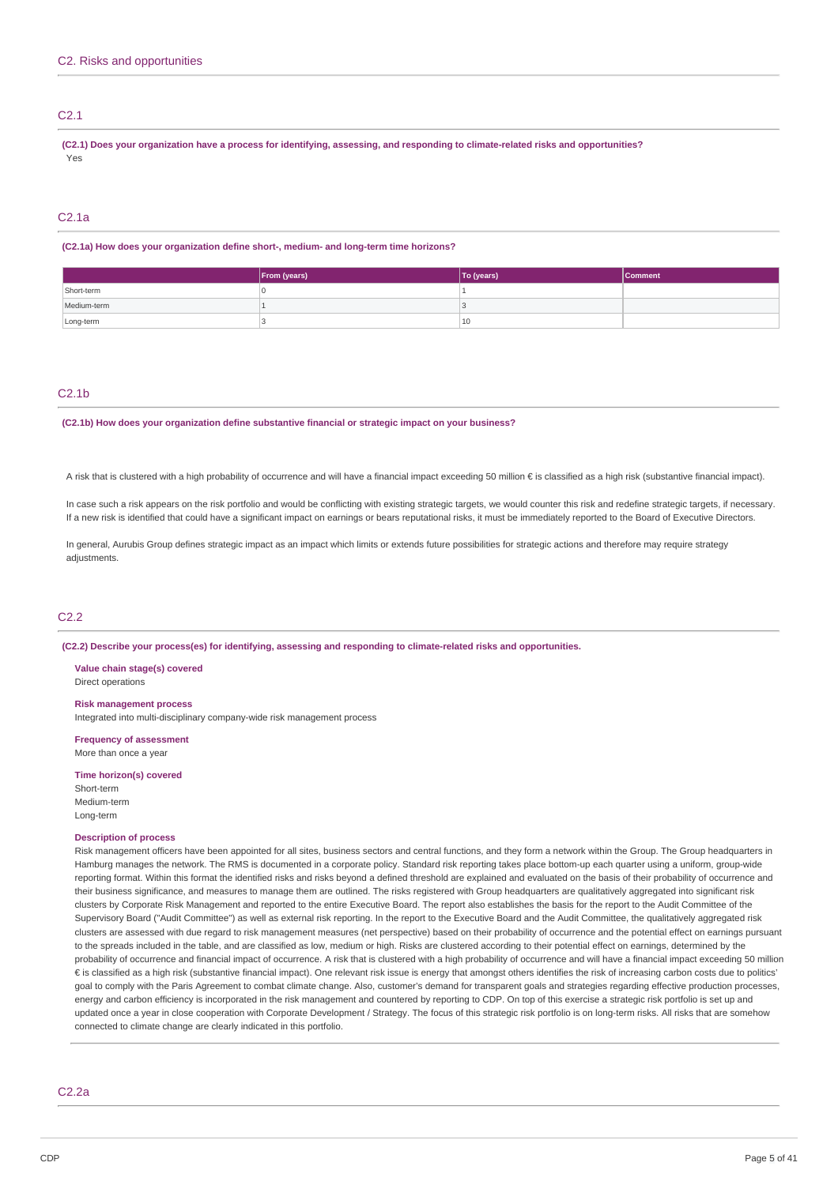# C2.1

(C2.1) Does your organization have a process for identifying, assessing, and responding to climate-related risks and opportunities? Yes

## C2.1a

#### **(C2.1a) How does your organization define short-, medium- and long-term time horizons?**

|             | From (years) | To (years) | Comment |
|-------------|--------------|------------|---------|
| Short-term  |              |            |         |
| Medium-term |              |            |         |
| Long-term   |              | 10         |         |

# C2.1b

#### **(C2.1b) How does your organization define substantive financial or strategic impact on your business?**

A risk that is clustered with a high probability of occurrence and will have a financial impact exceeding 50 million € is classified as a high risk (substantive financial impact).

In case such a risk appears on the risk portfolio and would be conflicting with existing strategic targets, we would counter this risk and redefine strategic targets, if necessary. If a new risk is identified that could have a significant impact on earnings or bears reputational risks, it must be immediately reported to the Board of Executive Directors.

In general, Aurubis Group defines strategic impact as an impact which limits or extends future possibilities for strategic actions and therefore may require strategy adjustments

# C2.2

**(C2.2) Describe your process(es) for identifying, assessing and responding to climate-related risks and opportunities.**

#### **Value chain stage(s) covered** Direct operations

#### **Risk management process**

Integrated into multi-disciplinary company-wide risk management process

**Frequency of assessment** More than once a year

## **Time horizon(s) covered**

Short-term Medium-term Long-term

# **Description of process**

Risk management officers have been appointed for all sites, business sectors and central functions, and they form a network within the Group. The Group headquarters in Hamburg manages the network. The RMS is documented in a corporate policy. Standard risk reporting takes place bottom-up each quarter using a uniform, group-wide reporting format. Within this format the identified risks and risks beyond a defined threshold are explained and evaluated on the basis of their probability of occurrence and their business significance, and measures to manage them are outlined. The risks registered with Group headquarters are qualitatively aggregated into significant risk clusters by Corporate Risk Management and reported to the entire Executive Board. The report also establishes the basis for the report to the Audit Committee of the Supervisory Board ("Audit Committee") as well as external risk reporting. In the report to the Executive Board and the Audit Committee, the qualitatively aggregated risk clusters are assessed with due regard to risk management measures (net perspective) based on their probability of occurrence and the potential effect on earnings pursuant to the spreads included in the table, and are classified as low, medium or high. Risks are clustered according to their potential effect on earnings, determined by the probability of occurrence and financial impact of occurrence. A risk that is clustered with a high probability of occurrence and will have a financial impact exceeding 50 million € is classified as a high risk (substantive financial impact). One relevant risk issue is energy that amongst others identifies the risk of increasing carbon costs due to politics' goal to comply with the Paris Agreement to combat climate change. Also, customer's demand for transparent goals and strategies regarding effective production processes, energy and carbon efficiency is incorporated in the risk management and countered by reporting to CDP. On top of this exercise a strategic risk portfolio is set up and updated once a year in close cooperation with Corporate Development / Strategy. The focus of this strategic risk portfolio is on long-term risks. All risks that are somehow connected to climate change are clearly indicated in this portfolio.

C2.2a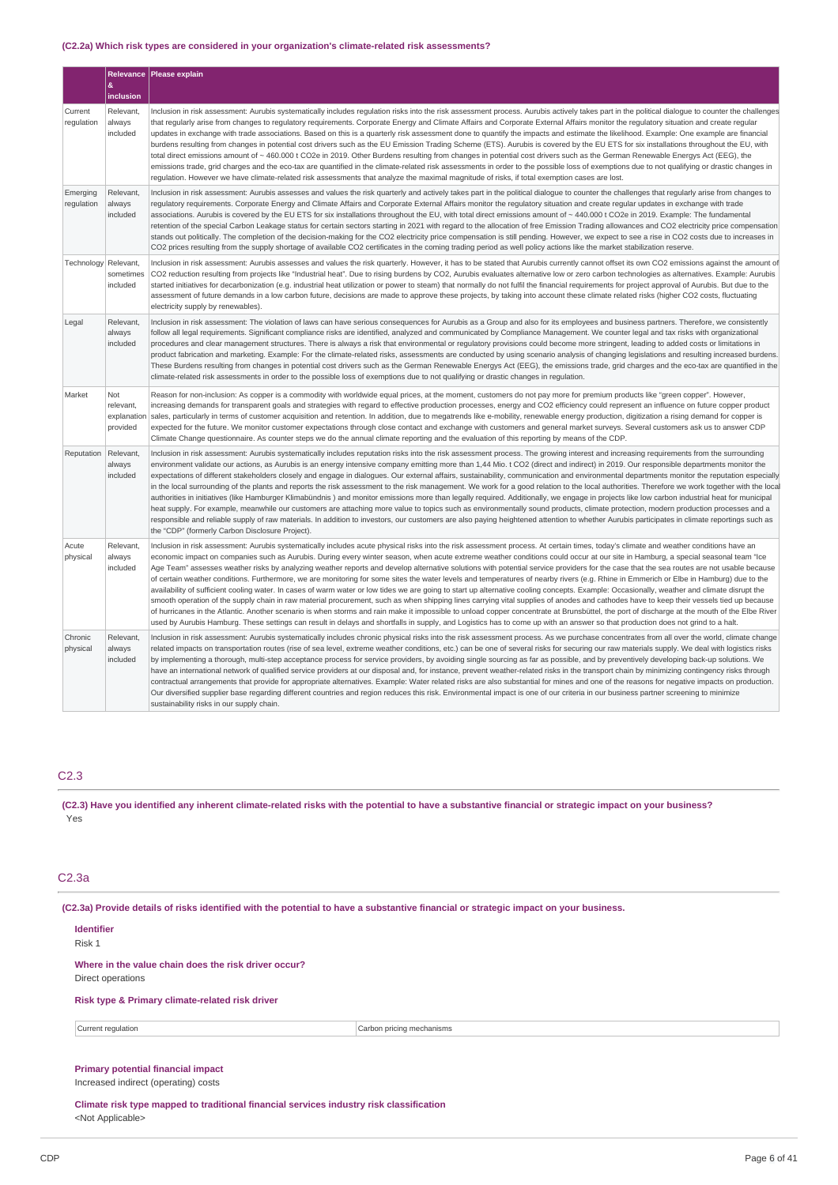# **(C2.2a) Which risk types are considered in your organization's climate-related risk assessments?**

|                        | $\pmb{\&}$                                  | Relevance Please explain                                                                                                                                                                                                                                                                                                                                                                                                                                                                                                                                                                                                                                                                                                                                                                                                                                                                                                                                                                                                                                                                                                                                                                                                                                                                                                                                                                                                                                                                                                                     |
|------------------------|---------------------------------------------|----------------------------------------------------------------------------------------------------------------------------------------------------------------------------------------------------------------------------------------------------------------------------------------------------------------------------------------------------------------------------------------------------------------------------------------------------------------------------------------------------------------------------------------------------------------------------------------------------------------------------------------------------------------------------------------------------------------------------------------------------------------------------------------------------------------------------------------------------------------------------------------------------------------------------------------------------------------------------------------------------------------------------------------------------------------------------------------------------------------------------------------------------------------------------------------------------------------------------------------------------------------------------------------------------------------------------------------------------------------------------------------------------------------------------------------------------------------------------------------------------------------------------------------------|
|                        | inclusion                                   |                                                                                                                                                                                                                                                                                                                                                                                                                                                                                                                                                                                                                                                                                                                                                                                                                                                                                                                                                                                                                                                                                                                                                                                                                                                                                                                                                                                                                                                                                                                                              |
| Current<br>requlation  | Relevant,<br>always<br>included             | Inclusion in risk assessment: Aurubis systematically includes regulation risks into the risk assessment process. Aurubis actively takes part in the political dialogue to counter the challenges<br>that regularly arise from changes to regulatory reguirements. Corporate Energy and Climate Affairs and Corporate External Affairs monitor the regulatory situation and create regular<br>updates in exchange with trade associations. Based on this is a quarterly risk assessment done to quantify the impacts and estimate the likelihood. Example: One example are financial<br>burdens resulting from changes in potential cost drivers such as the EU Emission Trading Scheme (ETS). Aurubis is covered by the EU ETS for six installations throughout the EU, with<br>total direct emissions amount of ~ 460.000 t CO2e in 2019. Other Burdens resulting from changes in potential cost drivers such as the German Renewable Energys Act (EEG), the<br>emissions trade, grid charges and the eco-tax are quantified in the climate-related risk assessments in order to the possible loss of exemptions due to not qualifying or drastic changes in<br>regulation. However we have climate-related risk assessments that analyze the maximal magnitude of risks, if total exemption cases are lost.                                                                                                                                                                                                                                |
| Emerging<br>regulation | Relevant,<br>always<br>included             | Inclusion in risk assessment: Aurubis assesses and values the risk quarterly and actively takes part in the political dialoque to counter the challenges that reqularly arise from changes to<br>regulatory requirements. Corporate Energy and Climate Affairs and Corporate External Affairs monitor the regulatory situation and create regular updates in exchange with trade<br>associations. Aurubis is covered by the EU ETS for six installations throughout the EU, with total direct emissions amount of ~ 440.000 t CO2e in 2019. Example: The fundamental<br>retention of the special Carbon Leakage status for certain sectors starting in 2021 with regard to the allocation of free Emission Trading allowances and CO2 electricity price compensation<br>stands out politically. The completion of the decision-making for the CO2 electricity price compensation is still pending. However, we expect to see a rise in CO2 costs due to increases in<br>CO2 prices resulting from the supply shortage of available CO2 certificates in the coming trading period as well policy actions like the market stabilization reserve.                                                                                                                                                                                                                                                                                                                                                                                               |
| Technology             | Relevant,<br>sometimes<br>included          | Inclusion in risk assessment: Aurubis assesses and values the risk quarterly. However, it has to be stated that Aurubis currently cannot offset its own CO2 emissions against the amount of<br>CO2 reduction resulting from projects like "Industrial heat". Due to rising burdens by CO2, Aurubis evaluates alternative low or zero carbon technologies as alternatives. Example: Aurubis<br>started initiatives for decarbonization (e.g. industrial heat utilization or power to steam) that normally do not fulfil the financial requirements for project approval of Aurubis. But due to the<br>assessment of future demands in a low carbon future, decisions are made to approve these projects, by taking into account these climate related risks (higher CO2 costs, fluctuating<br>electricity supply by renewables).                                                                                                                                                                                                                                                                                                                                                                                                                                                                                                                                                                                                                                                                                                              |
| Legal                  | Relevant,<br>always<br>included             | Inclusion in risk assessment: The violation of laws can have serious consequences for Aurubis as a Group and also for its employees and business partners. Therefore, we consistently<br>follow all legal requirements. Significant compliance risks are identified, analyzed and communicated by Compliance Management. We counter legal and tax risks with organizational<br>procedures and clear management structures. There is always a risk that environmental or regulatory provisions could become more stringent, leading to added costs or limitations in<br>product fabrication and marketing. Example: For the climate-related risks, assessments are conducted by using scenario analysis of changing legislations and resulting increased burdens.<br>These Burdens resulting from changes in potential cost drivers such as the German Renewable Energys Act (EEG), the emissions trade, grid charges and the eco-tax are quantified in the<br>climate-related risk assessments in order to the possible loss of exemptions due to not qualifying or drastic changes in regulation.                                                                                                                                                                                                                                                                                                                                                                                                                                           |
| Market                 | Not<br>relevant,<br>explanation<br>provided | Reason for non-inclusion: As copper is a commodity with worldwide equal prices, at the moment, customers do not pay more for premium products like "green copper". However,<br>increasing demands for transparent goals and strategies with regard to effective production processes, energy and CO2 efficiency could represent an influence on future copper product<br>sales, particularly in terms of customer acquisition and retention. In addition, due to megatrends like e-mobility, renewable energy production, digitization a rising demand for copper is<br>expected for the future. We monitor customer expectations through close contact and exchange with customers and general market surveys. Several customers ask us to answer CDP<br>Climate Change questionnaire. As counter steps we do the annual climate reporting and the evaluation of this reporting by means of the CDP.                                                                                                                                                                                                                                                                                                                                                                                                                                                                                                                                                                                                                                        |
| Reputation             | Relevant,<br>always<br>included             | Inclusion in risk assessment: Aurubis systematically includes reputation risks into the risk assessment process. The growing interest and increasing requirements from the surrounding<br>environment validate our actions, as Aurubis is an energy intensive company emitting more than 1,44 Mio. t CO2 (direct and indirect) in 2019. Our responsible departments monitor the<br>expectations of different stakeholders closely and engage in dialogues. Our external affairs, sustainability, communication and environmental departments monitor the reputation especially<br>in the local surrounding of the plants and reports the risk assessment to the risk management. We work for a good relation to the local authorities. Therefore we work together with the local<br>authorities in initiatives (like Hamburger Klimabündnis) and monitor emissions more than legally required. Additionally, we engage in projects like low carbon industrial heat for municipal<br>heat supply. For example, meanwhile our customers are attaching more value to topics such as environmentally sound products, climate protection, modern production processes and a<br>responsible and reliable supply of raw materials. In addition to investors, our customers are also paying heightened attention to whether Aurubis participates in climate reportings such as<br>the "CDP" (formerly Carbon Disclosure Project).                                                                                                                    |
| Acute<br>physical      | Relevant,<br>always<br>included             | Inclusion in risk assessment: Aurubis systematically includes acute physical risks into the risk assessment process. At certain times, today's climate and weather conditions have an<br>economic impact on companies such as Aurubis. During every winter season, when acute extreme weather conditions could occur at our site in Hamburg, a special seasonal team "Ice<br>Age Team" assesses weather risks by analyzing weather reports and develop alternative solutions with potential service providers for the case that the sea routes are not usable because<br>of certain weather conditions. Furthermore, we are monitoring for some sites the water levels and temperatures of nearby rivers (e.g. Rhine in Emmerich or Elbe in Hamburg) due to the<br>availability of sufficient cooling water. In cases of warm water or low tides we are going to start up alternative cooling concepts. Example: Occasionally, weather and climate disrupt the<br>smooth operation of the supply chain in raw material procurement, such as when shipping lines carrying vital supplies of anodes and cathodes have to keep their vessels tied up because<br>of hurricanes in the Atlantic. Another scenario is when storms and rain make it impossible to unload copper concentrate at Brunsbüttel, the port of discharge at the mouth of the Elbe River<br>used by Aurubis Hamburg. These settings can result in delays and shortfalls in supply, and Logistics has to come up with an answer so that production does not grind to a halt. |
| Chronic<br>physical    | Relevant,<br>always<br>included             | Inclusion in risk assessment: Aurubis systematically includes chronic physical risks into the risk assessment process. As we purchase concentrates from all over the world, climate change<br>related impacts on transportation routes (rise of sea level, extreme weather conditions, etc.) can be one of several risks for securing our raw materials supply. We deal with logistics risks<br>by implementing a thorough, multi-step acceptance process for service providers, by avoiding single sourcing as far as possible, and by preventively developing back-up solutions. We<br>have an international network of qualified service providers at our disposal and, for instance, prevent weather-related risks in the transport chain by minimizing contingency risks through<br>contractual arrangements that provide for appropriate alternatives. Example: Water related risks are also substantial for mines and one of the reasons for negative impacts on production.<br>Our diversified supplier base regarding different countries and region reduces this risk. Environmental impact is one of our criteria in our business partner screening to minimize<br>sustainability risks in our supply chain.                                                                                                                                                                                                                                                                                                                      |

# C2.3

(C2.3) Have you identified any inherent climate-related risks with the potential to have a substantive financial or strategic impact on your business? Yes

# C2.3a

(C2.3a) Provide details of risks identified with the potential to have a substantive financial or strategic impact on your business.

# **Identifier**

Risk 1

# **Where in the value chain does the risk driver occur?** Direct operations

# **Risk type & Primary climate-related risk driver**

Current regulation **Carbon pricing mechanisms** carbon pricing mechanisms

# **Primary potential financial impact**

Increased indirect (operating) costs

**Climate risk type mapped to traditional financial services industry risk classification** <Not Applicable>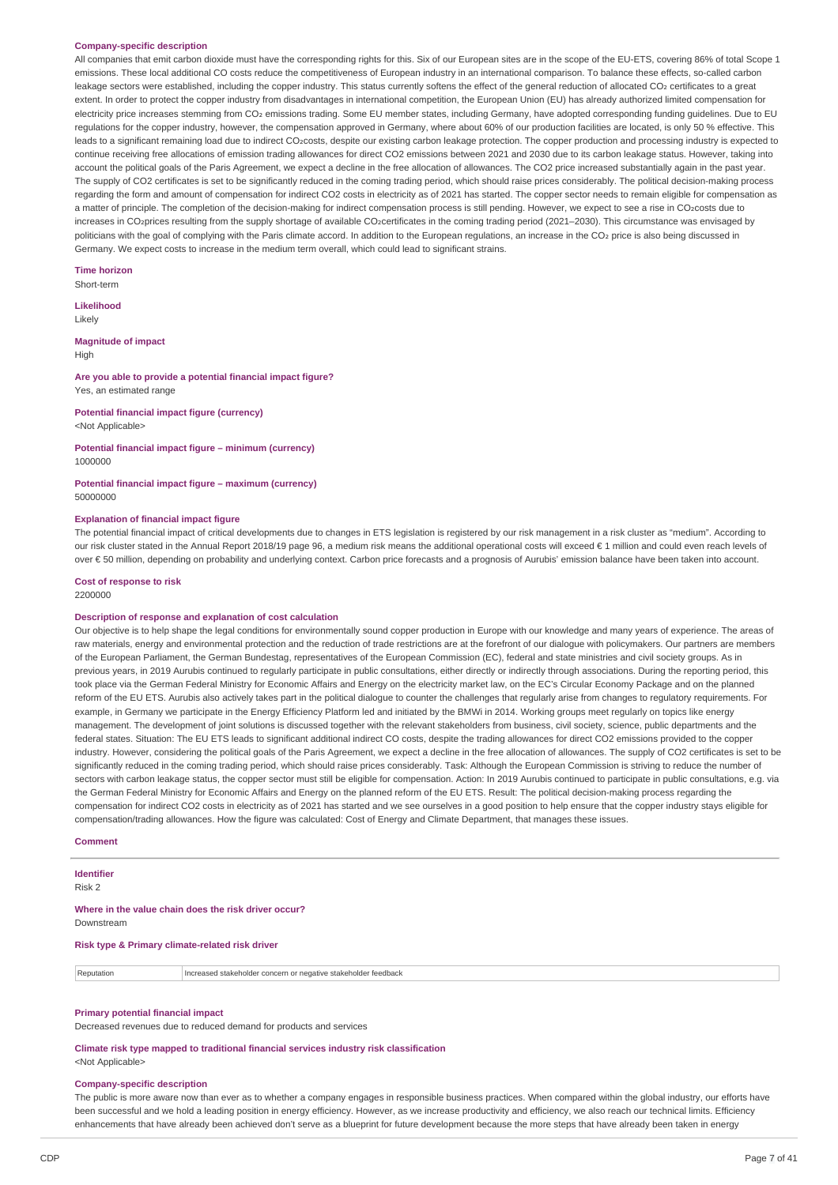#### **Company-specific description**

All companies that emit carbon dioxide must have the corresponding rights for this. Six of our European sites are in the scope of the EU-ETS, covering 86% of total Scope 1 emissions. These local additional CO costs reduce the competitiveness of European industry in an international comparison. To balance these effects, so-called carbon leakage sectors were established, including the copper industry. This status currently softens the effect of the general reduction of allocated CO2 certificates to a great extent. In order to protect the copper industry from disadvantages in international competition, the European Union (EU) has already authorized limited compensation for electricity price increases stemming from CO2 emissions trading. Some EU member states, including Germany, have adopted corresponding funding guidelines. Due to EU regulations for the copper industry, however, the compensation approved in Germany, where about 60% of our production facilities are located, is only 50 % effective. This leads to a significant remaining load due to indirect CO2costs, despite our existing carbon leakage protection. The copper production and processing industry is expected to continue receiving free allocations of emission trading allowances for direct CO2 emissions between 2021 and 2030 due to its carbon leakage status. However, taking into account the political goals of the Paris Agreement, we expect a decline in the free allocation of allowances. The CO2 price increased substantially again in the past year. The supply of CO2 certificates is set to be significantly reduced in the coming trading period, which should raise prices considerably. The political decision-making process regarding the form and amount of compensation for indirect CO2 costs in electricity as of 2021 has started. The copper sector needs to remain eligible for compensation as a matter of principle. The completion of the decision-making for indirect compensation process is still pending. However, we expect to see a rise in CO2costs due to increases in CO2prices resulting from the supply shortage of available CO2certificates in the coming trading period (2021–2030). This circumstance was envisaged by politicians with the goal of complying with the Paris climate accord. In addition to the European regulations, an increase in the CO2 price is also being discussed in Germany. We expect costs to increase in the medium term overall, which could lead to significant strains.

**Time horizon** Short-term

**Likelihood** Likely

**Magnitude of impact**

High

#### **Are you able to provide a potential financial impact figure?** Yes, an estimated range

#### **Potential financial impact figure (currency)** <Not Applicable>

**Potential financial impact figure – minimum (currency)** 1000000

# **Potential financial impact figure – maximum (currency)** 50000000

#### **Explanation of financial impact figure**

The potential financial impact of critical developments due to changes in ETS legislation is registered by our risk management in a risk cluster as "medium". According to our risk cluster stated in the Annual Report 2018/19 page 96, a medium risk means the additional operational costs will exceed € 1 million and could even reach levels of over € 50 million, depending on probability and underlying context. Carbon price forecasts and a prognosis of Aurubis' emission balance have been taken into account.

# **Cost of response to risk**

2200000

## **Description of response and explanation of cost calculation**

Our objective is to help shape the legal conditions for environmentally sound copper production in Europe with our knowledge and many years of experience. The areas of raw materials, energy and environmental protection and the reduction of trade restrictions are at the forefront of our dialogue with policymakers. Our partners are members of the European Parliament, the German Bundestag, representatives of the European Commission (EC), federal and state ministries and civil society groups. As in previous years, in 2019 Aurubis continued to regularly participate in public consultations, either directly or indirectly through associations. During the reporting period, this took place via the German Federal Ministry for Economic Affairs and Energy on the electricity market law, on the EC's Circular Economy Package and on the planned reform of the EU ETS. Aurubis also actively takes part in the political dialogue to counter the challenges that regularly arise from changes to regulatory requirements. For example, in Germany we participate in the Energy Efficiency Platform led and initiated by the BMWi in 2014. Working groups meet regularly on topics like energy management. The development of joint solutions is discussed together with the relevant stakeholders from business, civil society, science, public departments and the federal states. Situation: The EU ETS leads to significant additional indirect CO costs, despite the trading allowances for direct CO2 emissions provided to the copper industry. However, considering the political goals of the Paris Agreement, we expect a decline in the free allocation of allowances. The supply of CO2 certificates is set to be significantly reduced in the coming trading period, which should raise prices considerably. Task: Although the European Commission is striving to reduce the number of sectors with carbon leakage status, the copper sector must still be eligible for compensation. Action: In 2019 Aurubis continued to participate in public consultations, e.g. via the German Federal Ministry for Economic Affairs and Energy on the planned reform of the EU ETS. Result: The political decision-making process regarding the compensation for indirect CO2 costs in electricity as of 2021 has started and we see ourselves in a good position to help ensure that the copper industry stays eligible for compensation/trading allowances. How the figure was calculated: Cost of Energy and Climate Department, that manages these issues.

## **Comment**

# **Identifier**

Risk 2

**Where in the value chain does the risk driver occur?** Downstream

## **Risk type & Primary climate-related risk driver**

| Increased stakeholder concern<br>Reputation<br>stakeholder<br>r toodhaal<br>or negative stakel<br><b>ICCUDALN</b> |  |
|-------------------------------------------------------------------------------------------------------------------|--|
|-------------------------------------------------------------------------------------------------------------------|--|

## **Primary potential financial impact**

Decreased revenues due to reduced demand for products and services

**Climate risk type mapped to traditional financial services industry risk classification** <Not Applicable>

#### **Company-specific description**

The public is more aware now than ever as to whether a company engages in responsible business practices. When compared within the global industry, our efforts have been successful and we hold a leading position in energy efficiency. However, as we increase productivity and efficiency, we also reach our technical limits. Efficiency enhancements that have already been achieved don't serve as a blueprint for future development because the more steps that have already been taken in energy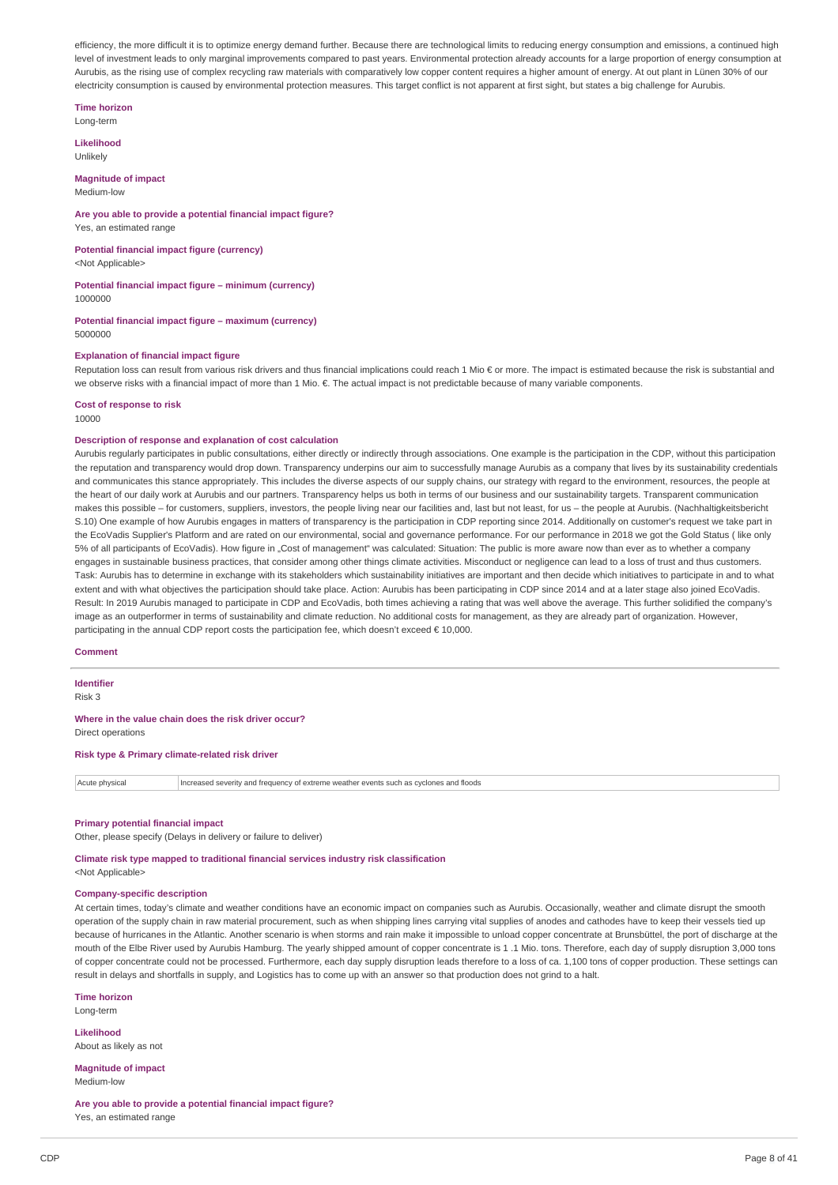efficiency, the more difficult it is to optimize energy demand further. Because there are technological limits to reducing energy consumption and emissions, a continued high level of investment leads to only marginal improvements compared to past years. Environmental protection already accounts for a large proportion of energy consumption at Aurubis, as the rising use of complex recycling raw materials with comparatively low copper content requires a higher amount of energy. At out plant in Lünen 30% of our electricity consumption is caused by environmental protection measures. This target conflict is not apparent at first sight, but states a big challenge for Aurubis.

# **Time horizon**

Long-term

#### **Likelihood** Unlikely

#### **Magnitude of impact** Medium-low

# **Are you able to provide a potential financial impact figure?**

Yes, an estimated range

#### **Potential financial impact figure (currency)** <Not Applicable>

#### **Potential financial impact figure – minimum (currency)** 1000000

#### **Potential financial impact figure – maximum (currency)** 5000000

## **Explanation of financial impact figure**

Reputation loss can result from various risk drivers and thus financial implications could reach 1 Mio € or more. The impact is estimated because the risk is substantial and we observe risks with a financial impact of more than 1 Mio. €. The actual impact is not predictable because of many variable components.

## **Cost of response to risk**

10000

#### **Description of response and explanation of cost calculation**

Aurubis regularly participates in public consultations, either directly or indirectly through associations. One example is the participation in the CDP, without this participation the reputation and transparency would drop down. Transparency underpins our aim to successfully manage Aurubis as a company that lives by its sustainability credentials and communicates this stance appropriately. This includes the diverse aspects of our supply chains, our strategy with regard to the environment, resources, the people at the heart of our daily work at Aurubis and our partners. Transparency helps us both in terms of our business and our sustainability targets. Transparent communication makes this possible – for customers, suppliers, investors, the people living near our facilities and, last but not least, for us – the people at Aurubis. (Nachhaltigkeitsbericht S.10) One example of how Aurubis engages in matters of transparency is the participation in CDP reporting since 2014. Additionally on customer's request we take part in the EcoVadis Supplier's Platform and are rated on our environmental, social and governance performance. For our performance in 2018 we got the Gold Status (like only 5% of all participants of EcoVadis). How figure in "Cost of management" was calculated: Situation: The public is more aware now than ever as to whether a company engages in sustainable business practices, that consider among other things climate activities. Misconduct or negligence can lead to a loss of trust and thus customers Task: Aurubis has to determine in exchange with its stakeholders which sustainability initiatives are important and then decide which initiatives to participate in and to what extent and with what objectives the participation should take place. Action: Aurubis has been participating in CDP since 2014 and at a later stage also joined EcoVadis. Result: In 2019 Aurubis managed to participate in CDP and EcoVadis, both times achieving a rating that was well above the average. This further solidified the company's image as an outperformer in terms of sustainability and climate reduction. No additional costs for management, as they are already part of organization. However, participating in the annual CDP report costs the participation fee, which doesn't exceed € 10,000.

# **Comment**

#### **Identifier**

Risk 3

#### **Where in the value chain does the risk driver occur?** Direct operations

**Risk type & Primary climate-related risk driver**

# Acute physical Increased severity and frequency of extreme weather events such as cyclones and floods

#### **Primary potential financial impact**

Other, please specify (Delays in delivery or failure to deliver)

# **Climate risk type mapped to traditional financial services industry risk classification**

<Not Applicable>

# **Company-specific description**

At certain times, today's climate and weather conditions have an economic impact on companies such as Aurubis. Occasionally, weather and climate disrupt the smooth operation of the supply chain in raw material procurement, such as when shipping lines carrying vital supplies of anodes and cathodes have to keep their vessels tied up because of hurricanes in the Atlantic. Another scenario is when storms and rain make it impossible to unload copper concentrate at Brunsbüttel, the port of discharge at the mouth of the Elbe River used by Aurubis Hamburg. The yearly shipped amount of copper concentrate is 1 .1 Mio. tons. Therefore, each day of supply disruption 3,000 tons of copper concentrate could not be processed. Furthermore, each day supply disruption leads therefore to a loss of ca. 1,100 tons of copper production. These settings can result in delays and shortfalls in supply, and Logistics has to come up with an answer so that production does not grind to a halt.

#### **Time horizon**

Long-term

**Likelihood** About as likely as not

**Magnitude of impact** Medium-low

**Are you able to provide a potential financial impact figure?** Yes, an estimated range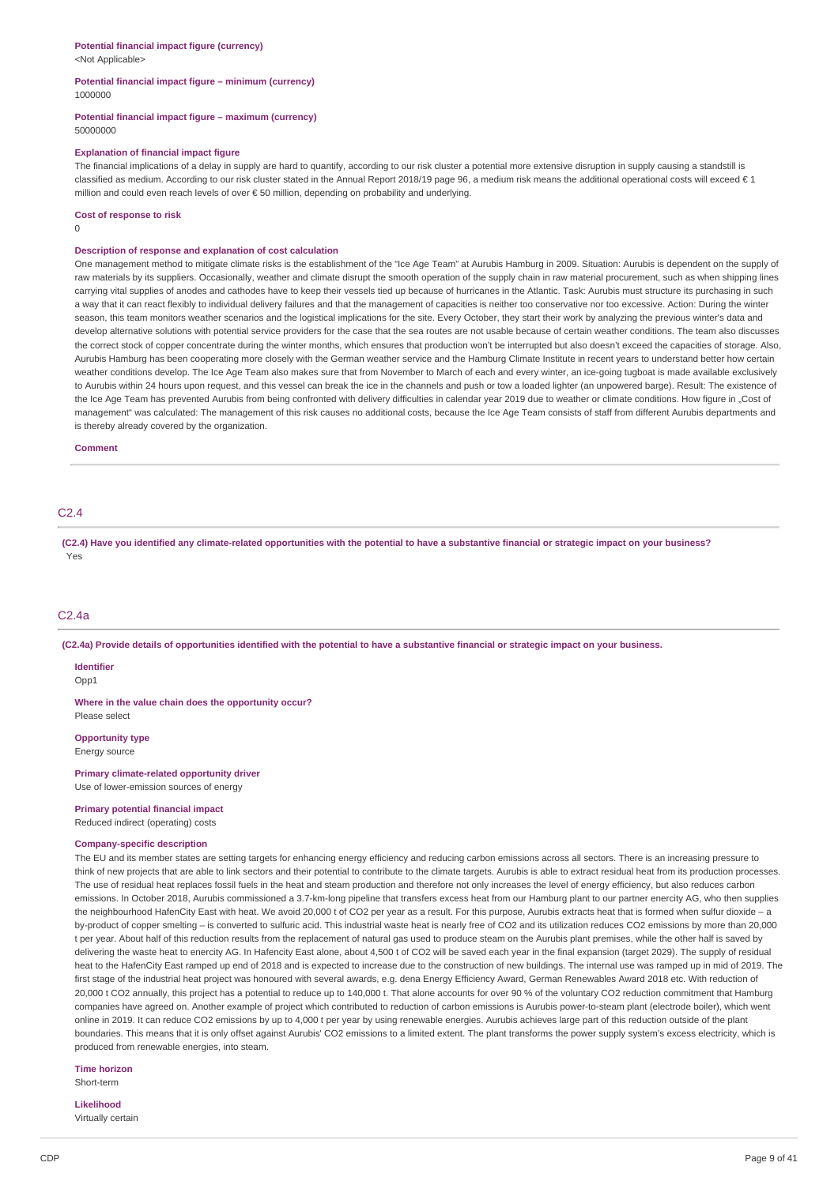<Not Applicable>

# **Potential financial impact figure – minimum (currency)** 1000000

#### **Potential financial impact figure – maximum (currency)** 50000000

#### **Explanation of financial impact figure**

The financial implications of a delay in supply are hard to quantify, according to our risk cluster a potential more extensive disruption in supply causing a standstill is classified as medium. According to our risk cluster stated in the Annual Report 2018/19 page 96, a medium risk means the additional operational costs will exceed  $\epsilon$  1 million and could even reach levels of over € 50 million, depending on probability and underlying.

#### **Cost of response to risk**

0

## **Description of response and explanation of cost calculation**

One management method to mitigate climate risks is the establishment of the "Ice Age Team" at Aurubis Hamburg in 2009. Situation: Aurubis is dependent on the supply of raw materials by its suppliers. Occasionally, weather and climate disrupt the smooth operation of the supply chain in raw material procurement, such as when shipping lines carrying vital supplies of anodes and cathodes have to keep their vessels tied up because of hurricanes in the Atlantic. Task: Aurubis must structure its purchasing in such a way that it can react flexibly to individual delivery failures and that the management of capacities is neither too conservative nor too excessive. Action: During the winter season, this team monitors weather scenarios and the logistical implications for the site. Every October, they start their work by analyzing the previous winter's data and develop alternative solutions with potential service providers for the case that the sea routes are not usable because of certain weather conditions. The team also discusses the correct stock of copper concentrate during the winter months, which ensures that production won't be interrupted but also doesn't exceed the capacities of storage. Also, Aurubis Hamburg has been cooperating more closely with the German weather service and the Hamburg Climate Institute in recent years to understand better how certain weather conditions develop. The Ice Age Team also makes sure that from November to March of each and every winter, an ice-going tugboat is made available exclusively to Aurubis within 24 hours upon request, and this vessel can break the ice in the channels and push or tow a loaded lighter (an unpowered barge). Result: The existence of the Ice Age Team has prevented Aurubis from being confronted with delivery difficulties in calendar year 2019 due to weather or climate conditions. How figure in "Cost of management" was calculated: The management of this risk causes no additional costs, because the Ice Age Team consists of staff from different Aurubis departments and is thereby already covered by the organization.

#### **Comment**

## C2.4

(C2.4) Have you identified any climate-related opportunities with the potential to have a substantive financial or strategic impact on your business? Yes

#### C2.4a

(C2.4a) Provide details of opportunities identified with the potential to have a substantive financial or strategic impact on your business.

#### **Identifier**

Opp<sub>1</sub>

**Where in the value chain does the opportunity occur?** Please select

**Opportunity type**

Energy source

**Primary climate-related opportunity driver** Use of lower-emission sources of energy

**Primary potential financial impact**

Reduced indirect (operating) costs

# **Company-specific description**

The EU and its member states are setting targets for enhancing energy efficiency and reducing carbon emissions across all sectors. There is an increasing pressure to think of new projects that are able to link sectors and their potential to contribute to the climate targets. Aurubis is able to extract residual heat from its production processes. The use of residual heat replaces fossil fuels in the heat and steam production and therefore not only increases the level of energy efficiency, but also reduces carbon emissions. In October 2018, Aurubis commissioned a 3.7-km-long pipeline that transfers excess heat from our Hamburg plant to our partner enercity AG, who then supplies the neighbourhood HafenCity East with heat. We avoid 20,000 t of CO2 per year as a result. For this purpose, Aurubis extracts heat that is formed when sulfur dioxide - a by-product of copper smelting – is converted to sulfuric acid. This industrial waste heat is nearly free of CO2 and its utilization reduces CO2 emissions by more than 20,000 t per year. About half of this reduction results from the replacement of natural gas used to produce steam on the Aurubis plant premises, while the other half is saved by delivering the waste heat to enercity AG. In Hafencity East alone, about 4,500 t of CO2 will be saved each year in the final expansion (target 2029). The supply of residual heat to the HafenCity East ramped up end of 2018 and is expected to increase due to the construction of new buildings. The internal use was ramped up in mid of 2019. The first stage of the industrial heat project was honoured with several awards, e.g. dena Energy Efficiency Award, German Renewables Award 2018 etc. With reduction of 20,000 t CO2 annually, this project has a potential to reduce up to 140,000 t. That alone accounts for over 90 % of the voluntary CO2 reduction commitment that Hamburg companies have agreed on. Another example of project which contributed to reduction of carbon emissions is Aurubis power-to-steam plant (electrode boiler), which went online in 2019. It can reduce CO2 emissions by up to 4,000 t per year by using renewable energies. Aurubis achieves large part of this reduction outside of the plant boundaries. This means that it is only offset against Aurubis' CO2 emissions to a limited extent. The plant transforms the power supply system's excess electricity, which is produced from renewable energies, into steam.

**Time horizon** Short-term

#### **Likelihood**

Virtually certain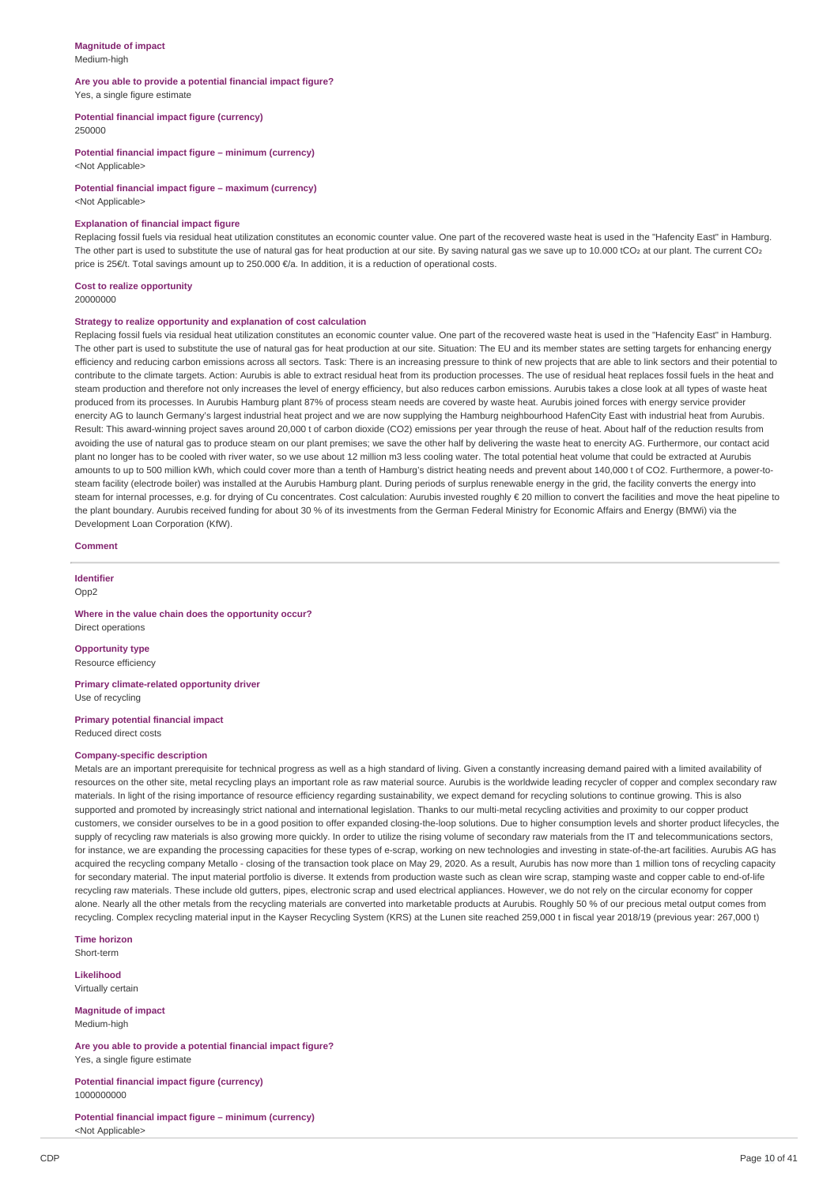#### **Magnitude of impact** Medium-high

#### **Are you able to provide a potential financial impact figure?** Yes, a single figure estimate

#### **Potential financial impact figure (currency)** 250000

**Potential financial impact figure – minimum (currency)**

<Not Applicable>

**Potential financial impact figure – maximum (currency)** <Not Applicable>

# **Explanation of financial impact figure**

Replacing fossil fuels via residual heat utilization constitutes an economic counter value. One part of the recovered waste heat is used in the "Hafencity East" in Hamburg. The other part is used to substitute the use of natural gas for heat production at our site. By saving natural gas we save up to 10.000 tCO2 at our plant. The current CO2 price is 25€/t. Total savings amount up to 250.000 €/a. In addition, it is a reduction of operational costs.

## **Cost to realize opportunity**

20000000

#### **Strategy to realize opportunity and explanation of cost calculation**

Replacing fossil fuels via residual heat utilization constitutes an economic counter value. One part of the recovered waste heat is used in the "Hafencity East" in Hamburg. The other part is used to substitute the use of natural gas for heat production at our site. Situation: The EU and its member states are setting targets for enhancing energy efficiency and reducing carbon emissions across all sectors. Task: There is an increasing pressure to think of new projects that are able to link sectors and their potential to contribute to the climate targets. Action: Aurubis is able to extract residual heat from its production processes. The use of residual heat replaces fossil fuels in the heat and steam production and therefore not only increases the level of energy efficiency, but also reduces carbon emissions. Aurubis takes a close look at all types of waste heat produced from its processes. In Aurubis Hamburg plant 87% of process steam needs are covered by waste heat. Aurubis joined forces with energy service provider enercity AG to launch Germany's largest industrial heat project and we are now supplying the Hamburg neighbourhood HafenCity East with industrial heat from Aurubis. Result: This award-winning project saves around 20,000 t of carbon dioxide (CO2) emissions per year through the reuse of heat. About half of the reduction results from avoiding the use of natural gas to produce steam on our plant premises; we save the other half by delivering the waste heat to enercity AG. Furthermore, our contact acid plant no longer has to be cooled with river water, so we use about 12 million m3 less cooling water. The total potential heat volume that could be extracted at Aurubis amounts to up to 500 million kWh, which could cover more than a tenth of Hamburg's district heating needs and prevent about 140,000 t of CO2. Furthermore, a power-tosteam facility (electrode boiler) was installed at the Aurubis Hamburg plant. During periods of surplus renewable energy in the grid, the facility converts the energy into steam for internal processes, e.g. for drying of Cu concentrates. Cost calculation: Aurubis invested roughly € 20 million to convert the facilities and move the heat pipeline to the plant boundary. Aurubis received funding for about 30 % of its investments from the German Federal Ministry for Economic Affairs and Energy (BMWi) via the Development Loan Corporation (KfW).

## **Comment**

**Identifier**

Opp2

#### **Where in the value chain does the opportunity occur?** Direct operations

**Opportunity type** Resource efficiency

**Primary climate-related opportunity driver** Use of recycling

#### **Primary potential financial impact** Reduced direct costs

#### **Company-specific description**

Metals are an important prerequisite for technical progress as well as a high standard of living. Given a constantly increasing demand paired with a limited availability of resources on the other site, metal recycling plays an important role as raw material source. Aurubis is the worldwide leading recycler of copper and complex secondary raw materials. In light of the rising importance of resource efficiency regarding sustainability, we expect demand for recycling solutions to continue growing. This is also supported and promoted by increasingly strict national and international legislation. Thanks to our multi-metal recycling activities and proximity to our copper product customers, we consider ourselves to be in a good position to offer expanded closing-the-loop solutions. Due to higher consumption levels and shorter product lifecycles, the supply of recycling raw materials is also growing more quickly. In order to utilize the rising volume of secondary raw materials from the IT and telecommunications sectors, for instance, we are expanding the processing capacities for these types of e-scrap, working on new technologies and investing in state-of-the-art facilities. Aurubis AG has acquired the recycling company Metallo - closing of the transaction took place on May 29, 2020. As a result, Aurubis has now more than 1 million tons of recycling capacity for secondary material. The input material portfolio is diverse. It extends from production waste such as clean wire scrap, stamping waste and copper cable to end-of-life recycling raw materials. These include old gutters, pipes, electronic scrap and used electrical appliances. However, we do not rely on the circular economy for copper alone. Nearly all the other metals from the recycling materials are converted into marketable products at Aurubis. Roughly 50 % of our precious metal output comes from recycling. Complex recycling material input in the Kayser Recycling System (KRS) at the Lunen site reached 259,000 t in fiscal year 2018/19 (previous year: 267,000 t)

**Time horizon** Short-term

**Likelihood** Virtually certain

**Magnitude of impact**

Medium-high

**Are you able to provide a potential financial impact figure?** Yes, a single figure estimate

**Potential financial impact figure (currency)** 1000000000

**Potential financial impact figure – minimum (currency)** <Not Applicable>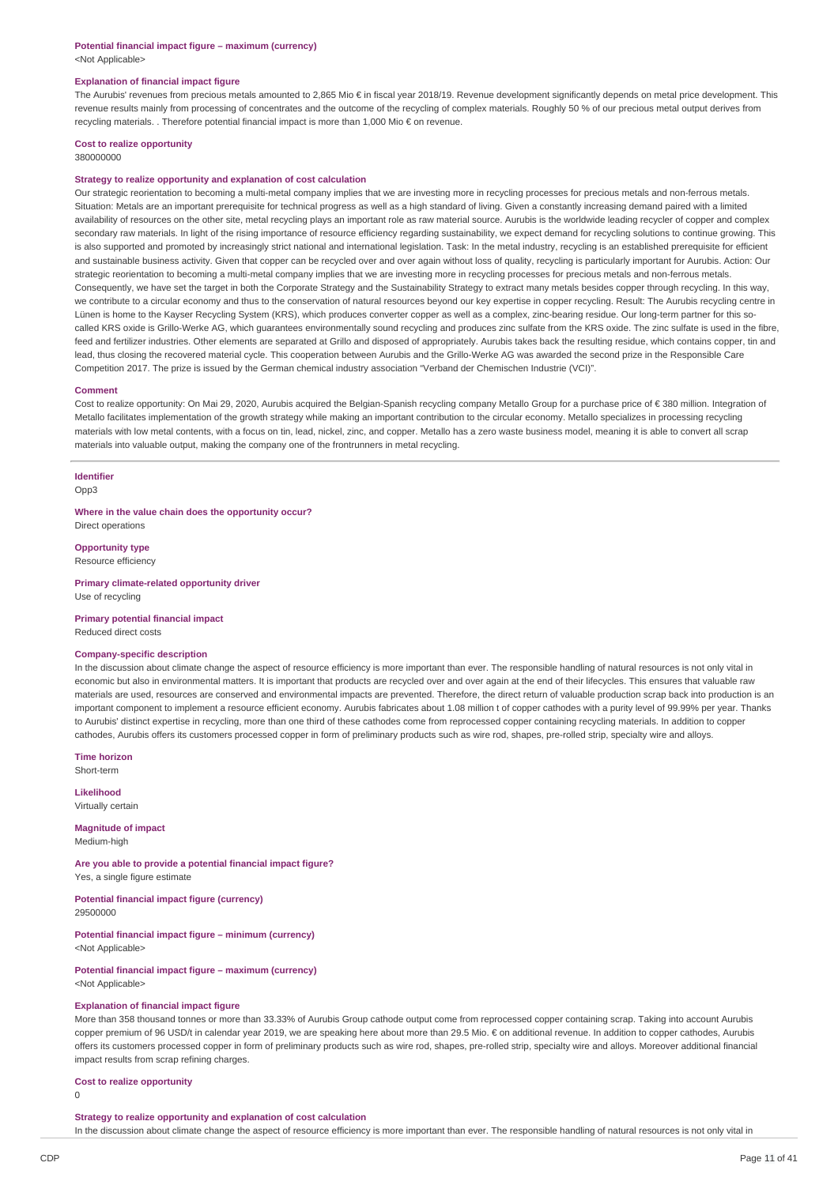#### **Potential financial impact figure – maximum (currency)** <Not Applicable>

#### **Explanation of financial impact figure**

The Aurubis' revenues from precious metals amounted to 2,865 Mio € in fiscal year 2018/19. Revenue development significantly depends on metal price development. This revenue results mainly from processing of concentrates and the outcome of the recycling of complex materials. Roughly 50 % of our precious metal output derives from recycling materials. . Therefore potential financial impact is more than 1,000 Mio € on revenue.

#### **Cost to realize opportunity**

380000000

#### **Strategy to realize opportunity and explanation of cost calculation**

Our strategic reorientation to becoming a multi-metal company implies that we are investing more in recycling processes for precious metals and non-ferrous metals. Situation: Metals are an important prerequisite for technical progress as well as a high standard of living. Given a constantly increasing demand paired with a limited availability of resources on the other site, metal recycling plays an important role as raw material source. Aurubis is the worldwide leading recycler of copper and complex secondary raw materials. In light of the rising importance of resource efficiency regarding sustainability, we expect demand for recycling solutions to continue growing. This is also supported and promoted by increasingly strict national and international legislation. Task: In the metal industry, recycling is an established prerequisite for efficient and sustainable business activity. Given that copper can be recycled over and over again without loss of quality, recycling is particularly important for Aurubis. Action: Our strategic reorientation to becoming a multi-metal company implies that we are investing more in recycling processes for precious metals and non-ferrous metals. Consequently, we have set the target in both the Corporate Strategy and the Sustainability Strategy to extract many metals besides copper through recycling. In this way, we contribute to a circular economy and thus to the conservation of natural resources beyond our key expertise in copper recycling. Result: The Aurubis recycling centre in Lünen is home to the Kayser Recycling System (KRS), which produces converter copper as well as a complex, zinc-bearing residue. Our long-term partner for this socalled KRS oxide is Grillo-Werke AG, which guarantees environmentally sound recycling and produces zinc sulfate from the KRS oxide. The zinc sulfate is used in the fibre, feed and fertilizer industries. Other elements are separated at Grillo and disposed of appropriately. Aurubis takes back the resulting residue, which contains copper, tin and lead, thus closing the recovered material cycle. This cooperation between Aurubis and the Grillo-Werke AG was awarded the second prize in the Responsible Care Competition 2017. The prize is issued by the German chemical industry association "Verband der Chemischen Industrie (VCI)".

#### **Comment**

Cost to realize opportunity: On Mai 29, 2020, Aurubis acquired the Belgian-Spanish recycling company Metallo Group for a purchase price of € 380 million. Integration of Metallo facilitates implementation of the growth strategy while making an important contribution to the circular economy. Metallo specializes in processing recycling materials with low metal contents, with a focus on tin, lead, nickel, zinc, and copper. Metallo has a zero waste business model, meaning it is able to convert all scrap materials into valuable output, making the company one of the frontrunners in metal recycling.

# **Identifier**

Opp3

**Where in the value chain does the opportunity occur?** Direct operations

**Opportunity type** Resource efficiency

**Primary climate-related opportunity driver** Use of recycling

#### **Primary potential financial impact** Reduced direct costs

#### **Company-specific description**

In the discussion about climate change the aspect of resource efficiency is more important than ever. The responsible handling of natural resources is not only vital in economic but also in environmental matters. It is important that products are recycled over and over again at the end of their lifecycles. This ensures that valuable raw materials are used, resources are conserved and environmental impacts are prevented. Therefore, the direct return of valuable production scrap back into production is an important component to implement a resource efficient economy. Aurubis fabricates about 1.08 million t of copper cathodes with a purity level of 99.99% per year. Thanks to Aurubis' distinct expertise in recycling, more than one third of these cathodes come from reprocessed copper containing recycling materials. In addition to copper cathodes, Aurubis offers its customers processed copper in form of preliminary products such as wire rod, shapes, pre-rolled strip, specialty wire and alloys.

**Time horizon**

Short-term

**Likelihood** Virtually certain

**Magnitude of impact** Medium-high

**Are you able to provide a potential financial impact figure?** Yes, a single figure estimate

**Potential financial impact figure (currency)** 29500000

**Potential financial impact figure – minimum (currency)** <Not Applicable>

**Potential financial impact figure – maximum (currency)** <Not Applicable>

#### **Explanation of financial impact figure**

More than 358 thousand tonnes or more than 33.33% of Aurubis Group cathode output come from reprocessed copper containing scrap. Taking into account Aurubis copper premium of 96 USD/t in calendar year 2019, we are speaking here about more than 29.5 Mio. € on additional revenue. In addition to copper cathodes, Aurubis offers its customers processed copper in form of preliminary products such as wire rod, shapes, pre-rolled strip, specialty wire and alloys. Moreover additional financial impact results from scrap refining charges.

#### **Cost to realize opportunity**

 $\Omega$ 

## **Strategy to realize opportunity and explanation of cost calculation**

In the discussion about climate change the aspect of resource efficiency is more important than ever. The responsible handling of natural resources is not only vital in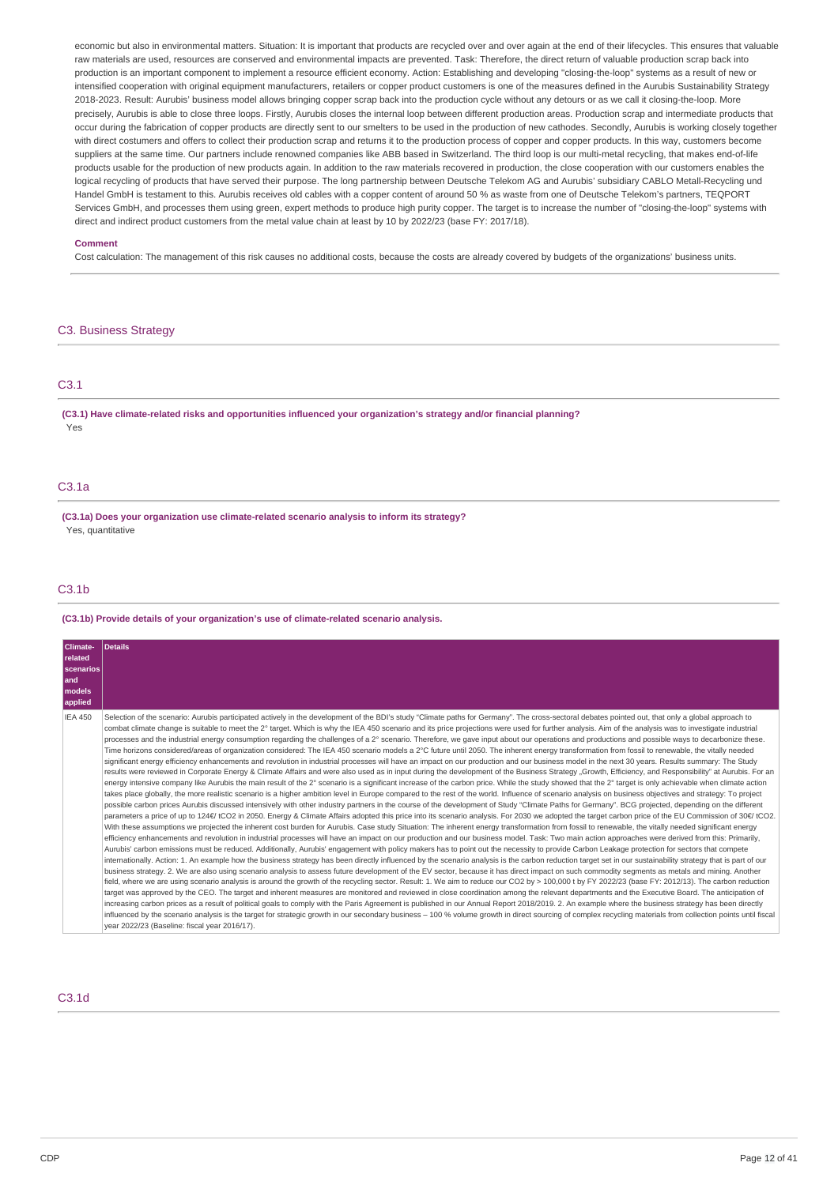economic but also in environmental matters. Situation: It is important that products are recycled over and over again at the end of their lifecycles. This ensures that valuable raw materials are used, resources are conserved and environmental impacts are prevented. Task: Therefore, the direct return of valuable production scrap back into production is an important component to implement a resource efficient economy. Action: Establishing and developing "closing-the-loop" systems as a result of new or intensified cooperation with original equipment manufacturers, retailers or copper product customers is one of the measures defined in the Aurubis Sustainability Strategy 2018-2023. Result: Aurubis' business model allows bringing copper scrap back into the production cycle without any detours or as we call it closing-the-loop. More precisely, Aurubis is able to close three loops. Firstly, Aurubis closes the internal loop between different production areas. Production scrap and intermediate products that occur during the fabrication of copper products are directly sent to our smelters to be used in the production of new cathodes. Secondly, Aurubis is working closely together with direct costumers and offers to collect their production scrap and returns it to the production process of copper and copper products. In this way, customers become suppliers at the same time. Our partners include renowned companies like ABB based in Switzerland. The third loop is our multi-metal recycling, that makes end-of-life products usable for the production of new products again. In addition to the raw materials recovered in production, the close cooperation with our customers enables the logical recycling of products that have served their purpose. The long partnership between Deutsche Telekom AG and Aurubis' subsidiary CABLO Metall-Recycling und Handel GmbH is testament to this. Aurubis receives old cables with a copper content of around 50 % as waste from one of Deutsche Telekom's partners, TEQPORT Services GmbH, and processes them using green, expert methods to produce high purity copper. The target is to increase the number of "closing-the-loop" systems with direct and indirect product customers from the metal value chain at least by 10 by 2022/23 (base FY: 2017/18).

#### **Comment**

Cost calculation: The management of this risk causes no additional costs, because the costs are already covered by budgets of the organizations' business units.

# C3. Business Strategy

# C3.1

**(C3.1) Have climate-related risks and opportunities influenced your organization's strategy and/or financial planning?** Yes

# C3.1a

**(C3.1a) Does your organization use climate-related scenario analysis to inform its strategy?** Yes, quantitative

# C3.1b

**(C3.1b) Provide details of your organization's use of climate-related scenario analysis.**

| Climate-<br>related<br><b>scenarios</b><br>land<br><b>models</b><br>applied | Details                                                                                                                                                                                                                                                                                                                                                                                                                                                                                                                                                                                                                                                                                                                                                                                                                                                                                                                                                                                                                                                                                                                                                                                                                                                                                                                                                                                                                                                                                                                                                                                                                                                                                                                                                                                                                                                                                                                                                                                                                                                                                                                                                                                                                                                                                                                                                                                                                                                                                                                                                                                                                                                                                                                                                                                                                                                                                                                                                                                                                                                                                                                                                                                                                                                                                                                                                                                                                                                                                                                                                                                                                                                                                                                                                                                                                                                                                                                                                                              |
|-----------------------------------------------------------------------------|--------------------------------------------------------------------------------------------------------------------------------------------------------------------------------------------------------------------------------------------------------------------------------------------------------------------------------------------------------------------------------------------------------------------------------------------------------------------------------------------------------------------------------------------------------------------------------------------------------------------------------------------------------------------------------------------------------------------------------------------------------------------------------------------------------------------------------------------------------------------------------------------------------------------------------------------------------------------------------------------------------------------------------------------------------------------------------------------------------------------------------------------------------------------------------------------------------------------------------------------------------------------------------------------------------------------------------------------------------------------------------------------------------------------------------------------------------------------------------------------------------------------------------------------------------------------------------------------------------------------------------------------------------------------------------------------------------------------------------------------------------------------------------------------------------------------------------------------------------------------------------------------------------------------------------------------------------------------------------------------------------------------------------------------------------------------------------------------------------------------------------------------------------------------------------------------------------------------------------------------------------------------------------------------------------------------------------------------------------------------------------------------------------------------------------------------------------------------------------------------------------------------------------------------------------------------------------------------------------------------------------------------------------------------------------------------------------------------------------------------------------------------------------------------------------------------------------------------------------------------------------------------------------------------------------------------------------------------------------------------------------------------------------------------------------------------------------------------------------------------------------------------------------------------------------------------------------------------------------------------------------------------------------------------------------------------------------------------------------------------------------------------------------------------------------------------------------------------------------------------------------------------------------------------------------------------------------------------------------------------------------------------------------------------------------------------------------------------------------------------------------------------------------------------------------------------------------------------------------------------------------------------------------------------------------------------------------------------------------------|
| <b>IEA 450</b>                                                              | Selection of the scenario: Aurubis participated actively in the development of the BDI's study "Climate paths for Germany". The cross-sectoral debates pointed out, that only a global approach to<br>combat climate change is suitable to meet the 2° target. Which is why the IEA 450 scenario and its price projections were used for further analysis. Aim of the analysis was to investigate industrial<br>processes and the industrial energy consumption regarding the challenges of a 2° scenario. Therefore, we gave input about our operations and productions and possible ways to decarbonize these.<br>Time horizons considered/areas of organization considered: The IEA 450 scenario models a 2°C future until 2050. The inherent energy transformation from fossil to renewable, the vitally needed<br>significant energy efficiency enhancements and revolution in industrial processes will have an impact on our production and our business model in the next 30 years. Results summary: The Study<br>results were reviewed in Corporate Energy & Climate Affairs and were also used as in input during the development of the Business Strategy "Growth, Efficiency, and Responsibility" at Aurubis. For an<br>energy intensive company like Aurubis the main result of the 2° scenario is a significant increase of the carbon price. While the study showed that the 2° target is only achievable when climate action<br>takes place globally, the more realistic scenario is a higher ambition level in Europe compared to the rest of the world. Influence of scenario analysis on business objectives and strategy: To project<br>possible carbon prices Aurubis discussed intensively with other industry partners in the course of the development of Study "Climate Paths for Germany". BCG projected, depending on the different<br>parameters a price of up to 124€/ tCO2 in 2050. Energy & Climate Affairs adopted this price into its scenario analysis. For 2030 we adopted the target carbon price of the EU Commission of 30€/ tCO2.<br>With these assumptions we projected the inherent cost burden for Aurubis. Case study Situation: The inherent energy transformation from fossil to renewable, the vitally needed significant energy<br>efficiency enhancements and revolution in industrial processes will have an impact on our production and our business model. Task: Two main action approaches were derived from this: Primarily,<br>Aurubis' carbon emissions must be reduced. Additionally, Aurubis' engagement with policy makers has to point out the necessity to provide Carbon Leakage protection for sectors that compete<br>internationally. Action: 1. An example how the business strategy has been directly influenced by the scenario analysis is the carbon reduction target set in our sustainability strategy that is part of our<br>business strategy. 2. We are also using scenario analysis to assess future development of the EV sector, because it has direct impact on such commodity segments as metals and mining. Another<br>field, where we are using scenario analysis is around the growth of the recycling sector. Result: 1. We aim to reduce our CO2 by > 100,000 t by FY 2022/23 (base FY: 2012/13). The carbon reduction<br>target was approved by the CEO. The target and inherent measures are monitored and reviewed in close coordination among the relevant departments and the Executive Board. The anticipation of<br>increasing carbon prices as a result of political goals to comply with the Paris Agreement is published in our Annual Report 2018/2019, 2. An example where the business strategy has been directly<br>influenced by the scenario analysis is the target for strategic growth in our secondary business – 100 % volume growth in direct sourcing of complex recycling materials from collection points until fiscal<br>year 2022/23 (Baseline: fiscal year 2016/17). |

# C3.1d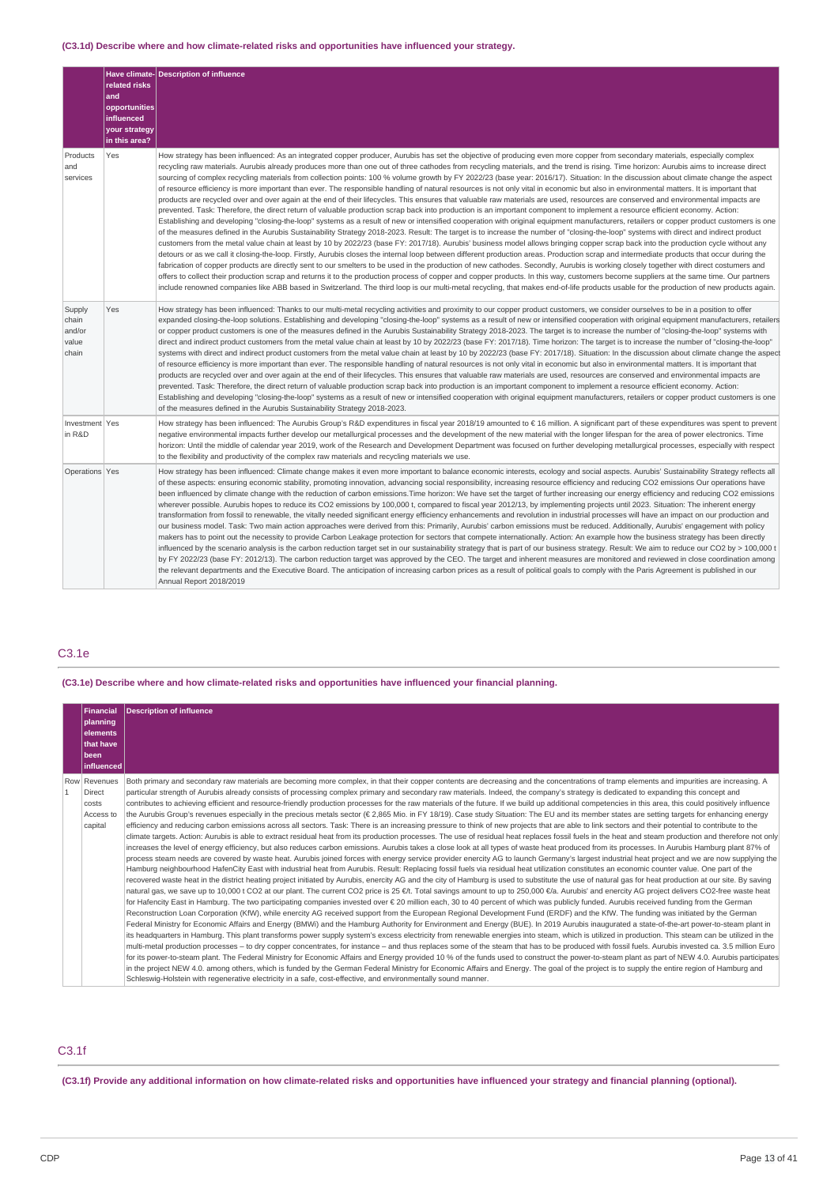# **(C3.1d) Describe where and how climate-related risks and opportunities have influenced your strategy.**

|                                             | related risks<br>and<br>opportunities<br>influenced<br>your strategy<br>in this area? | Have climate- Description of influence                                                                                                                                                                                                                                                                                                                                                                                                                                                                                                                                                                                                                                                                                                                                                                                                                                                                                                                                                                                                                                                                                                                                                                                                                                                                                                                                                                                                                                                                                                                                                                                                                                                                                                                                                                                                                                                                                                                                                                                                                                                                                                                                                                                                                                                                                                                                                                                                                                                      |
|---------------------------------------------|---------------------------------------------------------------------------------------|---------------------------------------------------------------------------------------------------------------------------------------------------------------------------------------------------------------------------------------------------------------------------------------------------------------------------------------------------------------------------------------------------------------------------------------------------------------------------------------------------------------------------------------------------------------------------------------------------------------------------------------------------------------------------------------------------------------------------------------------------------------------------------------------------------------------------------------------------------------------------------------------------------------------------------------------------------------------------------------------------------------------------------------------------------------------------------------------------------------------------------------------------------------------------------------------------------------------------------------------------------------------------------------------------------------------------------------------------------------------------------------------------------------------------------------------------------------------------------------------------------------------------------------------------------------------------------------------------------------------------------------------------------------------------------------------------------------------------------------------------------------------------------------------------------------------------------------------------------------------------------------------------------------------------------------------------------------------------------------------------------------------------------------------------------------------------------------------------------------------------------------------------------------------------------------------------------------------------------------------------------------------------------------------------------------------------------------------------------------------------------------------------------------------------------------------------------------------------------------------|
| Products<br>and<br>services                 | Yes                                                                                   | How strategy has been influenced: As an integrated copper producer, Aurubis has set the objective of producing even more copper from secondary materials, especially complex<br>recycling raw materials. Aurubis already produces more than one out of three cathodes from recycling materials, and the trend is rising. Time horizon: Aurubis aims to increase direct<br>sourcing of complex recycling materials from collection points: 100 % volume growth by FY 2022/23 (base year: 2016/17). Situation: In the discussion about climate change the aspect<br>of resource efficiency is more important than ever. The responsible handling of natural resources is not only vital in economic but also in environmental matters. It is important that<br>products are recycled over and over again at the end of their lifecycles. This ensures that valuable raw materials are used, resources are conserved and environmental impacts are are<br>prevented. Task: Therefore, the direct return of valuable production scrap back into production is an important component to implement a resource efficient economy. Action:<br>Establishing and developing "closing-the-loop" systems as a result of new or intensified cooperation with original equipment manufacturers, retailers or copper product customers is one<br>of the measures defined in the Aurubis Sustainability Strategy 2018-2023. Result: The target is to increase the number of "closing-the-loop" systems with direct and indirect product<br>customers from the metal value chain at least by 10 by 2022/23 (base FY: 2017/18). Aurubis' business model allows bringing copper scrap back into the production cycle without any<br>detours or as we call it closing-the-loop. Firstly, Aurubis closes the internal loop between different production areas. Production scrap and intermediate products that occur during the<br>fabrication of copper products are directly sent to our smelters to be used in the production of new cathodes. Secondly, Aurubis is working closely together with direct costumers and<br>offers to collect their production scrap and returns it to the production process of copper and copper products. In this way, customers become suppliers at the same time. Our partners<br>include renowned companies like ABB based in Switzerland. The third loop is our multi-metal recycling, that makes end-of-life products usable for the production of new products again. |
| Supply<br>chain<br>and/or<br>value<br>chain | Yes                                                                                   | How strategy has been influenced: Thanks to our multi-metal recycling activities and proximity to our copper product customers, we consider ourselves to be in a position to offer<br>expanded closing-the-loop solutions. Establishing and developing "closing-the-loop" systems as a result of new or intensified cooperation with original equipment manufacturers, retailers<br>or copper product customers is one of the measures defined in the Aurubis Sustainability Strategy 2018-2023. The target is to increase the number of "closing-the-loop" systems with<br>direct and indirect product customers from the metal value chain at least by 10 by 2022/23 (base FY: 2017/18). Time horizon: The target is to increase the number of "closing-the-loop"<br>systems with direct and indirect product customers from the metal value chain at least by 10 by 2022/23 (base FY: 2017/18). Situation: In the discussion about climate change the aspect<br>of resource efficiency is more important than ever. The responsible handling of natural resources is not only vital in economic but also in environmental matters. It is important that<br>products are recycled over and over again at the end of their lifecycles. This ensures that valuable raw materials are used, resources are conserved and environmental impacts are<br>prevented. Task: Therefore, the direct return of valuable production scrap back into production is an important component to implement a resource efficient economy. Action:<br>Establishing and developing "closing-the-loop" systems as a result of new or intensified cooperation with original equipment manufacturers, retailers or copper product customers is one<br>of the measures defined in the Aurubis Sustainability Strategy 2018-2023.                                                                                                                                                                                                                                                                                                                                                                                                                                                                                                                                                                                                                                                                                   |
| Investment Yes<br>in R&D                    |                                                                                       | How strategy has been influenced: The Aurubis Group's R&D expenditures in fiscal year 2018/19 amounted to € 16 million. A significant part of these expenditures was spent to prevent<br>negative environmental impacts further develop our metallurgical processes and the development of the new material with the longer lifespan for the area of power electronics. Time<br>horizon: Until the middle of calendar year 2019, work of the Research and Development Department was focused on further developing metallurgical processes, especially with respect<br>to the flexibility and productivity of the complex raw materials and recycling materials we use.                                                                                                                                                                                                                                                                                                                                                                                                                                                                                                                                                                                                                                                                                                                                                                                                                                                                                                                                                                                                                                                                                                                                                                                                                                                                                                                                                                                                                                                                                                                                                                                                                                                                                                                                                                                                                     |
| Operations Yes                              |                                                                                       | How strategy has been influenced: Climate change makes it even more important to balance economic interests, ecology and social aspects. Aurubis' Sustainability Strategy reflects all<br>of these aspects: ensuring economic stability, promoting innovation, advancing social responsibility, increasing resource efficiency and reducing CO2 emissions Our operations have<br>been influenced by climate change with the reduction of carbon emissions. Time horizon: We have set the target of further increasing our energy efficiency and reducing CO2 emissions<br>wherever possible. Aurubis hopes to reduce its CO2 emissions by 100,000 t, compared to fiscal year 2012/13, by implementing projects until 2023. Situation: The inherent energy<br>transformation from fossil to renewable, the vitally needed significant energy efficiency enhancements and revolution in industrial processes will have an impact on our production and<br>our business model. Task: Two main action approaches were derived from this: Primarily, Aurubis' carbon emissions must be reduced. Additionally, Aurubis' engagement with policy<br>makers has to point out the necessity to provide Carbon Leakage protection for sectors that compete internationally. Action: An example how the business strategy has been directly<br>influenced by the scenario analysis is the carbon reduction target set in our sustainability strategy that is part of our business strategy. Result: We aim to reduce our CO2 by > 100,000 t<br>by FY 2022/23 (base FY: 2012/13). The carbon reduction target was approved by the CEO. The target and inherent measures are monitored and reviewed in close coordination among<br>the relevant departments and the Executive Board. The anticipation of increasing carbon prices as a result of political goals to comply with the Paris Agreement is published in our<br>Annual Report 2018/2019                                                                                                                                                                                                                                                                                                                                                                                                                                                                                                                                                        |

# C3.1e

# **(C3.1e) Describe where and how climate-related risks and opportunities have influenced your financial planning.**

|                | <b>Financial</b><br>planning<br>lelements<br>that have<br> been<br>  influenced | <b>Description of influence</b>                                                                                                                                                                                                                                                                                                                                                                                                                                                                                                                                                                                                                                                                                                                                                                                                                                                                                                                                                                                                                                                                                                                                                                                                                                                                                                                                                                                                                                                                                                                                                                                                                                                                                                                                                                                                                                                                                                                                                                                                                                                                                                                                                                                                                                                                                                                                                                                                                                                                                                                                                                                                                                                                                                                                                                                                                                                                                                                                                                                                                                                                                                                                                                                                                                                                                                                                                                                                                                                                                                                                                                                                                                                                                                                 |
|----------------|---------------------------------------------------------------------------------|-------------------------------------------------------------------------------------------------------------------------------------------------------------------------------------------------------------------------------------------------------------------------------------------------------------------------------------------------------------------------------------------------------------------------------------------------------------------------------------------------------------------------------------------------------------------------------------------------------------------------------------------------------------------------------------------------------------------------------------------------------------------------------------------------------------------------------------------------------------------------------------------------------------------------------------------------------------------------------------------------------------------------------------------------------------------------------------------------------------------------------------------------------------------------------------------------------------------------------------------------------------------------------------------------------------------------------------------------------------------------------------------------------------------------------------------------------------------------------------------------------------------------------------------------------------------------------------------------------------------------------------------------------------------------------------------------------------------------------------------------------------------------------------------------------------------------------------------------------------------------------------------------------------------------------------------------------------------------------------------------------------------------------------------------------------------------------------------------------------------------------------------------------------------------------------------------------------------------------------------------------------------------------------------------------------------------------------------------------------------------------------------------------------------------------------------------------------------------------------------------------------------------------------------------------------------------------------------------------------------------------------------------------------------------------------------------------------------------------------------------------------------------------------------------------------------------------------------------------------------------------------------------------------------------------------------------------------------------------------------------------------------------------------------------------------------------------------------------------------------------------------------------------------------------------------------------------------------------------------------------------------------------------------------------------------------------------------------------------------------------------------------------------------------------------------------------------------------------------------------------------------------------------------------------------------------------------------------------------------------------------------------------------------------------------------------------------------------------------------------------|
| $\overline{1}$ | Row Revenues<br><b>Direct</b><br>costs<br>Access to<br>capital                  | Both primary and secondary raw materials are becoming more complex, in that their copper contents are decreasing and the concentrations of tramp elements and impurities are increasing. A<br>particular strength of Aurubis already consists of processing complex primary and secondary raw materials. Indeed, the company's strategy is dedicated to expanding this concept and<br>contributes to achieving efficient and resource-friendly production processes for the raw materials of the future. If we build up additional competencies in this area, this could positively influence<br>the Aurubis Group's revenues especially in the precious metals sector (€ 2,865 Mio. in FY 18/19). Case study Situation: The EU and its member states are setting targets for enhancing energy<br>efficiency and reducing carbon emissions across all sectors. Task: There is an increasing pressure to think of new projects that are able to link sectors and their potential to contribute to the<br>climate targets. Action: Aurubis is able to extract residual heat from its production processes. The use of residual heat replaces fossil fuels in the heat and steam production and therefore not only<br>increases the level of energy efficiency, but also reduces carbon emissions. Aurubis takes a close look at all types of waste heat produced from its processes. In Aurubis Hamburg plant 87% of<br>process steam needs are covered by waste heat. Aurubis joined forces with energy service provider enercity AG to launch Germany's largest industrial heat project and we are now supplying the<br>Hamburg neighbourhood HafenCity East with industrial heat from Aurubis. Result: Replacing fossil fuels via residual heat utilization constitutes an economic counter value. One part of the<br>recovered waste heat in the district heating project initiated by Aurubis, enercity AG and the city of Hamburg is used to substitute the use of natural gas for heat production at our site. By saving<br>natural gas, we save up to 10,000 t CO2 at our plant. The current CO2 price is 25 €/t. Total savings amount to up to 250,000 €/a. Aurubis' and enercity AG project delivers CO2-free waste heat<br>for Hafencity East in Hamburg. The two participating companies invested over € 20 million each, 30 to 40 percent of which was publicly funded. Aurubis received funding from the German<br>Reconstruction Loan Corporation (KfW), while enercity AG received support from the European Regional Development Fund (ERDF) and the KfW. The funding was initiated by the German<br>Federal Ministry for Economic Affairs and Energy (BMWi) and the Hamburg Authority for Environment and Energy (BUE). In 2019 Aurubis inaugurated a state-of-the-art power-to-steam plant in<br>its headquarters in Hamburg. This plant transforms power supply system's excess electricity from renewable energies into steam, which is utilized in production. This steam can be utilized in the<br>multi-metal production processes - to dry copper concentrates, for instance - and thus replaces some of the steam that has to be produced with fossil fuels. Aurubis invested ca. 3.5 million Euro<br>for its power-to-steam plant. The Federal Ministry for Economic Affairs and Energy provided 10 % of the funds used to construct the power-to-steam plant as part of NEW 4.0. Aurubis participates<br>in the project NEW 4.0. among others, which is funded by the German Federal Ministry for Economic Affairs and Energy. The goal of the project is to supply the entire region of Hamburg and<br>Schleswig-Holstein with regenerative electricity in a safe, cost-effective, and environmentally sound manner. |

# C3.1f

(C3.1f) Provide any additional information on how climate-related risks and opportunities have influenced your strategy and financial planning (optional).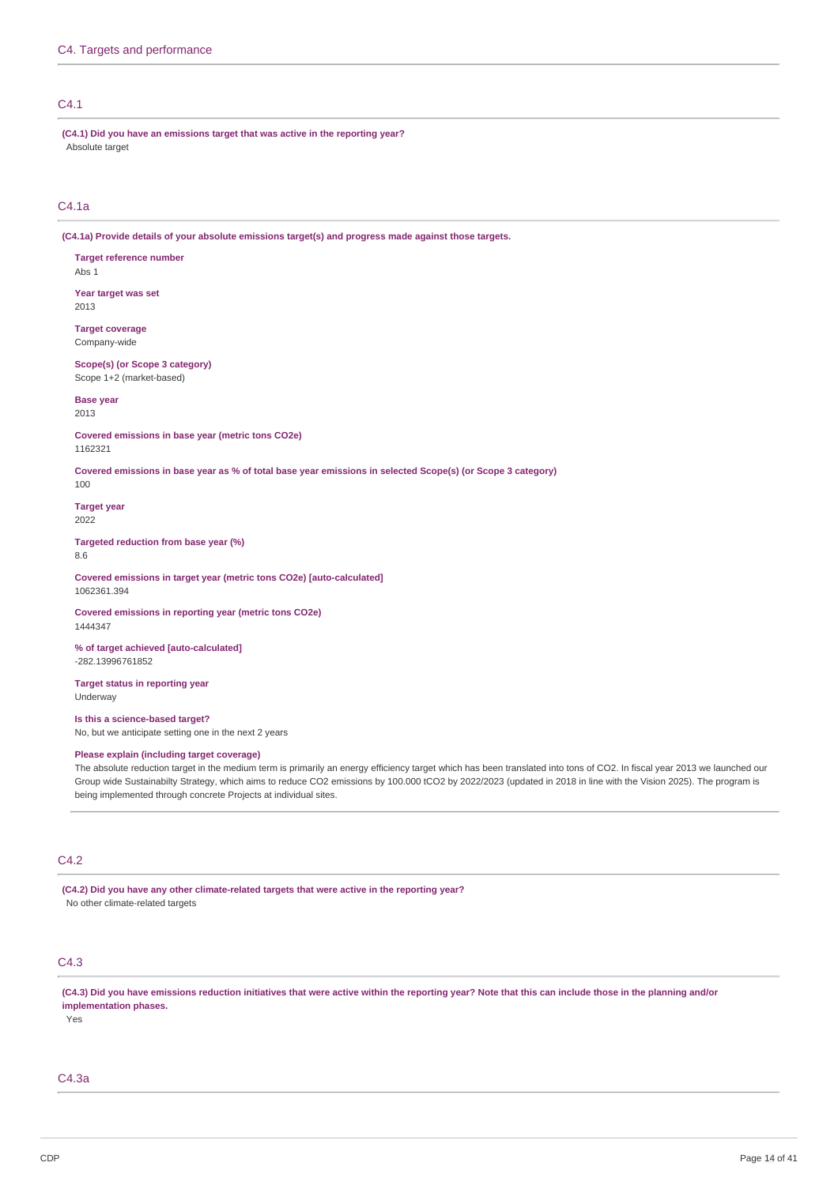# $C<sub>4</sub>1$

**(C4.1) Did you have an emissions target that was active in the reporting year?** Absolute target

# C4.1a

**(C4.1a) Provide details of your absolute emissions target(s) and progress made against those targets.**

**Target reference number** Abs 1

**Year target was set** 2013

**Target coverage** Company-wide

**Scope(s) (or Scope 3 category)** Scope 1+2 (market-based)

**Base year** 2013

**Covered emissions in base year (metric tons CO2e)** 1162321

Covered emissions in base year as % of total base year emissions in selected Scope(s) (or Scope 3 category)

100

**Target year** 2022

**Targeted reduction from base year (%)** 8.6

**Covered emissions in target year (metric tons CO2e) [auto-calculated]** 1062361.394

**Covered emissions in reporting year (metric tons CO2e)** 1444347

**% of target achieved [auto-calculated]** -282.13996761852

**Target status in reporting year** Underway

## **Is this a science-based target?**

No, but we anticipate setting one in the next 2 years

# **Please explain (including target coverage)**

The absolute reduction target in the medium term is primarily an energy efficiency target which has been translated into tons of CO2. In fiscal year 2013 we launched our Group wide Sustainabilty Strategy, which aims to reduce CO2 emissions by 100.000 tCO2 by 2022/2023 (updated in 2018 in line with the Vision 2025). The program is being implemented through concrete Projects at individual sites.

# C4.2

**(C4.2) Did you have any other climate-related targets that were active in the reporting year?** No other climate-related targets

# C4.3

(C4.3) Did you have emissions reduction initiatives that were active within the reporting year? Note that this can include those in the planning and/or **implementation phases.**

Yes

C4.3a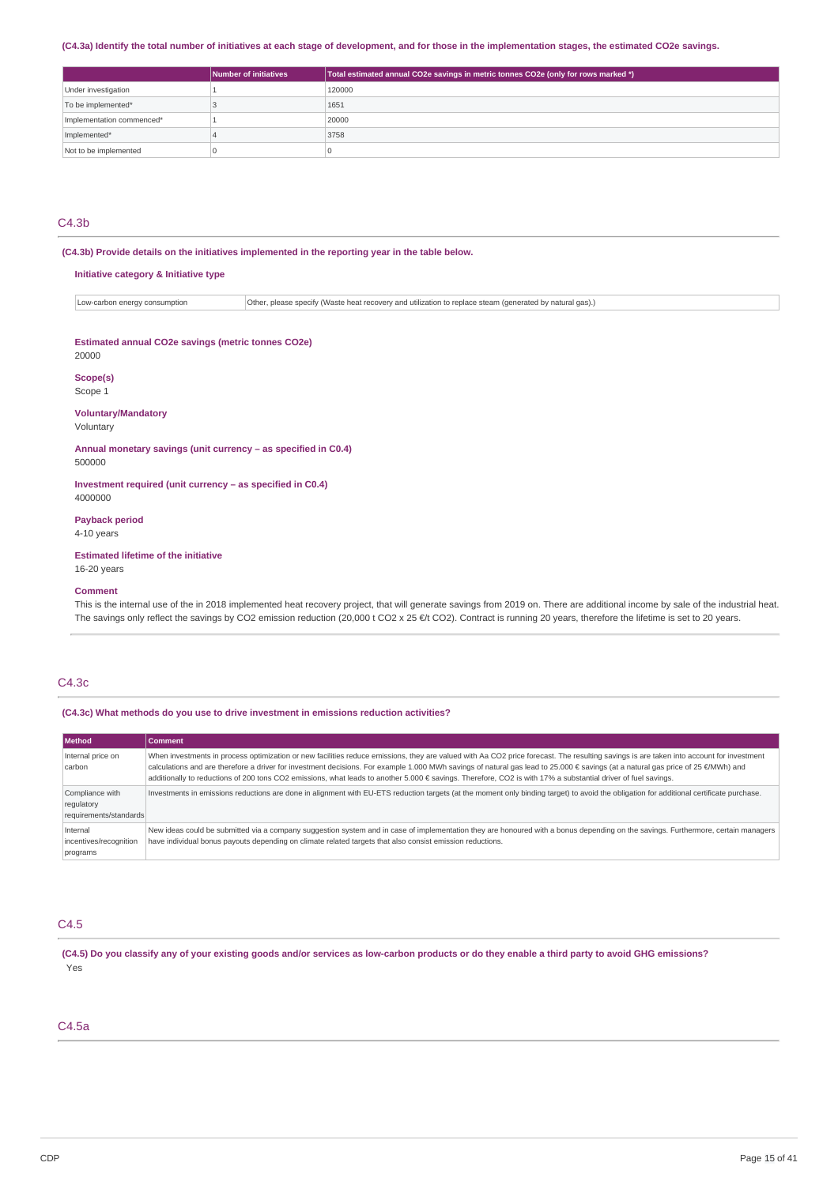# (C4.3a) Identify the total number of initiatives at each stage of development, and for those in the implementation stages, the estimated CO2e savings.

|                           | Number of initiatives | Total estimated annual CO2e savings in metric tonnes CO2e (only for rows marked *) |
|---------------------------|-----------------------|------------------------------------------------------------------------------------|
| Under investigation       |                       | 120000                                                                             |
| To be implemented*        |                       | 1651                                                                               |
| Implementation commenced* |                       | 20000                                                                              |
| Implemented*              |                       | 3758                                                                               |
| Not to be implemented     |                       |                                                                                    |

# C4.3b

**(C4.3b) Provide details on the initiatives implemented in the reporting year in the table below.**

# **Initiative category & Initiative type**

Low-carbon energy consumption  $\overline{O}$  Other, please specify (Waste heat recovery and utilization to replace steam (generated by natural gas).)

#### **Estimated annual CO2e savings (metric tonnes CO2e)** 20000

**Scope(s)**

# Scope 1

#### **Voluntary/Mandatory**

Voluntary

**Annual monetary savings (unit currency – as specified in C0.4)** 500000

**Investment required (unit currency – as specified in C0.4)** 4000000

#### **Payback period**

4-10 years

# **Estimated lifetime of the initiative**

16-20 years

# **Comment**

This is the internal use of the in 2018 implemented heat recovery project, that will generate savings from 2019 on. There are additional income by sale of the industrial heat. The savings only reflect the savings by CO2 emission reduction (20,000 t CO2 x 25 €/t CO2). Contract is running 20 years, therefore the lifetime is set to 20 years.

# C4.3c

**(C4.3c) What methods do you use to drive investment in emissions reduction activities?**

| Method                                                  | <b>Comment</b>                                                                                                                                                                                                                                                                                                                                                                                                                                                                                                                               |
|---------------------------------------------------------|----------------------------------------------------------------------------------------------------------------------------------------------------------------------------------------------------------------------------------------------------------------------------------------------------------------------------------------------------------------------------------------------------------------------------------------------------------------------------------------------------------------------------------------------|
| Internal price on<br>carbon                             | When investments in process optimization or new facilities reduce emissions, they are valued with Aa CO2 price forecast. The resulting savings is are taken into account for investment<br>calculations and are therefore a driver for investment decisions. For example 1.000 MWh savings of natural gas lead to 25.000 € savings (at a natural gas price of 25 €/MWh) and<br>additionally to reductions of 200 tons CO2 emissions, what leads to another 5.000 € savings. Therefore, CO2 is with 17% a substantial driver of fuel savings. |
| Compliance with<br>regulatory<br>requirements/standards | Investments in emissions reductions are done in alignment with EU-ETS reduction targets (at the moment only binding target) to avoid the obligation for additional certificate purchase.                                                                                                                                                                                                                                                                                                                                                     |
| Internal<br>incentives/recognition<br>programs          | New ideas could be submitted via a company suggestion system and in case of implementation they are honoured with a bonus depending on the savings. Furthermore, certain managers<br>have individual bonus payouts depending on climate related targets that also consist emission reductions.                                                                                                                                                                                                                                               |

# C4.5

(C4.5) Do you classify any of your existing goods and/or services as low-carbon products or do they enable a third party to avoid GHG emissions? Yes

# C4.5a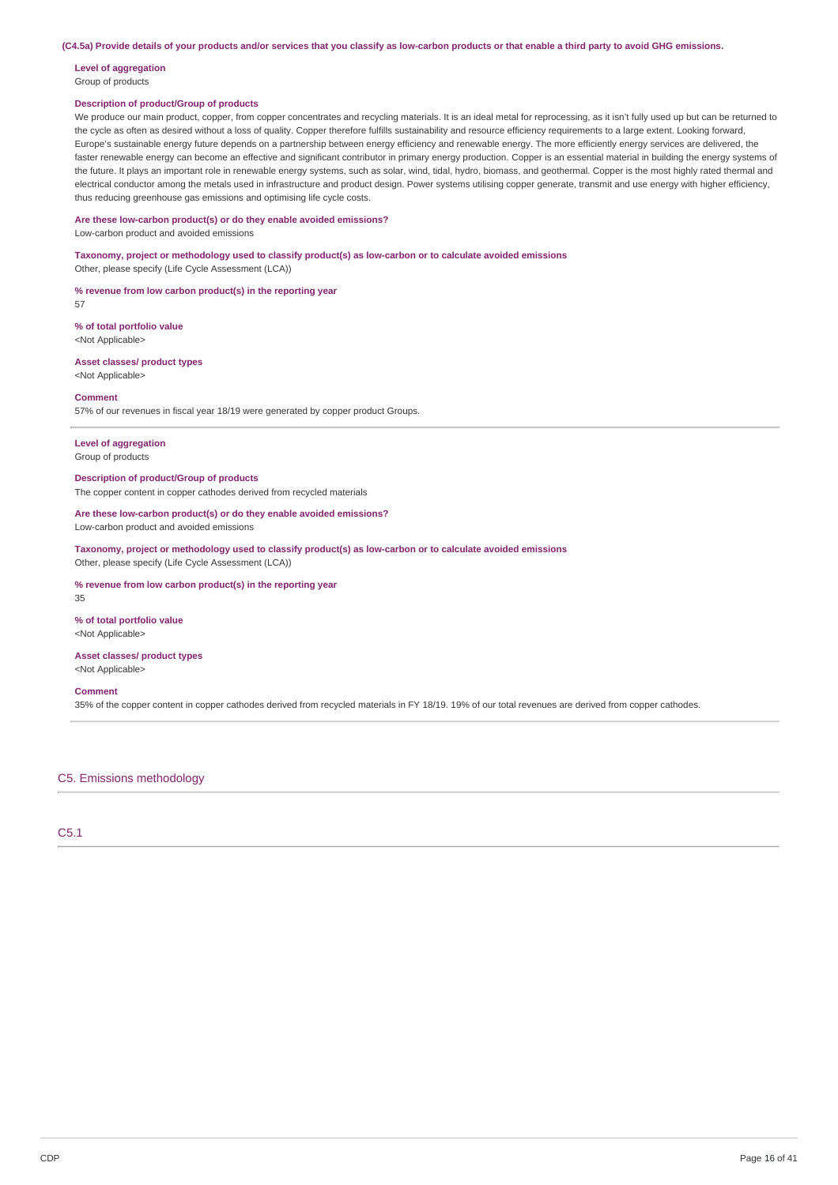(C4.5a) Provide details of your products and/or services that you classify as low-carbon products or that enable a third party to avoid GHG emissions.

# **Level of aggregation**

# Group of products

# **Description of product/Group of products**

We produce our main product, copper, from copper concentrates and recycling materials. It is an ideal metal for reprocessing, as it isn't fully used up but can be returned to the cycle as often as desired without a loss of quality. Copper therefore fulfills sustainability and resource efficiency requirements to a large extent. Looking forward, Europe's sustainable energy future depends on a partnership between energy efficiency and renewable energy. The more efficiently energy services are delivered, the faster renewable energy can become an effective and significant contributor in primary energy production. Copper is an essential material in building the energy systems of the future. It plays an important role in renewable energy systems, such as solar, wind, tidal, hydro, biomass, and geothermal. Copper is the most highly rated thermal and electrical conductor among the metals used in infrastructure and product design. Power systems utilising copper generate, transmit and use energy with higher efficiency, thus reducing greenhouse gas emissions and optimising life cycle costs.

#### **Are these low-carbon product(s) or do they enable avoided emissions?**

Low-carbon product and avoided emissions

**Taxonomy, project or methodology used to classify product(s) as low-carbon or to calculate avoided emissions** Other, please specify (Life Cycle Assessment (LCA))

**% revenue from low carbon product(s) in the reporting year**

57

**% of total portfolio value** <Not Applicable>

**Asset classes/ product types** <Not Applicable>

#### **Comment**

57% of our revenues in fiscal year 18/19 were generated by copper product Groups.

## **Level of aggregation** Group of products

**Description of product/Group of products** The copper content in copper cathodes derived from recycled materials

#### **Are these low-carbon product(s) or do they enable avoided emissions?** Low-carbon product and avoided emissions

**Taxonomy, project or methodology used to classify product(s) as low-carbon or to calculate avoided emissions** Other, please specify (Life Cycle Assessment (LCA))

**% revenue from low carbon product(s) in the reporting year**

**% of total portfolio value** <Not Applicable>

## **Asset classes/ product types**

<Not Applicable>

## **Comment**

35

35% of the copper content in copper cathodes derived from recycled materials in FY 18/19. 19% of our total revenues are derived from copper cathodes.

# C5. Emissions methodology

C5.1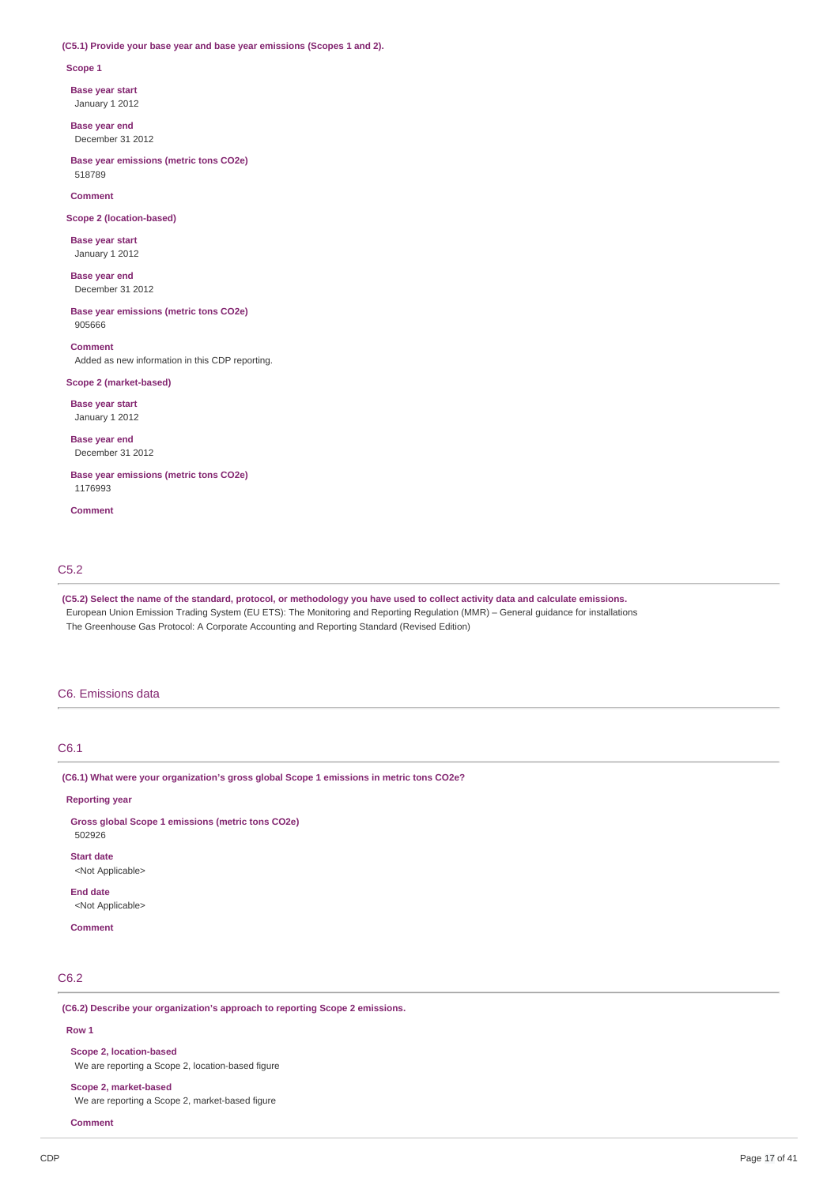#### **(C5.1) Provide your base year and base year emissions (Scopes 1 and 2).**

#### **Scope 1**

**Base year start**

January 1 2012

**Base year end** December 31 2012

**Base year emissions (metric tons CO2e)** 518789

#### **Comment**

**Scope 2 (location-based)**

**Base year start** January 1 2012

**Base year end** December 31 2012

**Base year emissions (metric tons CO2e)** 905666

#### **Comment**

Added as new information in this CDP reporting.

# **Scope 2 (market-based)**

**Base year start**

January 1 2012

**Base year end** December 31 2012

**Base year emissions (metric tons CO2e)** 1176993

**Comment**

## C5.2

(C5.2) Select the name of the standard, protocol, or methodology you have used to collect activity data and calculate emissions. European Union Emission Trading System (EU ETS): The Monitoring and Reporting Regulation (MMR) – General guidance for installations The Greenhouse Gas Protocol: A Corporate Accounting and Reporting Standard (Revised Edition)

#### C6. Emissions data

# C6.1

**(C6.1) What were your organization's gross global Scope 1 emissions in metric tons CO2e?**

#### **Reporting year**

**Gross global Scope 1 emissions (metric tons CO2e)** 502926

**Start date**

<Not Applicable>

**End date**

<Not Applicable>

**Comment**

# C6.2

**(C6.2) Describe your organization's approach to reporting Scope 2 emissions.**

#### **Row 1**

# **Scope 2, location-based**

We are reporting a Scope 2, location-based figure

## **Scope 2, market-based**

We are reporting a Scope 2, market-based figure

**Comment**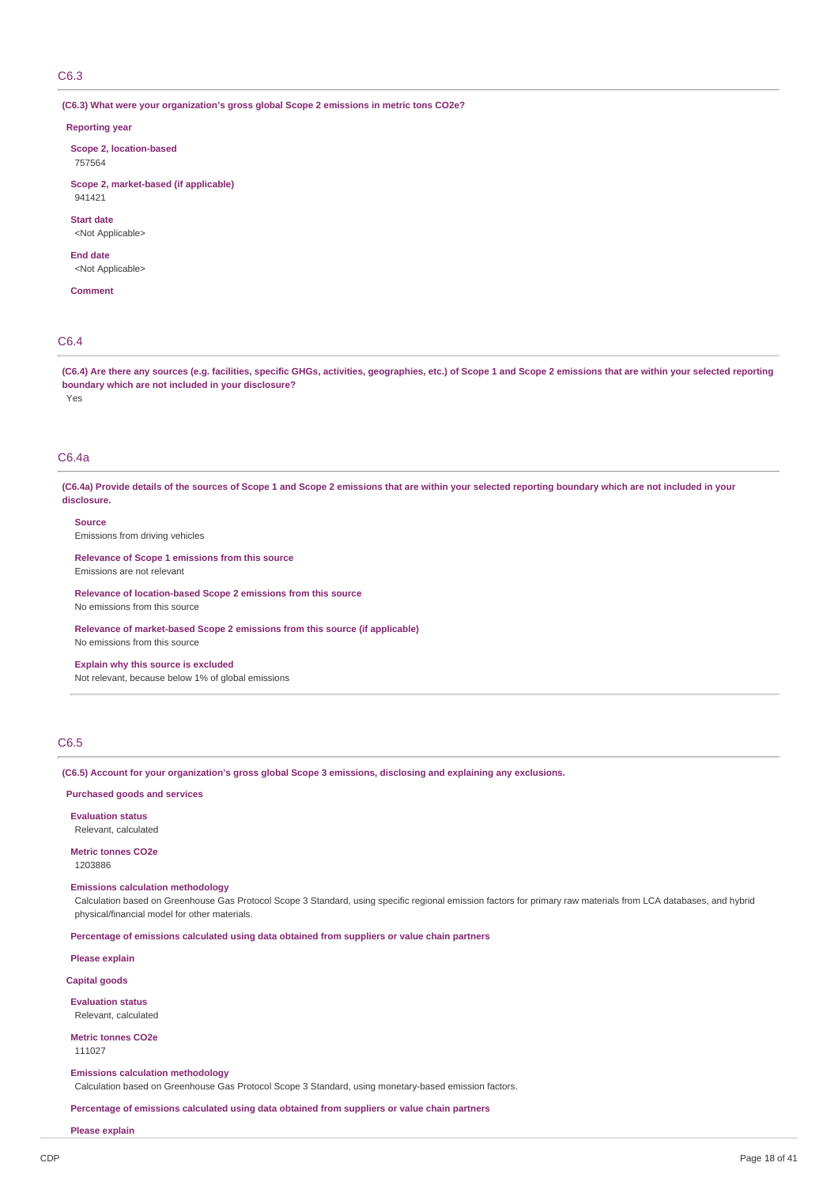C6.3

#### **(C6.3) What were your organization's gross global Scope 2 emissions in metric tons CO2e?**

#### **Reporting year**

**Scope 2, location-based** 757564

**Scope 2, market-based (if applicable)** 941421

**Start date** <Not Applicable>

**End date**

<Not Applicable>

**Comment**

# C6.4

(C6.4) Are there any sources (e.g. facilities, specific GHGs, activities, geographies, etc.) of Scope 1 and Scope 2 emissions that are within your selected reporting **boundary which are not included in your disclosure?**

Yes

# C6.4a

(C6.4a) Provide details of the sources of Scope 1 and Scope 2 emissions that are within your selected reporting boundary which are not included in your **disclosure.**

**Source**

Emissions from driving vehicles

**Relevance of Scope 1 emissions from this source** Emissions are not relevant

**Relevance of location-based Scope 2 emissions from this source** No emissions from this source

**Relevance of market-based Scope 2 emissions from this source (if applicable)** No emissions from this source

**Explain why this source is excluded** Not relevant, because below 1% of global emissions

## C6.5

**(C6.5) Account for your organization's gross global Scope 3 emissions, disclosing and explaining any exclusions.**

## **Purchased goods and services**

**Evaluation status**

Relevant, calculated

**Metric tonnes CO2e** 1203886

**Emissions calculation methodology**

Calculation based on Greenhouse Gas Protocol Scope 3 Standard, using specific regional emission factors for primary raw materials from LCA databases, and hybrid physical/financial model for other materials.

**Percentage of emissions calculated using data obtained from suppliers or value chain partners**

**Please explain**

**Capital goods**

**Evaluation status** Relevant, calculated

**Metric tonnes CO2e** 111027

#### **Emissions calculation methodology**

Calculation based on Greenhouse Gas Protocol Scope 3 Standard, using monetary-based emission factors.

**Percentage of emissions calculated using data obtained from suppliers or value chain partners**

**Please explain**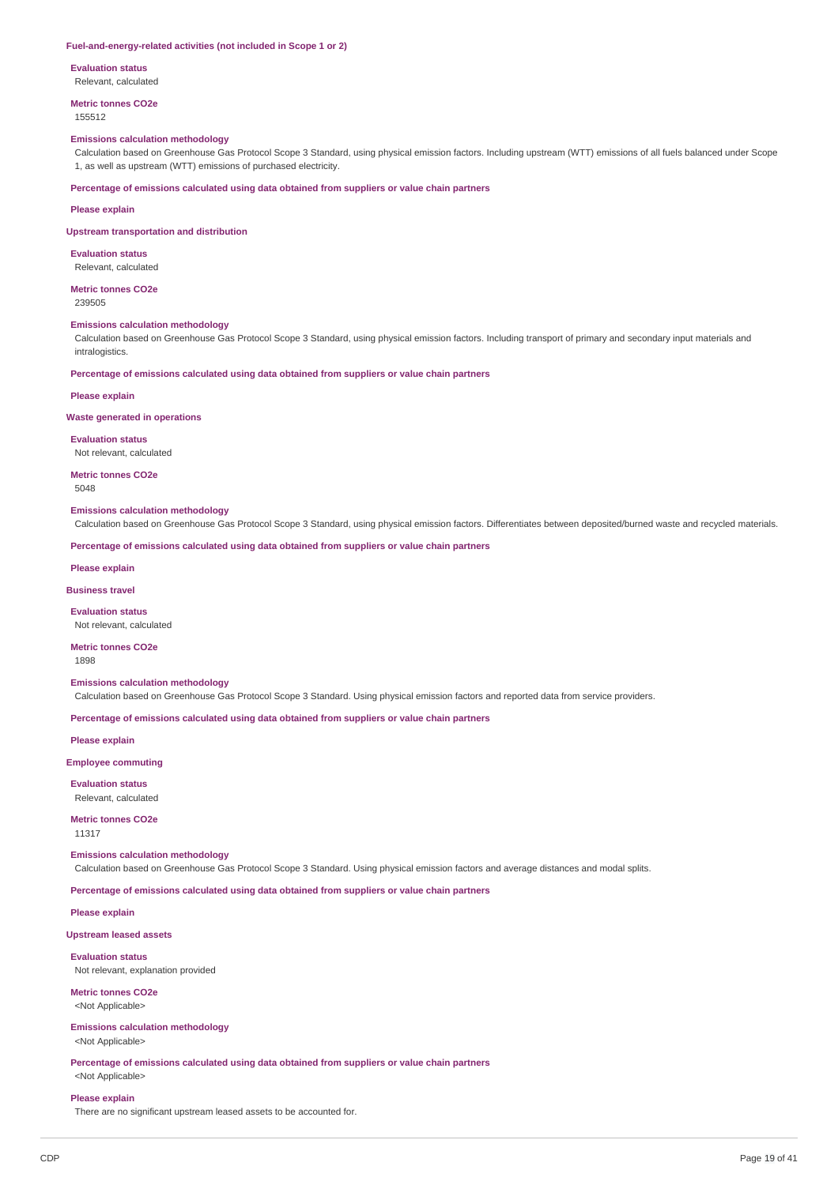#### **Fuel-and-energy-related activities (not included in Scope 1 or 2)**

**Evaluation status**

Relevant, calculated

**Metric tonnes CO2e** 155512

#### **Emissions calculation methodology**

Calculation based on Greenhouse Gas Protocol Scope 3 Standard, using physical emission factors. Including upstream (WTT) emissions of all fuels balanced under Scope 1, as well as upstream (WTT) emissions of purchased electricity.

**Percentage of emissions calculated using data obtained from suppliers or value chain partners**

#### **Please explain**

#### **Upstream transportation and distribution**

**Evaluation status** Relevant, calculated

**Metric tonnes CO2e**

239505

#### **Emissions calculation methodology**

Calculation based on Greenhouse Gas Protocol Scope 3 Standard, using physical emission factors. Including transport of primary and secondary input materials and intralogistics.

**Percentage of emissions calculated using data obtained from suppliers or value chain partners**

#### **Please explain**

#### **Waste generated in operations**

**Evaluation status**

Not relevant, calculated

**Metric tonnes CO2e**

5048

#### **Emissions calculation methodology**

Calculation based on Greenhouse Gas Protocol Scope 3 Standard, using physical emission factors. Differentiates between deposited/burned waste and recycled materials.

**Percentage of emissions calculated using data obtained from suppliers or value chain partners**

#### **Please explain**

**Business travel**

**Evaluation status**

Not relevant, calculated

# **Metric tonnes CO2e**

1898

# **Emissions calculation methodology**

Calculation based on Greenhouse Gas Protocol Scope 3 Standard. Using physical emission factors and reported data from service providers.

**Percentage of emissions calculated using data obtained from suppliers or value chain partners**

**Please explain**

# **Employee commuting**

**Evaluation status**

Relevant, calculated

# **Metric tonnes CO2e**

11317

# **Emissions calculation methodology**

Calculation based on Greenhouse Gas Protocol Scope 3 Standard. Using physical emission factors and average distances and modal splits.

**Percentage of emissions calculated using data obtained from suppliers or value chain partners**

**Please explain**

**Upstream leased assets**

#### **Evaluation status**

Not relevant, explanation provided

#### **Metric tonnes CO2e** <Not Applicable>

# **Emissions calculation methodology**

<Not Applicable>

**Percentage of emissions calculated using data obtained from suppliers or value chain partners** <Not Applicable>

# **Please explain**

There are no significant upstream leased assets to be accounted for.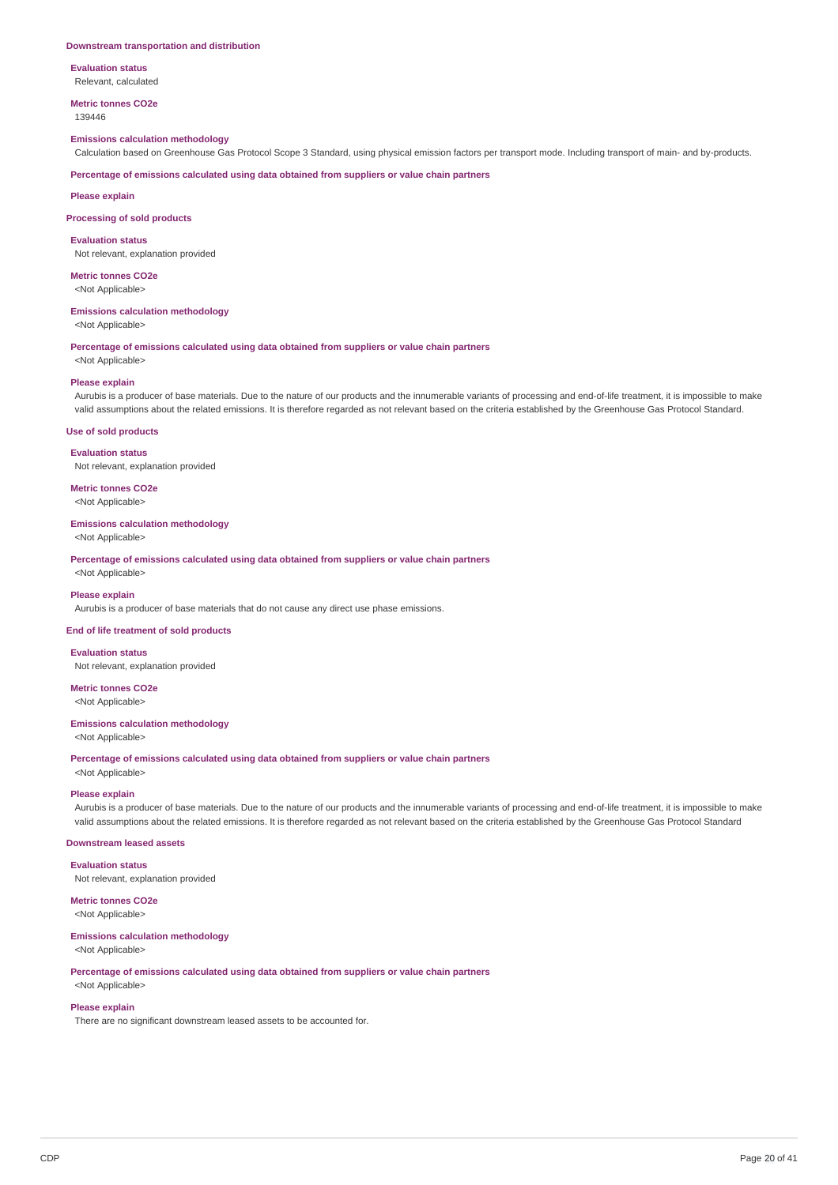#### **Downstream transportation and distribution**

**Evaluation status** Relevant, calculated

**Metric tonnes CO2e**

139446

# **Emissions calculation methodology**

Calculation based on Greenhouse Gas Protocol Scope 3 Standard, using physical emission factors per transport mode. Including transport of main- and by-products.

**Percentage of emissions calculated using data obtained from suppliers or value chain partners**

**Please explain**

#### **Processing of sold products**

**Evaluation status**

Not relevant, explanation provided

**Metric tonnes CO2e** <Not Applicable>

## **Emissions calculation methodology**

<Not Applicable>

# **Percentage of emissions calculated using data obtained from suppliers or value chain partners**

<Not Applicable>

#### **Please explain**

Aurubis is a producer of base materials. Due to the nature of our products and the innumerable variants of processing and end-of-life treatment, it is impossible to make valid assumptions about the related emissions. It is therefore regarded as not relevant based on the criteria established by the Greenhouse Gas Protocol Standard.

#### **Use of sold products**

**Evaluation status**

Not relevant, explanation provided

**Metric tonnes CO2e** <Not Applicable>

#### **Emissions calculation methodology**

<Not Applicable>

**Percentage of emissions calculated using data obtained from suppliers or value chain partners** <Not Applicable>

#### **Please explain**

Aurubis is a producer of base materials that do not cause any direct use phase emissions.

#### **End of life treatment of sold products**

**Evaluation status** Not relevant, explanation provided

**Metric tonnes CO2e** <Not Applicable>

#### **Emissions calculation methodology**

<Not Applicable>

**Percentage of emissions calculated using data obtained from suppliers or value chain partners**

<Not Applicable>

# **Please explain**

Aurubis is a producer of base materials. Due to the nature of our products and the innumerable variants of processing and end-of-life treatment, it is impossible to make valid assumptions about the related emissions. It is therefore regarded as not relevant based on the criteria established by the Greenhouse Gas Protocol Standard

# **Downstream leased assets**

**Evaluation status**

Not relevant, explanation provided

# **Metric tonnes CO2e**

<Not Applicable>

## **Emissions calculation methodology**

<Not Applicable>

**Percentage of emissions calculated using data obtained from suppliers or value chain partners** <Not Applicable>

# **Please explain**

There are no significant downstream leased assets to be accounted for.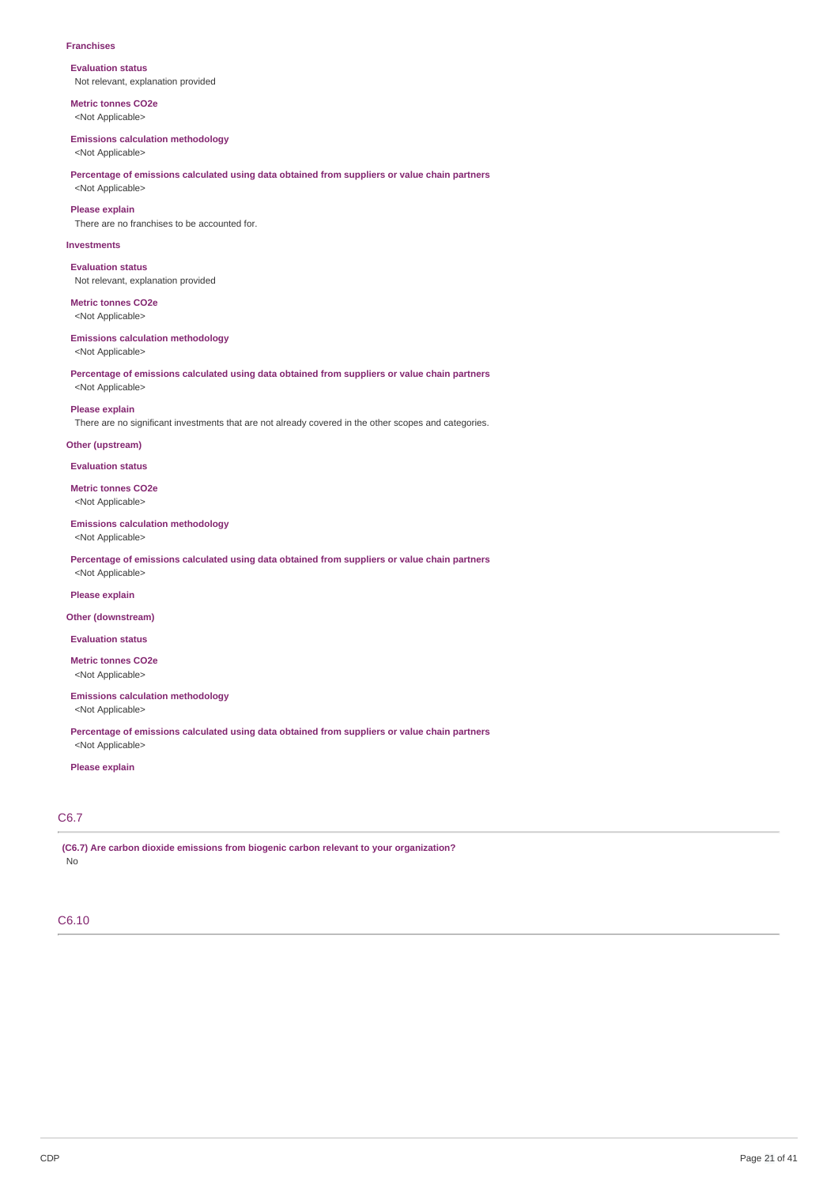#### **Franchises**

**Evaluation status** Not relevant, explanation provided

**Metric tonnes CO2e** <Not Applicable>

#### **Emissions calculation methodology**

<Not Applicable>

## **Percentage of emissions calculated using data obtained from suppliers or value chain partners** <Not Applicable>

**Please explain**

There are no franchises to be accounted for.

## **Investments**

**Evaluation status** Not relevant, explanation provided

**Metric tonnes CO2e** <Not Applicable>

# **Emissions calculation methodology**

<Not Applicable>

# **Percentage of emissions calculated using data obtained from suppliers or value chain partners** <Not Applicable>

**Please explain**

There are no significant investments that are not already covered in the other scopes and categories.

## **Other (upstream)**

**Evaluation status**

**Metric tonnes CO2e** <Not Applicable>

# **Emissions calculation methodology**

<Not Applicable>

**Percentage of emissions calculated using data obtained from suppliers or value chain partners** <Not Applicable>

#### **Please explain**

## **Other (downstream)**

**Evaluation status**

**Metric tonnes CO2e** <Not Applicable>

# **Emissions calculation methodology**

<Not Applicable>

**Percentage of emissions calculated using data obtained from suppliers or value chain partners** <Not Applicable>

## **Please explain**

# C6.7

**(C6.7) Are carbon dioxide emissions from biogenic carbon relevant to your organization?** No

# C6.10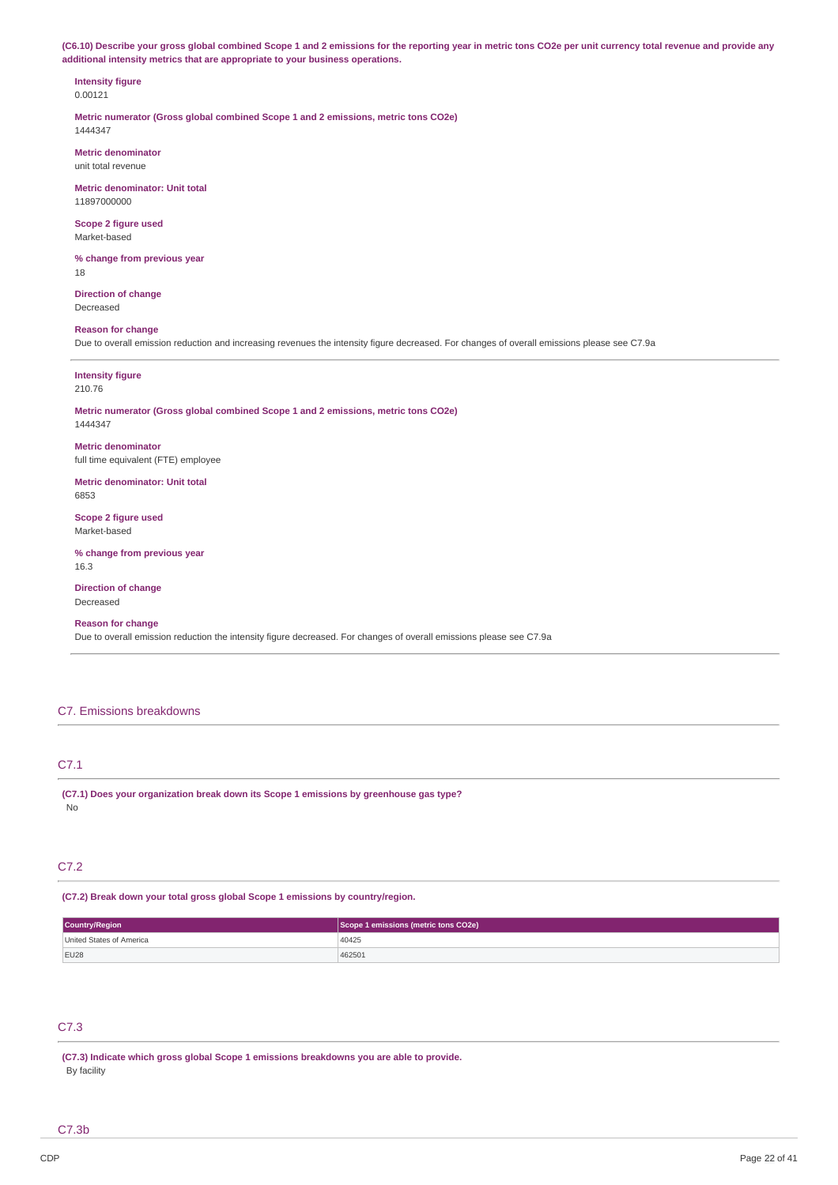(C6.10) Describe your gross global combined Scope 1 and 2 emissions for the reporting year in metric tons CO2e per unit currency total revenue and provide any **additional intensity metrics that are appropriate to your business operations.**

#### **Intensity figure** 0.00121

**Metric numerator (Gross global combined Scope 1 and 2 emissions, metric tons CO2e)** 1444347

**Metric denominator** unit total revenue

**Metric denominator: Unit total** 11897000000

**Scope 2 figure used** Market-based

**% change from previous year** 18

**Direction of change** Decreased

# **Reason for change**

Due to overall emission reduction and increasing revenues the intensity figure decreased. For changes of overall emissions please see C7.9a

## **Intensity figure** 210.76

#### **Metric numerator (Gross global combined Scope 1 and 2 emissions, metric tons CO2e)** 1444347

**Metric denominator** full time equivalent (FTE) employee

**Metric denominator: Unit total** 6853

**Scope 2 figure used** Market-based

**% change from previous year** 16.3

**Direction of change** Decreased

# **Reason for change**

Due to overall emission reduction the intensity figure decreased. For changes of overall emissions please see C7.9a

# C7. Emissions breakdowns

# C7.1

**(C7.1) Does your organization break down its Scope 1 emissions by greenhouse gas type?** No

# C7.2

**(C7.2) Break down your total gross global Scope 1 emissions by country/region.**

| Country/Region           | Scope 1 emissions (metric tons CO2e) |  |
|--------------------------|--------------------------------------|--|
| United States of America | 40425                                |  |
| EU28                     | 462501                               |  |

# C7.3

**(C7.3) Indicate which gross global Scope 1 emissions breakdowns you are able to provide.** By facility

C7.3b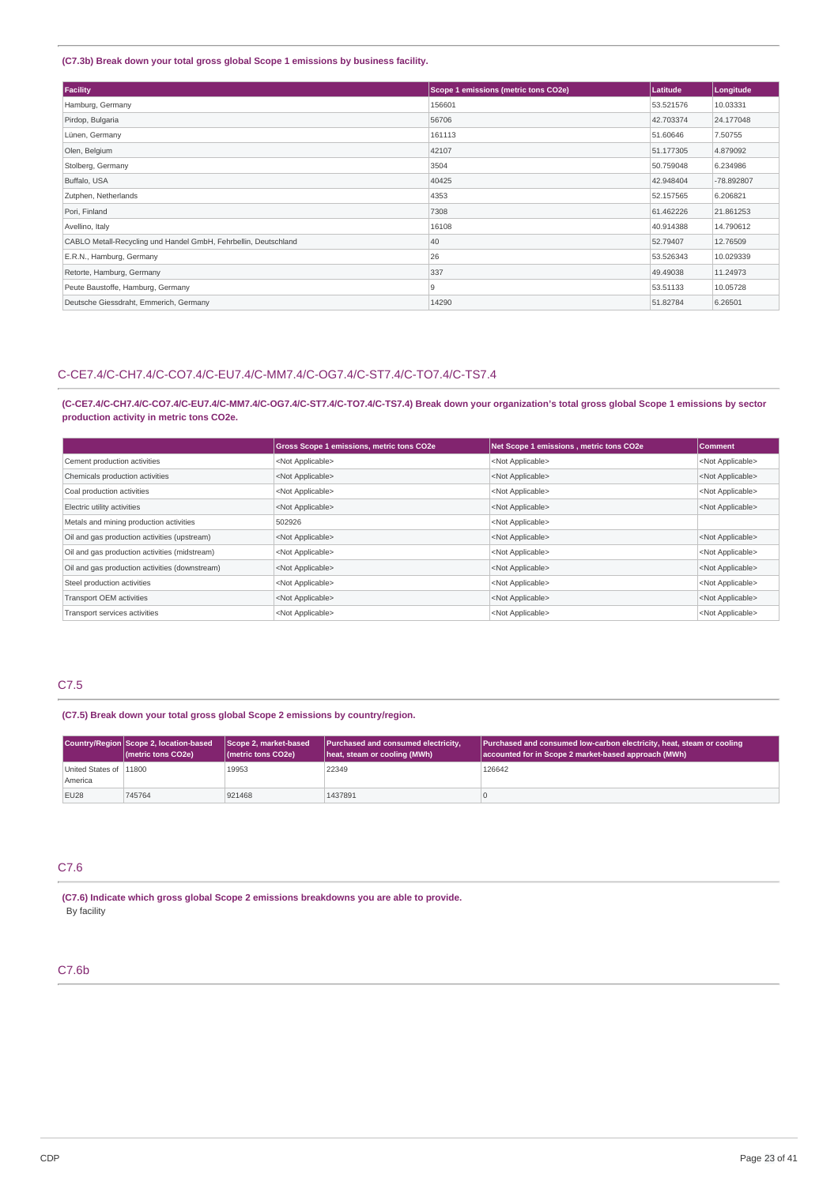# **(C7.3b) Break down your total gross global Scope 1 emissions by business facility.**

| Facility                                                        | Scope 1 emissions (metric tons CO2e) | Latitude  | Longitude  |
|-----------------------------------------------------------------|--------------------------------------|-----------|------------|
| Hamburg, Germany                                                | 156601                               | 53.521576 | 10.03331   |
| Pirdop, Bulgaria                                                | 56706                                | 42.703374 | 24.177048  |
| Lünen, Germany                                                  | 161113                               | 51.60646  | 7.50755    |
| Olen, Belgium                                                   | 42107                                | 51.177305 | 4.879092   |
| Stolberg, Germany                                               | 3504                                 | 50.759048 | 6.234986   |
| Buffalo, USA                                                    | 40425                                | 42.948404 | -78.892807 |
| Zutphen, Netherlands                                            | 4353                                 | 52.157565 | 6.206821   |
| Pori, Finland                                                   | 7308                                 | 61.462226 | 21.861253  |
| Avellino, Italy                                                 | 16108                                | 40.914388 | 14.790612  |
| CABLO Metall-Recycling und Handel GmbH, Fehrbellin, Deutschland | 40                                   | 52.79407  | 12.76509   |
| E.R.N., Hamburg, Germany                                        | 26                                   | 53.526343 | 10.029339  |
| Retorte, Hamburg, Germany                                       | 337                                  | 49.49038  | 11.24973   |
| Peute Baustoffe, Hamburg, Germany                               | 9                                    | 53.51133  | 10.05728   |
| Deutsche Giessdraht, Emmerich, Germany                          | 14290                                | 51,82784  | 6.26501    |

# C-CE7.4/C-CH7.4/C-CO7.4/C-EU7.4/C-MM7.4/C-OG7.4/C-ST7.4/C-TO7.4/C-TS7.4

(C-CE7.4/C-CH7.4/C-CO7.4/C-EU7.4/C-MM7.4/C-OG7.4/C-ST7.4/C-TO7.4/C-TS7.4) Break down your organization's total gross global Scope 1 emissions by sector **production activity in metric tons CO2e.**

|                                                | Gross Scope 1 emissions, metric tons CO2e | Net Scope 1 emissions, metric tons CO2e | <b>Comment</b>            |
|------------------------------------------------|-------------------------------------------|-----------------------------------------|---------------------------|
| Cement production activities                   | <not applicable=""></not>                 | <not applicable=""></not>               | <not applicable=""></not> |
| Chemicals production activities                | <not applicable=""></not>                 | <not applicable=""></not>               | <not applicable=""></not> |
| Coal production activities                     | <not applicable=""></not>                 | <not applicable=""></not>               | <not applicable=""></not> |
| Electric utility activities                    | <not applicable=""></not>                 | <not applicable=""></not>               | <not applicable=""></not> |
| Metals and mining production activities        | 502926                                    | <not applicable=""></not>               |                           |
| Oil and gas production activities (upstream)   | <not applicable=""></not>                 | <not applicable=""></not>               | <not applicable=""></not> |
| Oil and gas production activities (midstream)  | <not applicable=""></not>                 | <not applicable=""></not>               | <not applicable=""></not> |
| Oil and gas production activities (downstream) | <not applicable=""></not>                 | <not applicable=""></not>               | <not applicable=""></not> |
| Steel production activities                    | <not applicable=""></not>                 | <not applicable=""></not>               | <not applicable=""></not> |
| Transport OEM activities                       | <not applicable=""></not>                 | <not applicable=""></not>               | <not applicable=""></not> |
| Transport services activities                  | <not applicable=""></not>                 | <not applicable=""></not>               | <not applicable=""></not> |

# C7.5

**(C7.5) Break down your total gross global Scope 2 emissions by country/region.**

|                                   | Country/Region Scope 2, location-based<br>(metric tons CO2e) | Scope 2, market-based<br>(metric tons CO2e) | Purchased and consumed electricity,<br>heat, steam or cooling (MWh) | <b>Purchased and consumed low-carbon electricity, heat, steam or cooling</b><br>accounted for in Scope 2 market-based approach (MWh) |
|-----------------------------------|--------------------------------------------------------------|---------------------------------------------|---------------------------------------------------------------------|--------------------------------------------------------------------------------------------------------------------------------------|
| United States of 11800<br>America |                                                              | 19953                                       | 22349                                                               | 126642                                                                                                                               |
| <b>EU28</b>                       | 745764                                                       | 921468                                      | 1437891                                                             |                                                                                                                                      |

# C7.6

**(C7.6) Indicate which gross global Scope 2 emissions breakdowns you are able to provide.** By facility

# C7.6b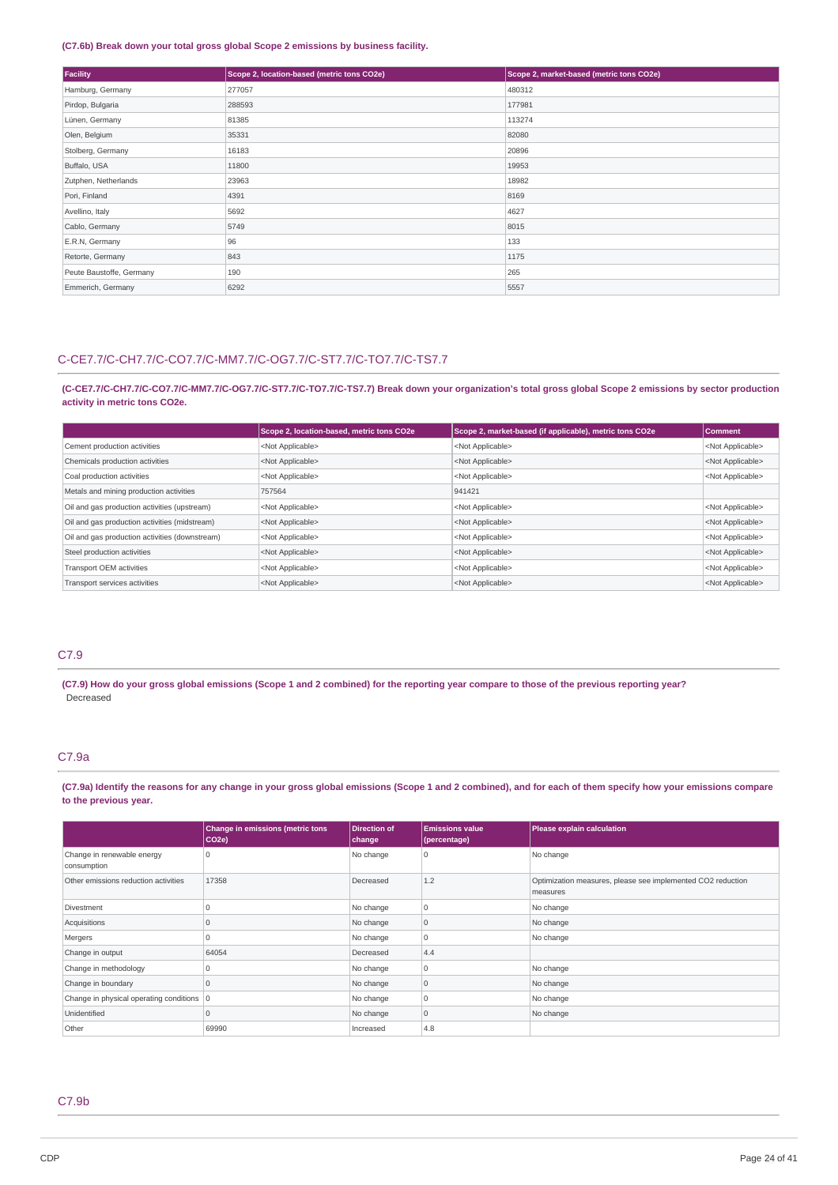# **(C7.6b) Break down your total gross global Scope 2 emissions by business facility.**

| Facility                 | Scope 2, location-based (metric tons CO2e) | Scope 2, market-based (metric tons CO2e) |
|--------------------------|--------------------------------------------|------------------------------------------|
| Hamburg, Germany         | 277057                                     | 480312                                   |
| Pirdop, Bulgaria         | 288593                                     | 177981                                   |
| Lünen, Germany           | 81385                                      | 113274                                   |
| Olen, Belgium            | 35331                                      | 82080                                    |
| Stolberg, Germany        | 16183                                      | 20896                                    |
| Buffalo, USA             | 11800                                      | 19953                                    |
| Zutphen, Netherlands     | 23963                                      | 18982                                    |
| Pori, Finland            | 4391                                       | 8169                                     |
| Avellino, Italy          | 5692                                       | 4627                                     |
| Cablo, Germany           | 5749                                       | 8015                                     |
| E.R.N, Germany           | 96                                         | 133                                      |
| Retorte, Germany         | 843                                        | 1175                                     |
| Peute Baustoffe, Germany | 190                                        | 265                                      |
| Emmerich, Germany        | 6292                                       | 5557                                     |

# C-CE7.7/C-CH7.7/C-CO7.7/C-MM7.7/C-OG7.7/C-ST7.7/C-TO7.7/C-TS7.7

(C-CE7.7/C-CH7.7/C-CO7.7/C-MM7.7/C-OG7.7/C-ST7.7/C-TO7.7/C-TS7.7) Break down your organization's total gross global Scope 2 emissions by sector production **activity in metric tons CO2e.**

|                                                | Scope 2, location-based, metric tons CO2e | Scope 2, market-based (if applicable), metric tons CO2e | Comment                   |
|------------------------------------------------|-------------------------------------------|---------------------------------------------------------|---------------------------|
| Cement production activities                   | <not applicable=""></not>                 | <not applicable=""></not>                               | <not applicable=""></not> |
| Chemicals production activities                | <not applicable=""></not>                 | <not applicable=""></not>                               | <not applicable=""></not> |
| Coal production activities                     | <not applicable=""></not>                 | <not applicable=""></not>                               | <not applicable=""></not> |
| Metals and mining production activities        | 757564                                    | 941421                                                  |                           |
| Oil and gas production activities (upstream)   | <not applicable=""></not>                 | <not applicable=""></not>                               | <not applicable=""></not> |
| Oil and gas production activities (midstream)  | <not applicable=""></not>                 | <not applicable=""></not>                               | <not applicable=""></not> |
| Oil and gas production activities (downstream) | <not applicable=""></not>                 | <not applicable=""></not>                               | <not applicable=""></not> |
| Steel production activities                    | <not applicable=""></not>                 | <not applicable=""></not>                               | <not applicable=""></not> |
| Transport OEM activities                       | <not applicable=""></not>                 | <not applicable=""></not>                               | <not applicable=""></not> |
| Transport services activities                  | <not applicable=""></not>                 | <not applicable=""></not>                               | <not applicable=""></not> |

# C7.9

(C7.9) How do your gross global emissions (Scope 1 and 2 combined) for the reporting year compare to those of the previous reporting year? Decreased

# C7.9a

(C7.9a) Identify the reasons for any change in your gross global emissions (Scope 1 and 2 combined), and for each of them specify how your emissions compare **to the previous year.**

|                                           | Change in emissions (metric tons | Direction of | <b>Emissions value</b> | Please explain calculation                                              |
|-------------------------------------------|----------------------------------|--------------|------------------------|-------------------------------------------------------------------------|
|                                           | CO <sub>2e</sub>                 | change       | (percentage)           |                                                                         |
| Change in renewable energy<br>consumption | 0                                | No change    | 0                      | No change                                                               |
| Other emissions reduction activities      | 17358                            | Decreased    | 1.2                    | Optimization measures, please see implemented CO2 reduction<br>measures |
| Divestment                                |                                  | No change    | 0                      | No change                                                               |
| Acquisitions                              | $\Omega$                         | No change    | 0                      | No change                                                               |
| Mergers                                   |                                  | No change    | $\Omega$               | No change                                                               |
| Change in output                          | 64054                            | Decreased    | 4.4                    |                                                                         |
| Change in methodology                     | 0                                | No change    | 0                      | No change                                                               |
| Change in boundary                        | $\Omega$                         | No change    | $\Omega$               | No change                                                               |
| Change in physical operating conditions 0 |                                  | No change    | $\Omega$               | No change                                                               |
| Unidentified                              |                                  | No change    | 0                      | No change                                                               |
| Other                                     | 69990                            | Increased    | 4.8                    |                                                                         |

# C7.9b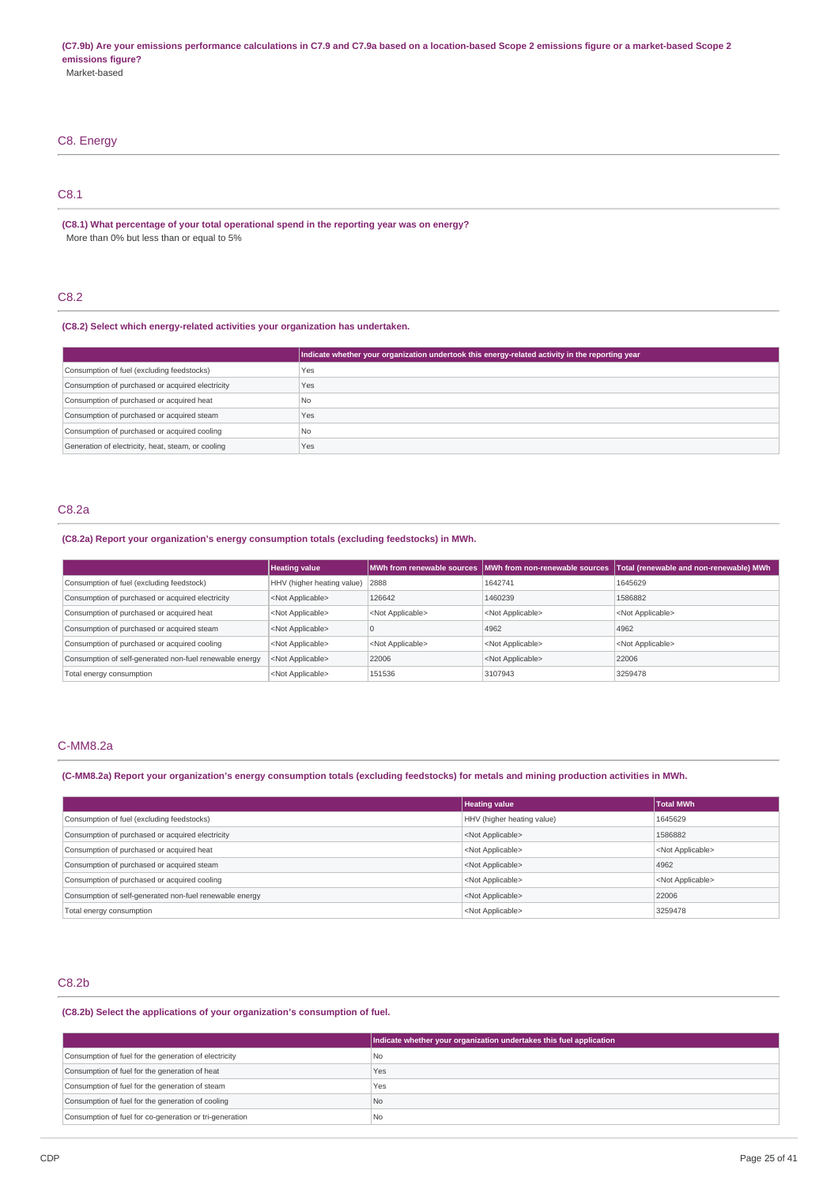# C8. Energy C8.1

**(C8.1) What percentage of your total operational spend in the reporting year was on energy?** More than 0% but less than or equal to 5%

# C8.2

**(C8.2) Select which energy-related activities your organization has undertaken.**

|                                                    | Indicate whether your organization undertook this energy-related activity in the reporting year |
|----------------------------------------------------|-------------------------------------------------------------------------------------------------|
| Consumption of fuel (excluding feedstocks)         | Yes                                                                                             |
| Consumption of purchased or acquired electricity   | Yes                                                                                             |
| Consumption of purchased or acquired heat          | l No                                                                                            |
| Consumption of purchased or acquired steam         | Yes                                                                                             |
| Consumption of purchased or acquired cooling       | No.                                                                                             |
| Generation of electricity, heat, steam, or cooling | Yes                                                                                             |

# C8.2a

**(C8.2a) Report your organization's energy consumption totals (excluding feedstocks) in MWh.**

|                                                         | <b>Heating value</b>              |                           | MWh from renewable sources MWh from non-renewable sources | Total (renewable and non-renewable) MWh |
|---------------------------------------------------------|-----------------------------------|---------------------------|-----------------------------------------------------------|-----------------------------------------|
| Consumption of fuel (excluding feedstock)               | HHV (higher heating value)   2888 |                           | 1642741                                                   | 1645629                                 |
| Consumption of purchased or acquired electricity        | <not applicable=""></not>         | 126642                    | 1460239                                                   | 1586882                                 |
| Consumption of purchased or acquired heat               | <not applicable=""></not>         | <not applicable=""></not> | <not applicable=""></not>                                 | <not applicable=""></not>               |
| Consumption of purchased or acquired steam              | <not applicable=""></not>         | u                         | 4962                                                      | 4962                                    |
| Consumption of purchased or acquired cooling            | <not applicable=""></not>         | <not applicable=""></not> | <not applicable=""></not>                                 | <not applicable=""></not>               |
| Consumption of self-generated non-fuel renewable energy | <not applicable=""></not>         | 22006                     | <not applicable=""></not>                                 | 22006                                   |
| Total energy consumption                                | <not applicable=""></not>         | 151536                    | 3107943                                                   | 3259478                                 |

# C-MM8.2a

(C-MM8.2a) Report your organization's energy consumption totals (excluding feedstocks) for metals and mining production activities in MWh.

|                                                         | <b>Heating value</b>       | <b>Total MWh</b>          |
|---------------------------------------------------------|----------------------------|---------------------------|
| Consumption of fuel (excluding feedstocks)              | HHV (higher heating value) | 1645629                   |
| Consumption of purchased or acquired electricity        | <not applicable=""></not>  | 1586882                   |
| Consumption of purchased or acquired heat               | <not applicable=""></not>  | <not applicable=""></not> |
| Consumption of purchased or acquired steam              | <not applicable=""></not>  | 4962                      |
| Consumption of purchased or acquired cooling            | <not applicable=""></not>  | <not applicable=""></not> |
| Consumption of self-generated non-fuel renewable energy | <not applicable=""></not>  | 22006                     |
| Total energy consumption                                | <not applicable=""></not>  | 3259478                   |
|                                                         |                            |                           |

# C8.2b

**(C8.2b) Select the applications of your organization's consumption of fuel.**

|                                                         | Indicate whether your organization undertakes this fuel application |
|---------------------------------------------------------|---------------------------------------------------------------------|
| Consumption of fuel for the generation of electricity   | l No                                                                |
| Consumption of fuel for the generation of heat          | Yes                                                                 |
| Consumption of fuel for the generation of steam         | Yes                                                                 |
| Consumption of fuel for the generation of cooling       | l No                                                                |
| Consumption of fuel for co-generation or tri-generation | l Nc                                                                |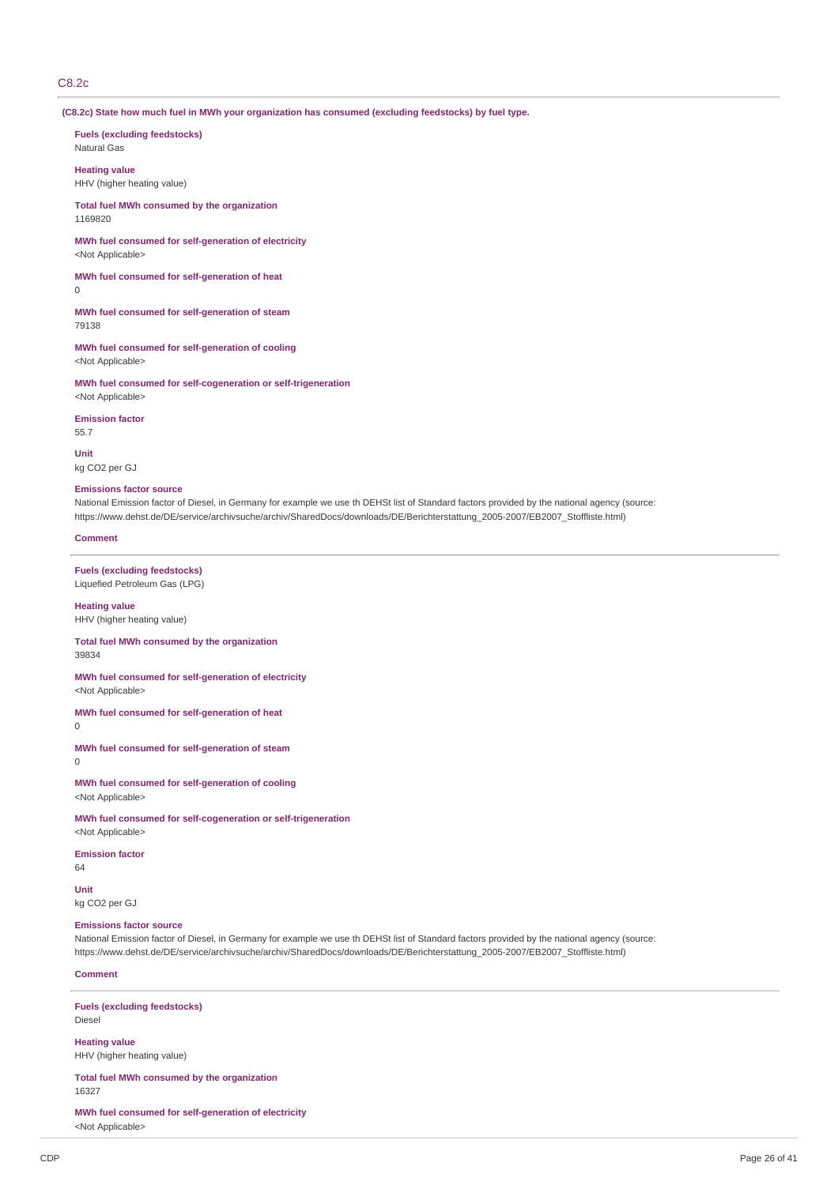# C8.2c

**(C8.2c) State how much fuel in MWh your organization has consumed (excluding feedstocks) by fuel type.**

**Fuels (excluding feedstocks)** Natural Gas

**Heating value** HHV (higher heating value)

**Total fuel MWh consumed by the organization** 1169820

**MWh fuel consumed for self-generation of electricity** <Not Applicable>

**MWh fuel consumed for self-generation of heat**  $\Omega$ 

**MWh fuel consumed for self-generation of steam** 79138

**MWh fuel consumed for self-generation of cooling** <Not Applicable>

**MWh fuel consumed for self-cogeneration or self-trigeneration** <Not Applicable>

**Emission factor** 55.7

**Unit** kg CO2 per GJ

# **Emissions factor source**

National Emission factor of Diesel, in Germany for example we use th DEHSt list of Standard factors provided by the national agency (source: https://www.dehst.de/DE/service/archivsuche/archiv/SharedDocs/downloads/DE/Berichterstattung\_2005-2007/EB2007\_Stoffliste.html)

**Comment**

**Fuels (excluding feedstocks)** Liquefied Petroleum Gas (LPG)

**Heating value** HHV (higher heating value)

**Total fuel MWh consumed by the organization** 39834

**MWh fuel consumed for self-generation of electricity** <Not Applicable>

**MWh fuel consumed for self-generation of heat**

 $\theta$ 

**MWh fuel consumed for self-generation of steam**  $\overline{0}$ 

**MWh fuel consumed for self-generation of cooling** <Not Applicable>

**MWh fuel consumed for self-cogeneration or self-trigeneration** <Not Applicable>

**Emission factor**

64

**Unit**

kg CO2 per GJ

# **Emissions factor source**

National Emission factor of Diesel, in Germany for example we use th DEHSt list of Standard factors provided by the national agency (source: https://www.dehst.de/DE/service/archivsuche/archiv/SharedDocs/downloads/DE/Berichterstattung\_2005-2007/EB2007\_Stoffliste.html)

# **Comment**

**Fuels (excluding feedstocks)** Diesel

**Heating value** HHV (higher heating value)

**Total fuel MWh consumed by the organization** 16327

**MWh fuel consumed for self-generation of electricity** <Not Applicable>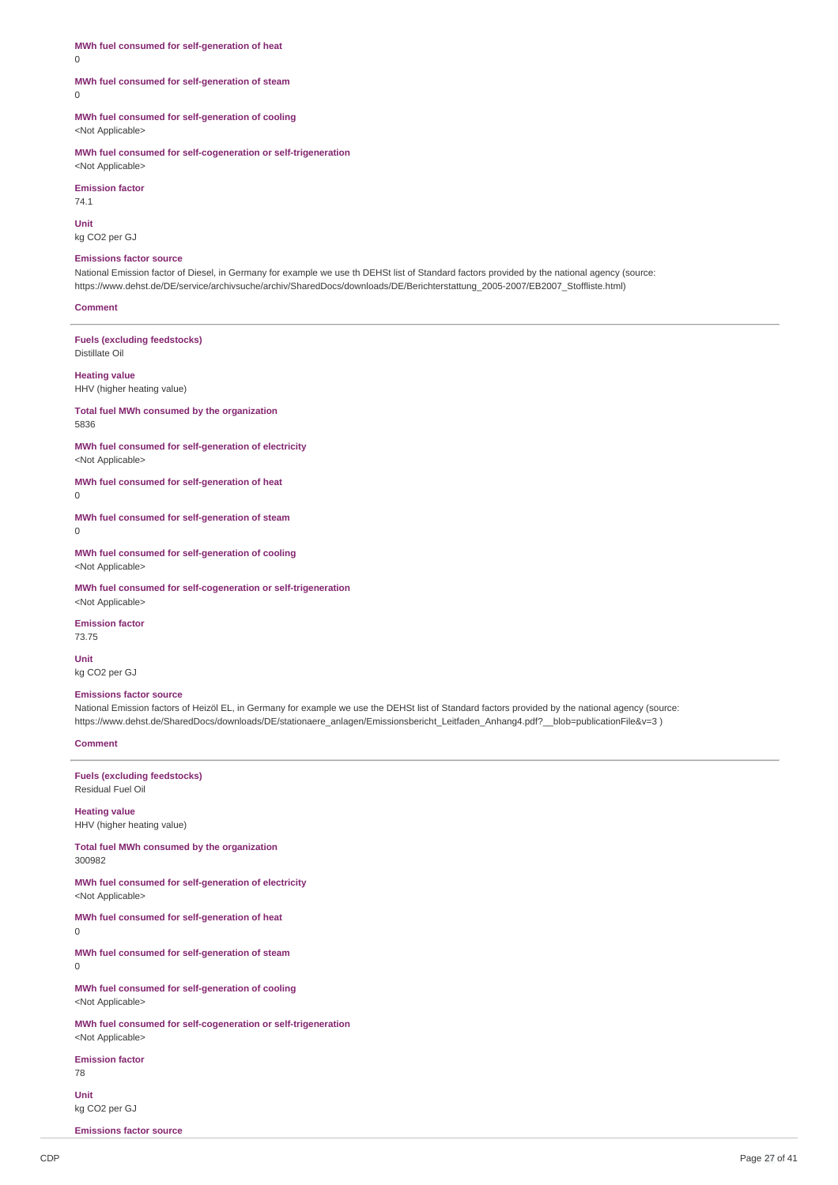**MWh fuel consumed for self-generation of heat**

0

## **MWh fuel consumed for self-generation of steam**

 $\theta$ 

**MWh fuel consumed for self-generation of cooling** <Not Applicable>

**MWh fuel consumed for self-cogeneration or self-trigeneration** <Not Applicable>

**Emission factor**

74.1 **Unit**

kg CO2 per GJ

## **Emissions factor source**

National Emission factor of Diesel, in Germany for example we use th DEHSt list of Standard factors provided by the national agency (source: https://www.dehst.de/DE/service/archivsuche/archiv/SharedDocs/downloads/DE/Berichterstattung\_2005-2007/EB2007\_Stoffliste.html)

#### **Comment**

**Fuels (excluding feedstocks)** Distillate Oil

**Heating value**

HHV (higher heating value)

**Total fuel MWh consumed by the organization** 5836

**MWh fuel consumed for self-generation of electricity** <Not Applicable>

**MWh fuel consumed for self-generation of heat**  $\Omega$ 

**MWh fuel consumed for self-generation of steam**

 $\Omega$ 

**MWh fuel consumed for self-generation of cooling** <Not Applicable>

**MWh fuel consumed for self-cogeneration or self-trigeneration** <Not Applicable>

**Emission factor** 73.75

**Unit** kg CO2 per GJ

#### **Emissions factor source**

National Emission factors of Heizöl EL, in Germany for example we use the DEHSt list of Standard factors provided by the national agency (source: https://www.dehst.de/SharedDocs/downloads/DE/stationaere\_anlagen/Emissionsbericht\_Leitfaden\_Anhang4.pdf?\_\_blob=publicationFile&v=3 )

#### **Comment**

**Fuels (excluding feedstocks)** Residual Fuel Oil

**Heating value** HHV (higher heating value)

**Total fuel MWh consumed by the organization** 300982

**MWh fuel consumed for self-generation of electricity** <Not Applicable>

**MWh fuel consumed for self-generation of heat**

0

**MWh fuel consumed for self-generation of steam**  $\Omega$ 

**MWh fuel consumed for self-generation of cooling** <Not Applicable>

**MWh fuel consumed for self-cogeneration or self-trigeneration** <Not Applicable>

**Emission factor**

78

**Unit** kg CO2 per GJ

**Emissions factor source**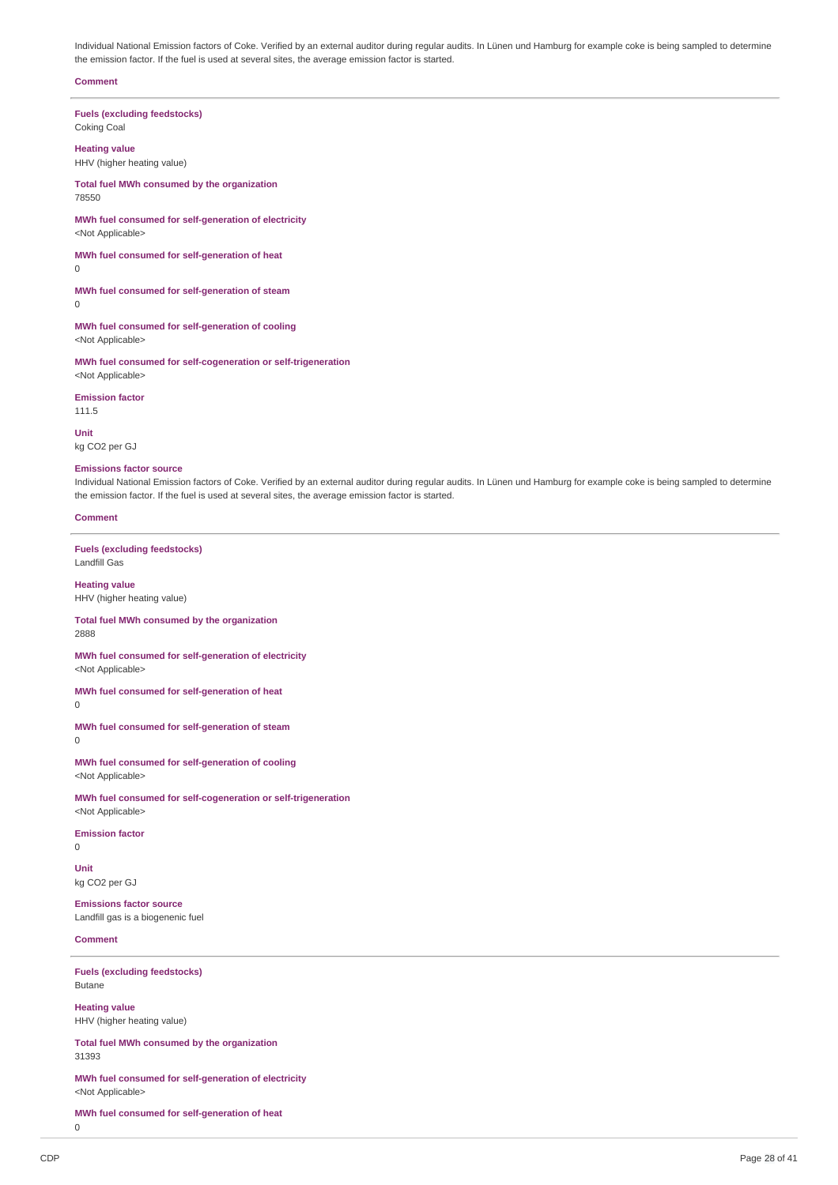Individual National Emission factors of Coke. Verified by an external auditor during regular audits. In Lünen und Hamburg for example coke is being sampled to determine the emission factor. If the fuel is used at several sites, the average emission factor is started.

#### **Comment**

**Fuels (excluding feedstocks)** Coking Coal

**Heating value** HHV (higher heating value)

**Total fuel MWh consumed by the organization** 78550

**MWh fuel consumed for self-generation of electricity** <Not Applicable>

**MWh fuel consumed for self-generation of heat**  $\overline{0}$ 

**MWh fuel consumed for self-generation of steam** 0

**MWh fuel consumed for self-generation of cooling** <Not Applicable>

**MWh fuel consumed for self-cogeneration or self-trigeneration** <Not Applicable>

**Emission factor** 111.5

**Unit**

kg CO2 per GJ

# **Emissions factor source**

Individual National Emission factors of Coke. Verified by an external auditor during regular audits. In Lünen und Hamburg for example coke is being sampled to determine the emission factor. If the fuel is used at several sites, the average emission factor is started.

# **Comment**

**Fuels (excluding feedstocks)** Landfill Gas

**Heating value** HHV (higher heating value)

#### **Total fuel MWh consumed by the organization** 2888

**MWh fuel consumed for self-generation of electricity** <Not Applicable>

**MWh fuel consumed for self-generation of heat**  $\Omega$ 

**MWh fuel consumed for self-generation of steam**  $\Omega$ 

**MWh fuel consumed for self-generation of cooling** <Not Applicable>

**MWh fuel consumed for self-cogeneration or self-trigeneration** <Not Applicable>

# **Emission factor**

 $\Omega$ 

**Unit** kg CO2 per GJ

**Emissions factor source** Landfill gas is a biogenenic fuel

# **Comment**

**Fuels (excluding feedstocks)** Butane

**Heating value** HHV (higher heating value)

**Total fuel MWh consumed by the organization** 31393

**MWh fuel consumed for self-generation of electricity** <Not Applicable>

**MWh fuel consumed for self-generation of heat**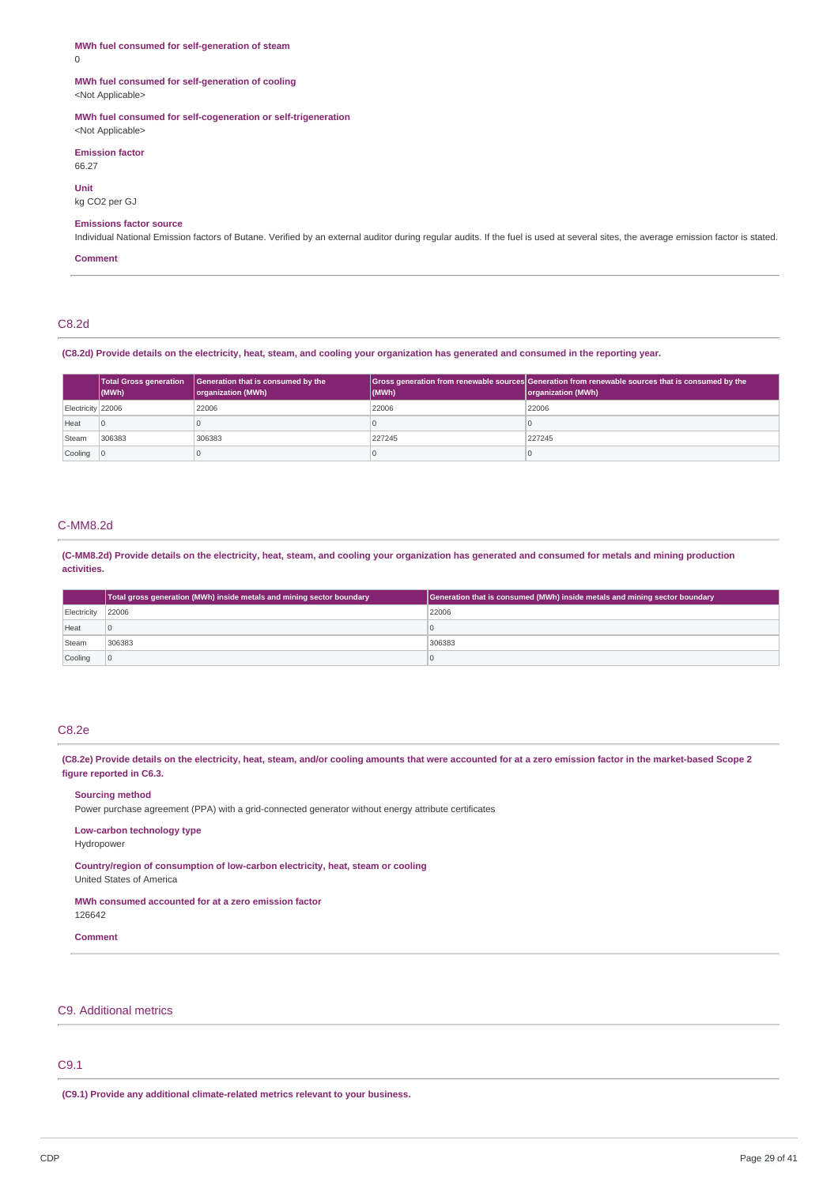# **MWh fuel consumed for self-generation of steam**

0

#### **MWh fuel consumed for self-generation of cooling** <Not Applicable>

## **MWh fuel consumed for self-cogeneration or self-trigeneration**

<Not Applicable>

**Emission factor** 66.27

**Unit** kg CO2 per GJ

## **Emissions factor source**

Individual National Emission factors of Butane. Verified by an external auditor during regular audits. If the fuel is used at several sites, the average emission factor is stated.

# **Comment**

# C8.2d

(C8.2d) Provide details on the electricity, heat, steam, and cooling your organization has generated and consumed in the reporting year.

|                           | $ $ (MWh) | Total Gross generation Generation that is consumed by the<br>organization (MWh) | (MWh)  | Gross generation from renewable sources Generation from renewable sources that is consumed by the<br>organization (MWh) |
|---------------------------|-----------|---------------------------------------------------------------------------------|--------|-------------------------------------------------------------------------------------------------------------------------|
| Electricity 22006         |           | 22006                                                                           | 22006  | 22006                                                                                                                   |
| Heat                      |           |                                                                                 |        |                                                                                                                         |
| Steam                     | 306383    | 306383                                                                          | 227245 | 227245                                                                                                                  |
| $\vert$ Cooling $\vert$ 0 |           |                                                                                 |        |                                                                                                                         |

## C-MM8.2d

(C-MM8.2d) Provide details on the electricity, heat, steam, and cooling your organization has generated and consumed for metals and mining production **activities.**

|             | Total gross generation (MWh) inside metals and mining sector boundary | Generation that is consumed (MWh) inside metals and mining sector boundary |
|-------------|-----------------------------------------------------------------------|----------------------------------------------------------------------------|
| Electricity | 22006                                                                 | 22006                                                                      |
| Heat        |                                                                       |                                                                            |
| Steam       | 306383                                                                | 306383                                                                     |
| Cooling     |                                                                       |                                                                            |

# C8.2e

(C8.2e) Provide details on the electricity, heat, steam, and/or cooling amounts that were accounted for at a zero emission factor in the market-based Scope 2 **figure reported in C6.3.**

# **Sourcing method**

Power purchase agreement (PPA) with a grid-connected generator without energy attribute certificates

# **Low-carbon technology type**

Hydropower

**Country/region of consumption of low-carbon electricity, heat, steam or cooling**

# United States of America

# **MWh consumed accounted for at a zero emission factor**

126642

# **Comment**

# C9. Additional metrics

# C9.1

**(C9.1) Provide any additional climate-related metrics relevant to your business.**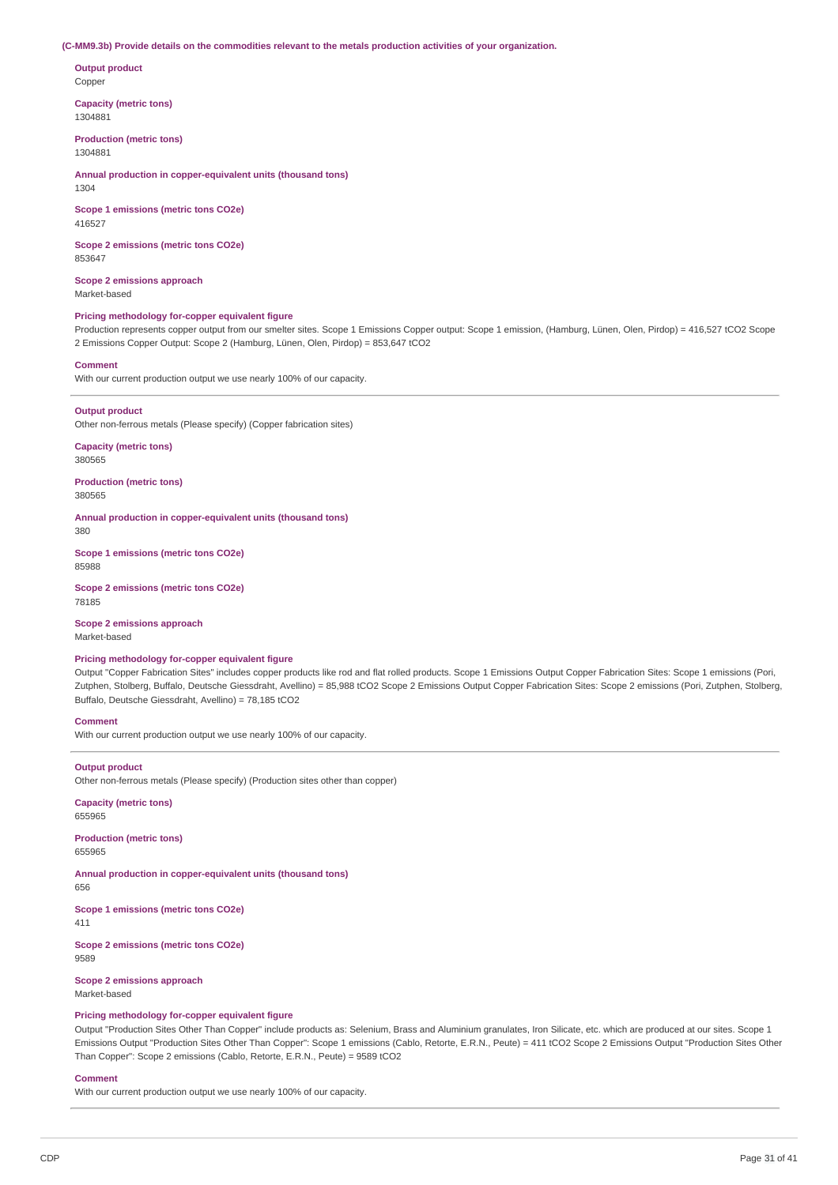#### **(C-MM9.3b) Provide details on the commodities relevant to the metals production activities of your organization.**

**Output product** Copper

**Capacity (metric tons)** 1304881

**Production (metric tons)** 1304881

**Annual production in copper-equivalent units (thousand tons)** 1304

**Scope 1 emissions (metric tons CO2e)** 416527

**Scope 2 emissions (metric tons CO2e)** 853647

**Scope 2 emissions approach** Market-based

#### **Pricing methodology for-copper equivalent figure**

Production represents copper output from our smelter sites. Scope 1 Emissions Copper output: Scope 1 emission, (Hamburg, Lünen, Olen, Pirdop) = 416,527 tCO2 Scope 2 Emissions Copper Output: Scope 2 (Hamburg, Lünen, Olen, Pirdop) = 853,647 tCO2

#### **Comment**

With our current production output we use nearly 100% of our capacity.

#### **Output product**

Other non-ferrous metals (Please specify) (Copper fabrication sites)

**Capacity (metric tons)** 380565

**Production (metric tons)** 380565

**Annual production in copper-equivalent units (thousand tons)** 380

**Scope 1 emissions (metric tons CO2e)** 85988

**Scope 2 emissions (metric tons CO2e)** 78185

**Scope 2 emissions approach** Market-based

## **Pricing methodology for-copper equivalent figure**

Output "Copper Fabrication Sites" includes copper products like rod and flat rolled products. Scope 1 Emissions Output Copper Fabrication Sites: Scope 1 emissions (Pori, Zutphen, Stolberg, Buffalo, Deutsche Giessdraht, Avellino) = 85,988 tCO2 Scope 2 Emissions Output Copper Fabrication Sites: Scope 2 emissions (Pori, Zutphen, Stolberg, Buffalo, Deutsche Giessdraht, Avellino) = 78,185 tCO2

## **Comment**

With our current production output we use nearly 100% of our capacity.

#### **Output product**

Other non-ferrous metals (Please specify) (Production sites other than copper)

**Capacity (metric tons)** 655965

**Production (metric tons)** 655965

**Annual production in copper-equivalent units (thousand tons)** 656

**Scope 1 emissions (metric tons CO2e)**

411

**Scope 2 emissions (metric tons CO2e)** 9589

**Scope 2 emissions approach** Market-based

#### **Pricing methodology for-copper equivalent figure**

Output "Production Sites Other Than Copper" include products as: Selenium, Brass and Aluminium granulates, Iron Silicate, etc. which are produced at our sites. Scope 1 Emissions Output "Production Sites Other Than Copper": Scope 1 emissions (Cablo, Retorte, E.R.N., Peute) = 411 tCO2 Scope 2 Emissions Output "Production Sites Other Than Copper": Scope 2 emissions (Cablo, Retorte, E.R.N., Peute) = 9589 tCO2

#### **Comment**

With our current production output we use nearly 100% of our capacity.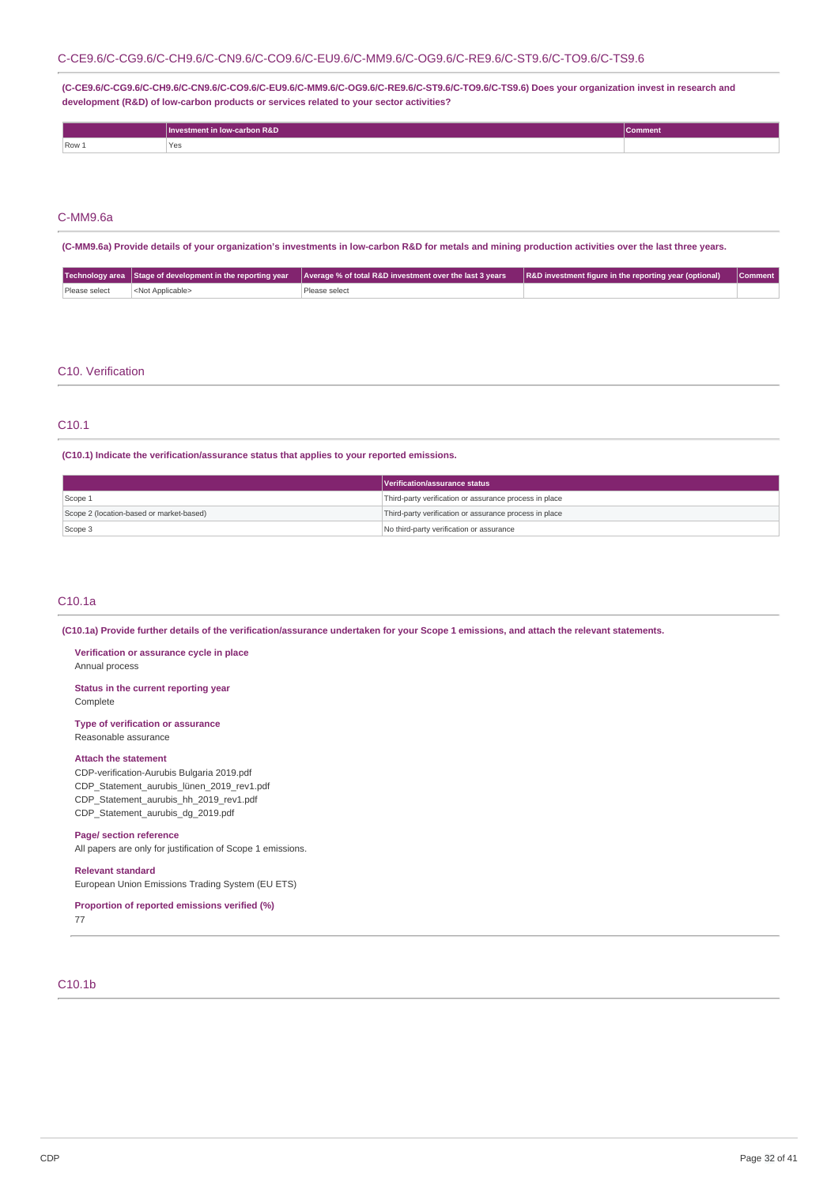# C-CE9.6/C-CG9.6/C-CH9.6/C-CN9.6/C-CO9.6/C-EU9.6/C-MM9.6/C-OG9.6/C-RE9.6/C-ST9.6/C-TO9.6/C-TS9.6

**(C-CE9.6/C-CG9.6/C-CH9.6/C-CN9.6/C-CO9.6/C-EU9.6/C-MM9.6/C-OG9.6/C-RE9.6/C-ST9.6/C-TO9.6/C-TS9.6) Does your organization invest in research and development (R&D) of low-carbon products or services related to your sector activities?**

|       | in low-carbon R&D .<br>nvestment ' | Comment |
|-------|------------------------------------|---------|
| Row 1 | Yes                                |         |

## C-MM9.6a

(C-MM9.6a) Provide details of your organization's investments in low-carbon R&D for metals and mining production activities over the last three years.

|               |                           | Technology area Stage of development in the reporting year Average % of total R&D investment over the last 3 years R&D investment figure in the reporting year (optional) Comment |  |
|---------------|---------------------------|-----------------------------------------------------------------------------------------------------------------------------------------------------------------------------------|--|
| Please select | <not applicable=""></not> | Please select                                                                                                                                                                     |  |

# C10. Verification

# C10.1

**(C10.1) Indicate the verification/assurance status that applies to your reported emissions.**

|                                          | Verification/assurance status                          |
|------------------------------------------|--------------------------------------------------------|
| Scope 1                                  | Third-party verification or assurance process in place |
| Scope 2 (location-based or market-based) | Third-party verification or assurance process in place |
| Scope 3                                  | No third-party verification or assurance               |

# C10.1a

(C10.1a) Provide further details of the verification/assurance undertaken for your Scope 1 emissions, and attach the relevant statements.

**Verification or assurance cycle in place** Annual process

**Status in the current reporting year** Complete

**Type of verification or assurance** Reasonable assurance

#### **Attach the statement**

CDP-verification-Aurubis Bulgaria 2019.pdf CDP\_Statement\_aurubis\_lünen\_2019\_rev1.pdf CDP\_Statement\_aurubis\_hh\_2019\_rev1.pdf CDP\_Statement\_aurubis\_dg\_2019.pdf

#### **Page/ section reference**

All papers are only for justification of Scope 1 emissions.

#### **Relevant standard**

European Union Emissions Trading System (EU ETS)

# **Proportion of reported emissions verified (%)**

77

# C10.1b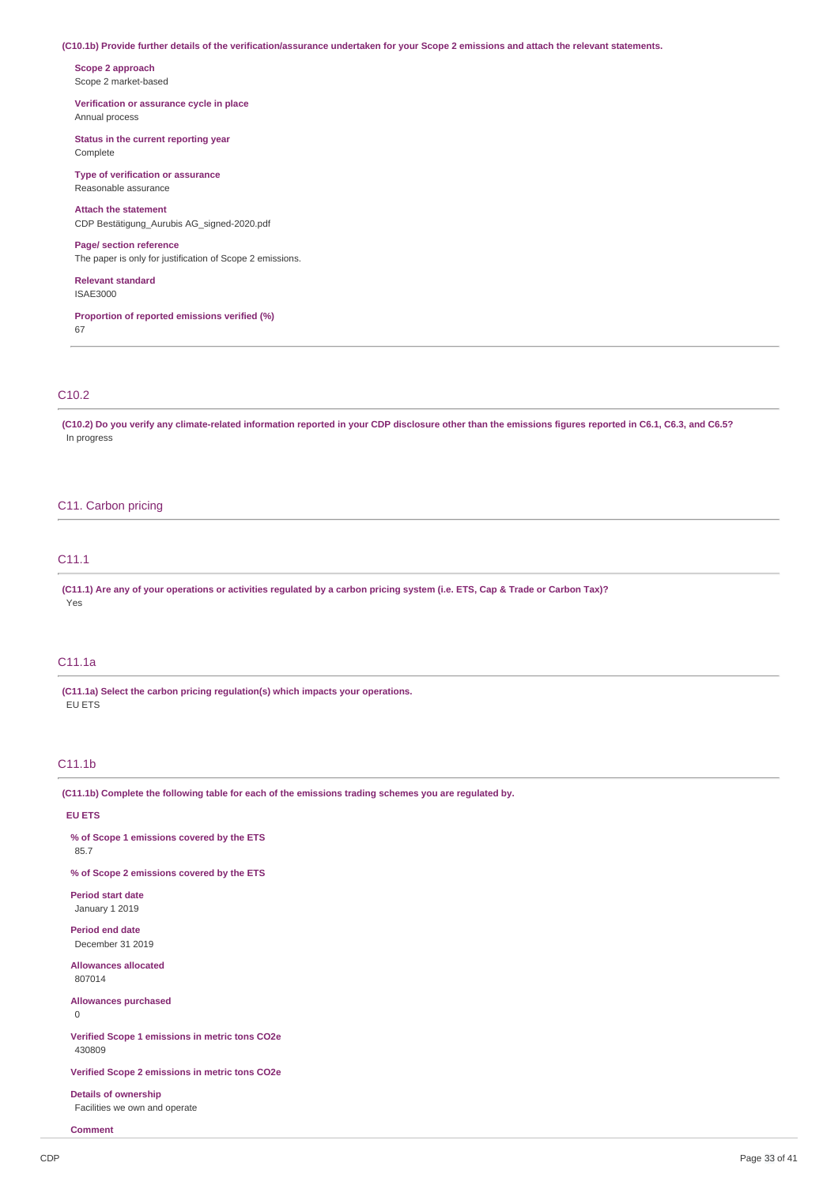#### (C10.1b) Provide further details of the verification/assurance undertaken for your Scope 2 emissions and attach the relevant statements.

**Scope 2 approach** Scope 2 market-based

#### **Verification or assurance cycle in place** Annual process

**Status in the current reporting year**

Complete

#### **Type of verification or assurance** Reasonable assurance

**Attach the statement** CDP Bestätigung\_Aurubis AG\_signed-2020.pdf

#### **Page/ section reference**

The paper is only for justification of Scope 2 emissions.

**Relevant standard** ISAE3000

## **Proportion of reported emissions verified (%)** 67

# C10.2

(C10.2) Do you verify any climate-related information reported in your CDP disclosure other than the emissions figures reported in C6.1, C6.3, and C6.5? In progress

# C11. Carbon pricing

# C11.1

(C11.1) Are any of your operations or activities regulated by a carbon pricing system (i.e. ETS, Cap & Trade or Carbon Tax)? Yes

# C11.1a

**(C11.1a) Select the carbon pricing regulation(s) which impacts your operations.** EU ETS

# C11.1b

**(C11.1b) Complete the following table for each of the emissions trading schemes you are regulated by.**

# **EU ETS**

**% of Scope 1 emissions covered by the ETS**

85.7

**% of Scope 2 emissions covered by the ETS**

**Period start date** January 1 2019

**Period end date** December 31 2019

**Allowances allocated** 807014

**Allowances purchased**

0

**Verified Scope 1 emissions in metric tons CO2e** 430809

**Verified Scope 2 emissions in metric tons CO2e**

**Details of ownership** Facilities we own and operate

**Comment**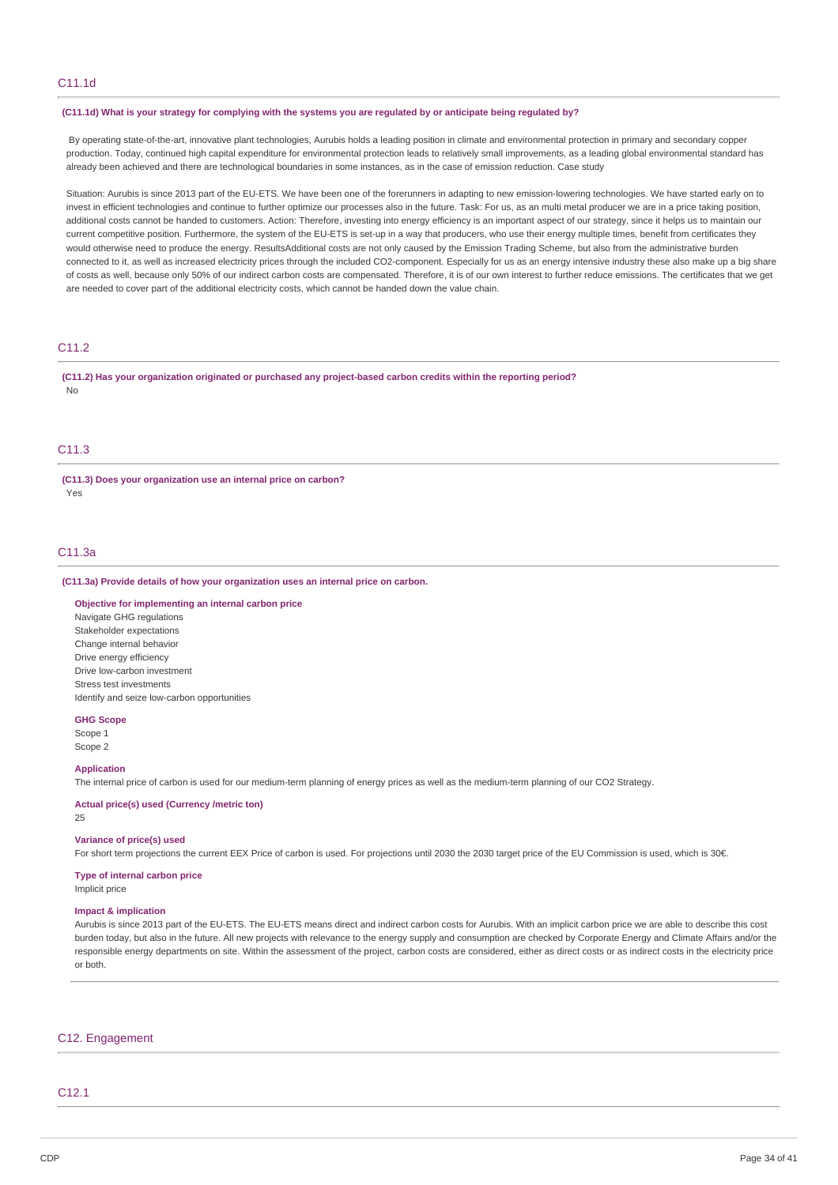#### (C11.1d) What is your strategy for complying with the systems you are regulated by or anticipate being regulated by?

By operating state-of-the-art, innovative plant technologies, Aurubis holds a leading position in climate and environmental protection in primary and secondary copper production. Today, continued high capital expenditure for environmental protection leads to relatively small improvements, as a leading global environmental standard has already been achieved and there are technological boundaries in some instances, as in the case of emission reduction. Case study

Situation: Aurubis is since 2013 part of the EU-ETS. We have been one of the forerunners in adapting to new emission-lowering technologies. We have started early on to invest in efficient technologies and continue to further optimize our processes also in the future. Task: For us, as an multi metal producer we are in a price taking position, additional costs cannot be handed to customers. Action: Therefore, investing into energy efficiency is an important aspect of our strategy, since it helps us to maintain our current competitive position. Furthermore, the system of the EU-ETS is set-up in a way that producers, who use their energy multiple times, benefit from certificates they would otherwise need to produce the energy. ResultsAdditional costs are not only caused by the Emission Trading Scheme, but also from the administrative burden connected to it, as well as increased electricity prices through the included CO2-component. Especially for us as an energy intensive industry these also make up a big share of costs as well, because only 50% of our indirect carbon costs are compensated. Therefore, it is of our own interest to further reduce emissions. The certificates that we get are needed to cover part of the additional electricity costs, which cannot be handed down the value chain.

# C11.2

**(C11.2) Has your organization originated or purchased any project-based carbon credits within the reporting period?** No

# C<sub>11</sub>.3

**(C11.3) Does your organization use an internal price on carbon?** Yes

# C11.3a

#### **(C11.3a) Provide details of how your organization uses an internal price on carbon.**

#### **Objective for implementing an internal carbon price**

Navigate GHG regulations Stakeholder expectations Change internal behavior Drive energy efficiency Drive low-carbon investment Stress test investments Identify and seize low-carbon opportunities

**GHG Scope** Scope 1 Scope 2

#### **Application**

The internal price of carbon is used for our medium-term planning of energy prices as well as the medium-term planning of our CO2 Strategy.

**Actual price(s) used (Currency /metric ton)** 25

#### **Variance of price(s) used**

For short term projections the current EEX Price of carbon is used. For projections until 2030 the 2030 target price of the EU Commission is used, which is 30€.

#### **Type of internal carbon price**

Implicit price

#### **Impact & implication**

Aurubis is since 2013 part of the EU-ETS. The EU-ETS means direct and indirect carbon costs for Aurubis. With an implicit carbon price we are able to describe this cost burden today, but also in the future. All new projects with relevance to the energy supply and consumption are checked by Corporate Energy and Climate Affairs and/or the responsible energy departments on site. Within the assessment of the project, carbon costs are considered, either as direct costs or as indirect costs in the electricity price or both.

# C12. Engagement

# $C12.1$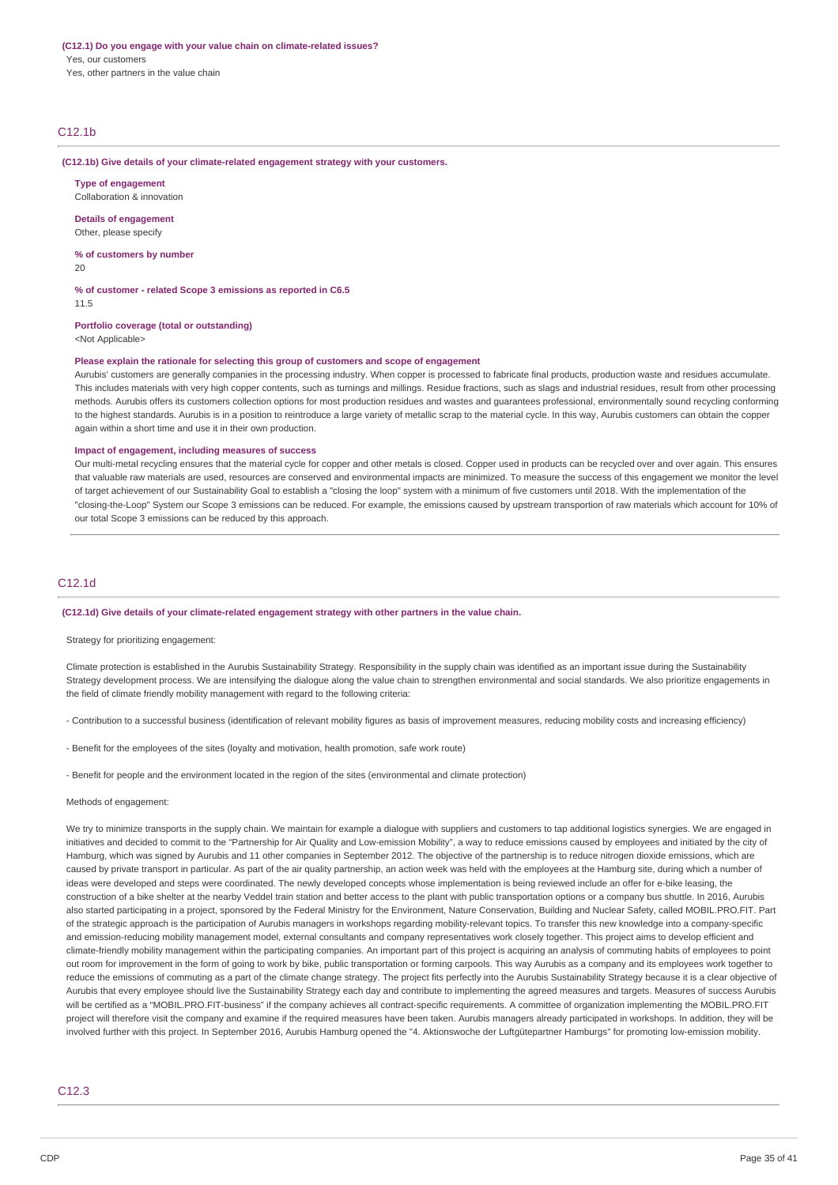# **(C12.1) Do you engage with your value chain on climate-related issues?** Yes, our customers

Yes, other partners in the value chain

# C12.1b

#### **(C12.1b) Give details of your climate-related engagement strategy with your customers.**

**Type of engagement** Collaboration & innovation

**Details of engagement**

Other, please specify

**% of customers by number** 20

**% of customer - related Scope 3 emissions as reported in C6.5**

11.5

**Portfolio coverage (total or outstanding)**

<Not Applicable>

## **Please explain the rationale for selecting this group of customers and scope of engagement**

Aurubis' customers are generally companies in the processing industry. When copper is processed to fabricate final products, production waste and residues accumulate. This includes materials with very high copper contents, such as turnings and millings. Residue fractions, such as slags and industrial residues, result from other processing methods. Aurubis offers its customers collection options for most production residues and wastes and guarantees professional, environmentally sound recycling conforming to the highest standards. Aurubis is in a position to reintroduce a large variety of metallic scrap to the material cycle. In this way, Aurubis customers can obtain the copper again within a short time and use it in their own production.

#### **Impact of engagement, including measures of success**

Our multi-metal recycling ensures that the material cycle for copper and other metals is closed. Copper used in products can be recycled over and over again. This ensures that valuable raw materials are used, resources are conserved and environmental impacts are minimized. To measure the success of this engagement we monitor the level of target achievement of our Sustainability Goal to establish a "closing the loop" system with a minimum of five customers until 2018. With the implementation of the "closing-the-Loop" System our Scope 3 emissions can be reduced. For example, the emissions caused by upstream transportion of raw materials which account for 10% of our total Scope 3 emissions can be reduced by this approach.

## C12.1d

#### **(C12.1d) Give details of your climate-related engagement strategy with other partners in the value chain.**

#### Strategy for prioritizing engagement:

Climate protection is established in the Aurubis Sustainability Strategy. Responsibility in the supply chain was identified as an important issue during the Sustainability Strategy development process. We are intensifying the dialogue along the value chain to strengthen environmental and social standards. We also prioritize engagements in the field of climate friendly mobility management with regard to the following criteria:

- Contribution to a successful business (identification of relevant mobility figures as basis of improvement measures, reducing mobility costs and increasing efficiency)

- Benefit for the employees of the sites (loyalty and motivation, health promotion, safe work route)

- Benefit for people and the environment located in the region of the sites (environmental and climate protection)

#### Methods of engagement:

We try to minimize transports in the supply chain. We maintain for example a dialogue with suppliers and customers to tap additional logistics synergies. We are engaged in initiatives and decided to commit to the "Partnership for Air Quality and Low-emission Mobility", a way to reduce emissions caused by employees and initiated by the city of Hamburg, which was signed by Aurubis and 11 other companies in September 2012. The objective of the partnership is to reduce nitrogen dioxide emissions, which are caused by private transport in particular. As part of the air quality partnership, an action week was held with the employees at the Hamburg site, during which a number of ideas were developed and steps were coordinated. The newly developed concepts whose implementation is being reviewed include an offer for e-bike leasing, the construction of a bike shelter at the nearby Veddel train station and better access to the plant with public transportation options or a company bus shuttle. In 2016, Aurubis also started participating in a project, sponsored by the Federal Ministry for the Environment, Nature Conservation, Building and Nuclear Safety, called MOBIL.PRO.FIT. Part of the strategic approach is the participation of Aurubis managers in workshops regarding mobility-relevant topics. To transfer this new knowledge into a company-specific and emission-reducing mobility management model, external consultants and company representatives work closely together. This project aims to develop efficient and climate-friendly mobility management within the participating companies. An important part of this project is acquiring an analysis of commuting habits of employees to point out room for improvement in the form of going to work by bike, public transportation or forming carpools. This way Aurubis as a company and its employees work together to reduce the emissions of commuting as a part of the climate change strategy. The project fits perfectly into the Aurubis Sustainability Strategy because it is a clear objective of Aurubis that every employee should live the Sustainability Strategy each day and contribute to implementing the agreed measures and targets. Measures of success Aurubis will be certified as a "MOBIL.PRO.FIT-business" if the company achieves all contract-specific requirements. A committee of organization implementing the MOBIL.PRO.FIT project will therefore visit the company and examine if the required measures have been taken. Aurubis managers already participated in workshops. In addition, they will be involved further with this project. In September 2016, Aurubis Hamburg opened the "4. Aktionswoche der Luftgütepartner Hamburgs" for promoting low-emission mobility.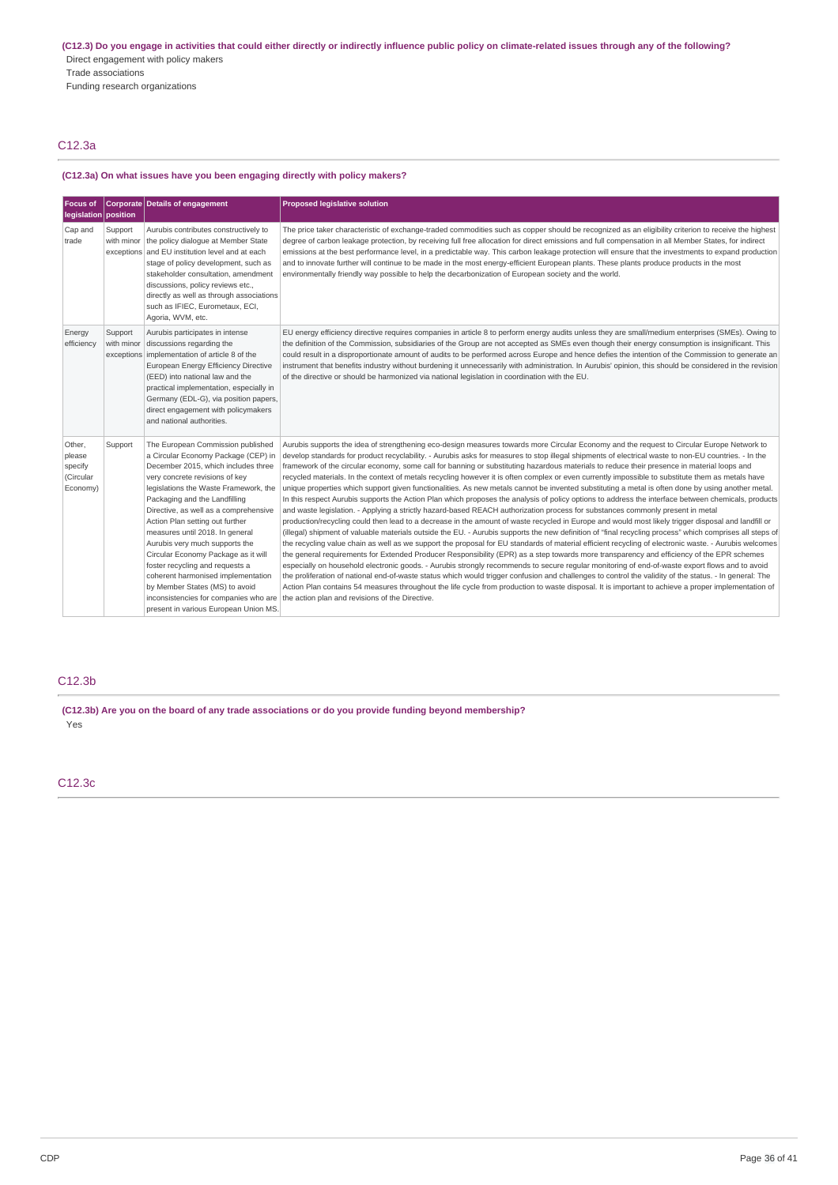(C12.3) Do you engage in activities that could either directly or indirectly influence public policy on climate-related issues through any of the following? Direct engagement with policy makers Trade associations Funding research organizations

# C12.3a

# **(C12.3a) On what issues have you been engaging directly with policy makers?**

| <b>Focus of</b><br>legislation position              |                                     | Corporate Details of engagement                                                                                                                                                                                                                                                                                                                                                                                                                                                                                                                                         | <b>Proposed legislative solution</b>                                                                                                                                                                                                                                                                                                                                                                                                                                                                                                                                                                                                                                                                                                                                                                                                                                                                                                                                                                                                                                                                                                                                                                                                                                                                                                                                                                                                                                                                                                                                                                                                                                                                                                                                                                                                                                                                                                                                                                                                                                                                                                                                                                                                        |
|------------------------------------------------------|-------------------------------------|-------------------------------------------------------------------------------------------------------------------------------------------------------------------------------------------------------------------------------------------------------------------------------------------------------------------------------------------------------------------------------------------------------------------------------------------------------------------------------------------------------------------------------------------------------------------------|---------------------------------------------------------------------------------------------------------------------------------------------------------------------------------------------------------------------------------------------------------------------------------------------------------------------------------------------------------------------------------------------------------------------------------------------------------------------------------------------------------------------------------------------------------------------------------------------------------------------------------------------------------------------------------------------------------------------------------------------------------------------------------------------------------------------------------------------------------------------------------------------------------------------------------------------------------------------------------------------------------------------------------------------------------------------------------------------------------------------------------------------------------------------------------------------------------------------------------------------------------------------------------------------------------------------------------------------------------------------------------------------------------------------------------------------------------------------------------------------------------------------------------------------------------------------------------------------------------------------------------------------------------------------------------------------------------------------------------------------------------------------------------------------------------------------------------------------------------------------------------------------------------------------------------------------------------------------------------------------------------------------------------------------------------------------------------------------------------------------------------------------------------------------------------------------------------------------------------------------|
| Cap and<br>trade                                     | Support<br>with minor               | Aurubis contributes constructively to<br>the policy dialogue at Member State<br>exceptions and EU institution level and at each<br>stage of policy development, such as<br>stakeholder consultation, amendment<br>discussions, policy reviews etc.,<br>directly as well as through associations<br>such as IFIEC, Eurometaux, ECI,<br>Agoria, WVM, etc.                                                                                                                                                                                                                 | The price taker characteristic of exchange-traded commodities such as copper should be recognized as an eligibility criterion to receive the highest<br>degree of carbon leakage protection, by receiving full free allocation for direct emissions and full compensation in all Member States, for indirect<br>emissions at the best performance level, in a predictable way. This carbon leakage protection will ensure that the investments to expand production<br>and to innovate further will continue to be made in the most energy-efficient European plants. These plants produce products in the most<br>environmentally friendly way possible to help the decarbonization of European society and the world.                                                                                                                                                                                                                                                                                                                                                                                                                                                                                                                                                                                                                                                                                                                                                                                                                                                                                                                                                                                                                                                                                                                                                                                                                                                                                                                                                                                                                                                                                                                     |
| Energy<br>efficiency                                 | Support<br>with minor<br>exceptions | Aurubis participates in intense<br>discussions regarding the<br>implementation of article 8 of the<br>European Energy Efficiency Directive<br>(EED) into national law and the<br>practical implementation, especially in<br>Germany (EDL-G), via position papers,<br>direct engagement with policymakers<br>and national authorities.                                                                                                                                                                                                                                   | EU energy efficiency directive requires companies in article 8 to perform energy audits unless they are small/medium enterprises (SMEs). Owing to<br>the definition of the Commission, subsidiaries of the Group are not accepted as SMEs even though their energy consumption is insignificant. This<br>could result in a disproportionate amount of audits to be performed across Europe and hence defies the intention of the Commission to generate an<br>instrument that benefits industry without burdening it unnecessarily with administration. In Aurubis' opinion, this should be considered in the revision<br>of the directive or should be harmonized via national legislation in coordination with the EU.                                                                                                                                                                                                                                                                                                                                                                                                                                                                                                                                                                                                                                                                                                                                                                                                                                                                                                                                                                                                                                                                                                                                                                                                                                                                                                                                                                                                                                                                                                                    |
| Other,<br>please<br>specify<br>(Circular<br>Economy) | Support                             | The European Commission published<br>a Circular Economy Package (CEP) in<br>December 2015, which includes three<br>very concrete revisions of key<br>legislations the Waste Framework, the<br>Packaging and the Landfilling<br>Directive, as well as a comprehensive<br>Action Plan setting out further<br>measures until 2018. In general<br>Aurubis very much supports the<br>Circular Economy Package as it will<br>foster recycling and requests a<br>coherent harmonised implementation<br>by Member States (MS) to avoid<br>present in various European Union MS. | Aurubis supports the idea of strengthening eco-design measures towards more Circular Economy and the request to Circular Europe Network to<br>develop standards for product recyclability. - Aurubis asks for measures to stop illegal shipments of electrical waste to non-EU countries. - In the<br>framework of the circular economy, some call for banning or substituting hazardous materials to reduce their presence in material loops and<br>recycled materials. In the context of metals recycling however it is often complex or even currently impossible to substitute them as metals have<br>unique properties which support given functionalities. As new metals cannot be invented substituting a metal is often done by using another metal.<br>In this respect Aurubis supports the Action Plan which proposes the analysis of policy options to address the interface between chemicals, products<br>and waste legislation. - Applying a strictly hazard-based REACH authorization process for substances commonly present in metal<br>production/recycling could then lead to a decrease in the amount of waste recycled in Europe and would most likely trigger disposal and landfill or<br>(illegal) shipment of valuable materials outside the EU. - Aurubis supports the new definition of "final recycling process" which comprises all steps of<br>the recycling value chain as well as we support the proposal for EU standards of material efficient recycling of electronic waste. - Aurubis welcomes<br>the general requirements for Extended Producer Responsibility (EPR) as a step towards more transparency and efficiency of the EPR schemes<br>especially on household electronic goods. - Aurubis strongly recommends to secure regular monitoring of end-of-waste export flows and to avoid<br>the proliferation of national end-of-waste status which would trigger confusion and challenges to control the validity of the status. - In general: The<br>Action Plan contains 54 measures throughout the life cycle from production to waste disposal. It is important to achieve a proper implementation of<br>inconsistencies for companies who are the action plan and revisions of the Directive. |

# C12.3b

**(C12.3b) Are you on the board of any trade associations or do you provide funding beyond membership?** Yes

C12.3c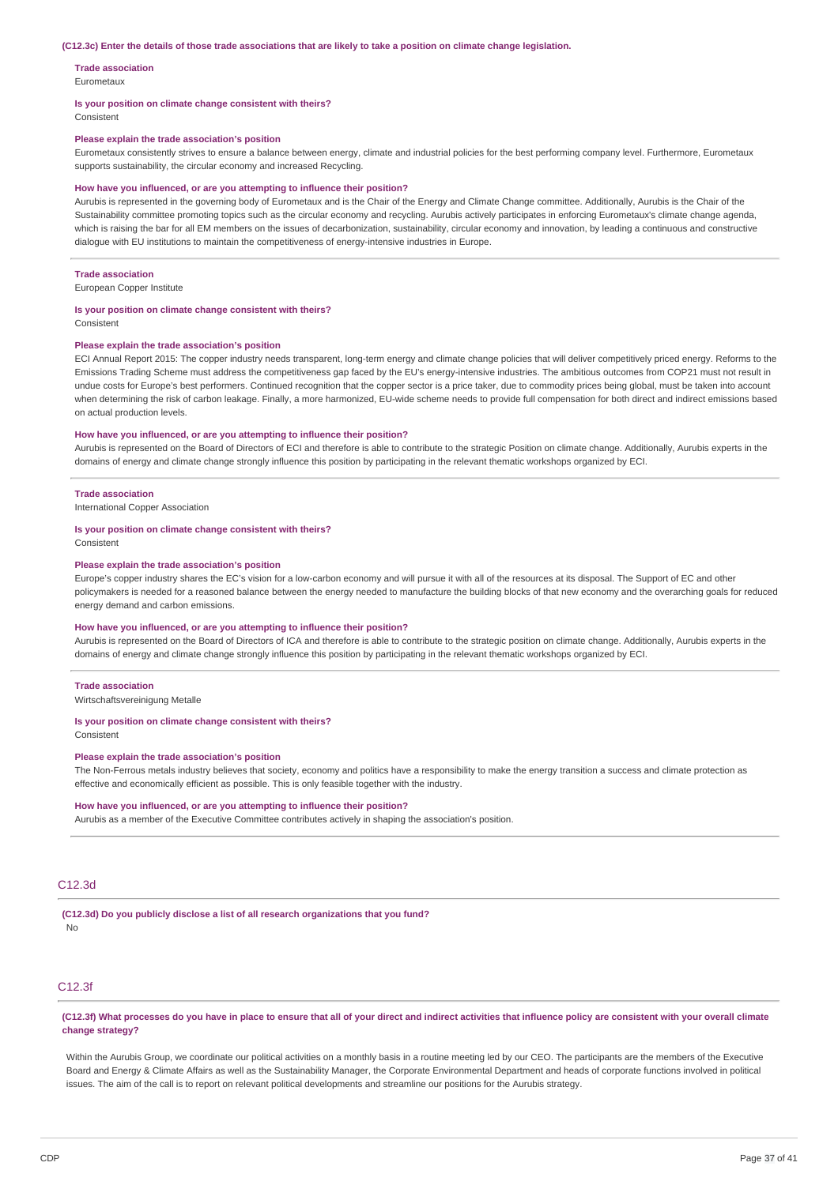#### (C12.3c) Enter the details of those trade associations that are likely to take a position on climate change legislation.

**Trade association** Eurometaux

#### **Is your position on climate change consistent with theirs?**

Consistent

#### **Please explain the trade association's position**

Eurometaux consistently strives to ensure a balance between energy, climate and industrial policies for the best performing company level. Furthermore, Eurometaux supports sustainability, the circular economy and increased Recycling.

#### **How have you influenced, or are you attempting to influence their position?**

Aurubis is represented in the governing body of Eurometaux and is the Chair of the Energy and Climate Change committee. Additionally, Aurubis is the Chair of the Sustainability committee promoting topics such as the circular economy and recycling. Aurubis actively participates in enforcing Eurometaux's climate change agenda, which is raising the bar for all EM members on the issues of decarbonization, sustainability, circular economy and innovation, by leading a continuous and constructive dialogue with EU institutions to maintain the competitiveness of energy-intensive industries in Europe.

#### **Trade association**

European Copper Institute

#### **Is your position on climate change consistent with theirs?**

Consistent

## **Please explain the trade association's position**

ECI Annual Report 2015: The copper industry needs transparent, long-term energy and climate change policies that will deliver competitively priced energy. Reforms to the Emissions Trading Scheme must address the competitiveness gap faced by the EU's energy-intensive industries. The ambitious outcomes from COP21 must not result in undue costs for Europe's best performers. Continued recognition that the copper sector is a price taker, due to commodity prices being global, must be taken into account when determining the risk of carbon leakage. Finally, a more harmonized, EU-wide scheme needs to provide full compensation for both direct and indirect emissions based on actual production levels.

#### **How have you influenced, or are you attempting to influence their position?**

Aurubis is represented on the Board of Directors of ECI and therefore is able to contribute to the strategic Position on climate change. Additionally, Aurubis experts in the domains of energy and climate change strongly influence this position by participating in the relevant thematic workshops organized by ECI.

#### **Trade association**

International Copper Association

#### **Is your position on climate change consistent with theirs?**

Consistent

#### **Please explain the trade association's position**

Europe's copper industry shares the EC's vision for a low-carbon economy and will pursue it with all of the resources at its disposal. The Support of EC and other policymakers is needed for a reasoned balance between the energy needed to manufacture the building blocks of that new economy and the overarching goals for reduced energy demand and carbon emissions.

#### **How have you influenced, or are you attempting to influence their position?**

Aurubis is represented on the Board of Directors of ICA and therefore is able to contribute to the strategic position on climate change. Additionally, Aurubis experts in the domains of energy and climate change strongly influence this position by participating in the relevant thematic workshops organized by ECI.

#### **Trade association**

Wirtschaftsvereinigung Metalle

#### **Is your position on climate change consistent with theirs?**

Consistent

#### **Please explain the trade association's position**

The Non-Ferrous metals industry believes that society, economy and politics have a responsibility to make the energy transition a success and climate protection as effective and economically efficient as possible. This is only feasible together with the industry.

## **How have you influenced, or are you attempting to influence their position?**

Aurubis as a member of the Executive Committee contributes actively in shaping the association's position.

# C12.3d

**(C12.3d) Do you publicly disclose a list of all research organizations that you fund?** No

# C12.3f

(C12.3f) What processes do you have in place to ensure that all of your direct and indirect activities that influence policy are consistent with your overall climate **change strategy?**

Within the Aurubis Group, we coordinate our political activities on a monthly basis in a routine meeting led by our CEO. The participants are the members of the Executive Board and Energy & Climate Affairs as well as the Sustainability Manager, the Corporate Environmental Department and heads of corporate functions involved in political issues. The aim of the call is to report on relevant political developments and streamline our positions for the Aurubis strategy.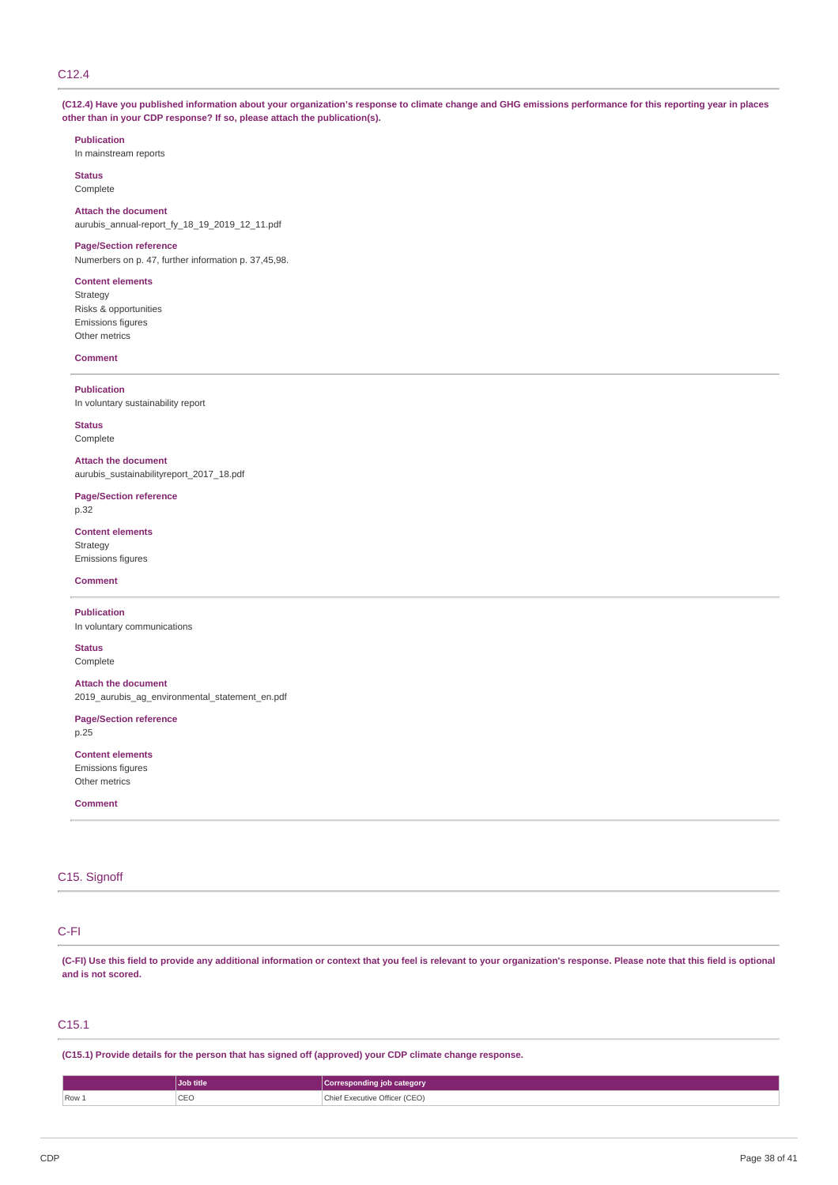# C12.4

(C12.4) Have you published information about your organization's response to climate change and GHG emissions performance for this reporting year in places **other than in your CDP response? If so, please attach the publication(s).**

# **Publication**

In mainstream reports

**Status** Complete

# **Attach the document**

aurubis\_annual-report\_fy\_18\_19\_2019\_12\_11.pdf

# **Page/Section reference**

Numerbers on p. 47, further information p. 37,45,98.

## **Content elements**

Strategy Risks & opportunities Emissions figures Other metrics

#### **Comment**

**Publication** In voluntary sustainability report

## **Status** Complete

**Attach the document** aurubis\_sustainabilityreport\_2017\_18.pdf

#### **Page/Section reference** p.32

**Content elements** Strategy Emissions figures

# **Comment**

**Publication** In voluntary communications

#### **Status** Complete

**Attach the document**

2019\_aurubis\_ag\_environmental\_statement\_en.pdf

# **Page/Section reference**

p.25

# **Content elements**

Emissions figures Other metrics

#### **Comment**

# C<sub>15</sub>. Signoff

# C-FI

(C-FI) Use this field to provide any additional information or context that you feel is relevant to your organization's response. Please note that this field is optional **and is not scored.**

# C15.1

**(C15.1) Provide details for the person that has signed off (approved) your CDP climate change response.**

|       | Job title | √Corresponding job category   |
|-------|-----------|-------------------------------|
| Row 1 | CEO       | Chief Executive Officer (CEO) |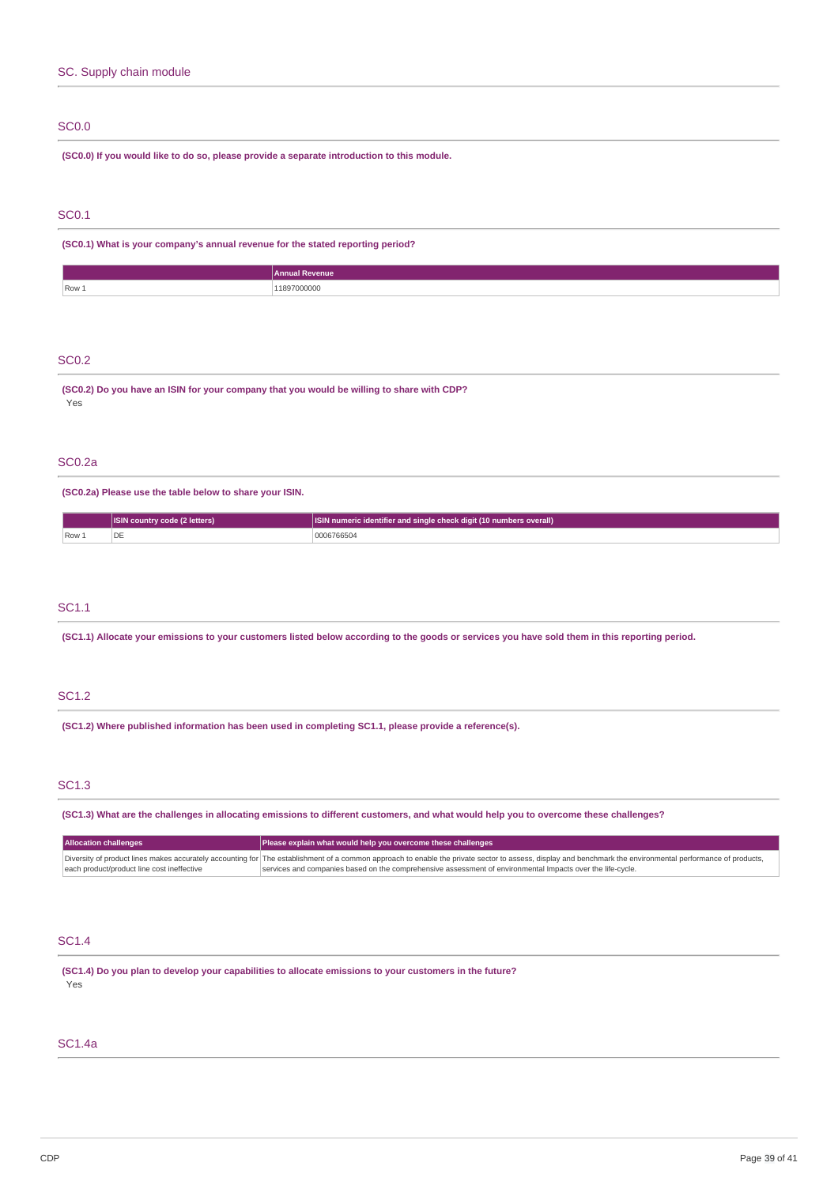# SC0.0

**(SC0.0) If you would like to do so, please provide a separate introduction to this module.**

# SC0.1

**(SC0.1) What is your company's annual revenue for the stated reporting period?**

| Row 1 | . 2070001<br>. |
|-------|----------------|

## SC0.2

**(SC0.2) Do you have an ISIN for your company that you would be willing to share with CDP?** Yes

## SC0.2a

**(SC0.2a) Please use the table below to share your ISIN.**

|                         | <b>ISIN country code (2 letters)</b> | ISIN numeric identifier and single check digit (10 numbers overall) |
|-------------------------|--------------------------------------|---------------------------------------------------------------------|
| $\sqrt{$ Row $\sqrt{2}$ | 'DE                                  | 0006766504                                                          |

# SC1.1

(SC1.1) Allocate your emissions to your customers listed below according to the goods or services you have sold them in this reporting period.

# SC1.2

**(SC1.2) Where published information has been used in completing SC1.1, please provide a reference(s).**

# SC1.3

(SC1.3) What are the challenges in allocating emissions to different customers, and what would help you to overcome these challenges?

| <b>Allocation challenges</b>               | Please explain what would help you overcome these challenges                                                                                                                                               |
|--------------------------------------------|------------------------------------------------------------------------------------------------------------------------------------------------------------------------------------------------------------|
|                                            | Diversity of product lines makes accurately accounting for The establishment of a common approach to enable the private sector to assess, display and benchmark the environmental performance of products, |
| each product/product line cost ineffective | services and companies based on the comprehensive assessment of environmental Impacts over the life-cycle.                                                                                                 |

# SC1.4

**(SC1.4) Do you plan to develop your capabilities to allocate emissions to your customers in the future?** Yes

# SC1.4a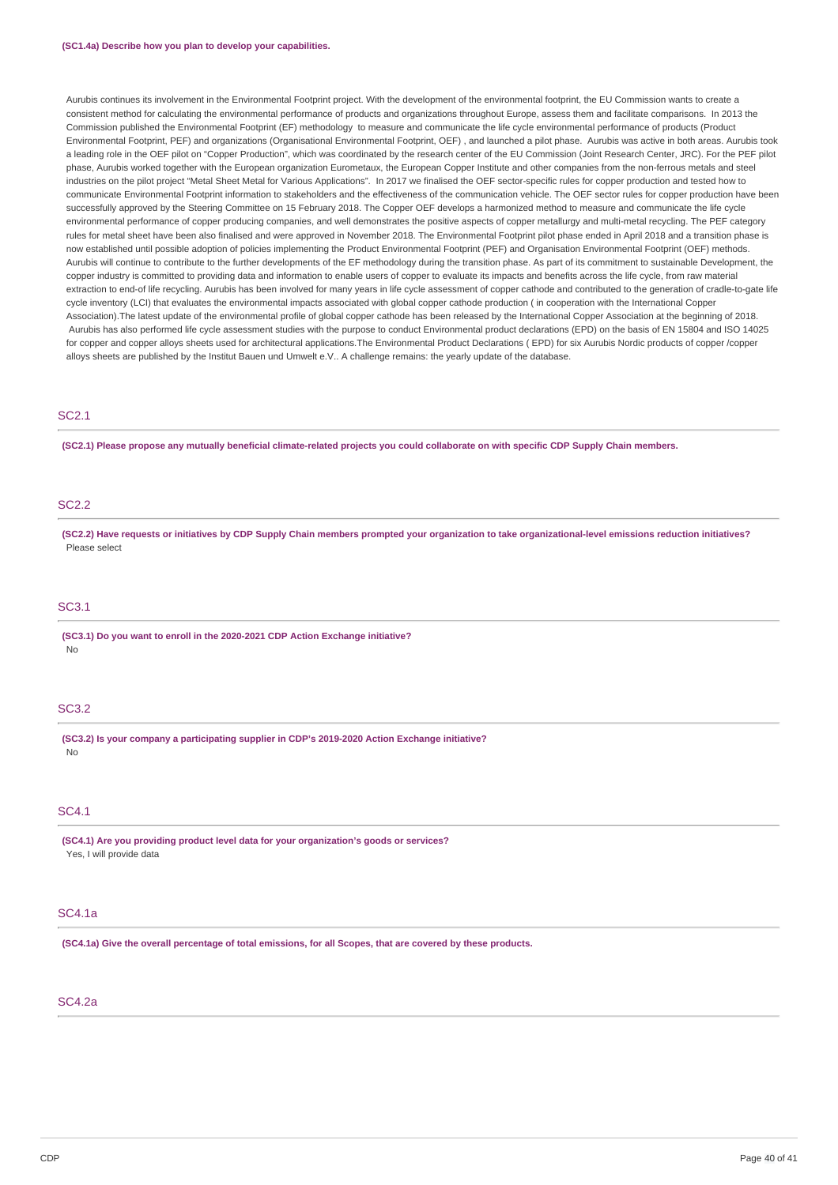Aurubis continues its involvement in the Environmental Footprint project. With the development of the environmental footprint, the EU Commission wants to create a consistent method for calculating the environmental performance of products and organizations throughout Europe, assess them and facilitate comparisons. In 2013 the Commission published the Environmental Footprint (EF) methodology to measure and communicate the life cycle environmental performance of products (Product Environmental Footprint, PEF) and organizations (Organisational Environmental Footprint, OEF) , and launched a pilot phase. Aurubis was active in both areas. Aurubis took a leading role in the OEF pilot on "Copper Production", which was coordinated by the research center of the EU Commission (Joint Research Center, JRC). For the PEF pilot phase, Aurubis worked together with the European organization Eurometaux, the European Copper Institute and other companies from the non-ferrous metals and steel industries on the pilot project "Metal Sheet Metal for Various Applications". In 2017 we finalised the OEF sector-specific rules for copper production and tested how to communicate Environmental Footprint information to stakeholders and the effectiveness of the communication vehicle. The OEF sector rules for copper production have been successfully approved by the Steering Committee on 15 February 2018. The Copper OEF develops a harmonized method to measure and communicate the life cycle environmental performance of copper producing companies, and well demonstrates the positive aspects of copper metallurgy and multi-metal recycling. The PEF category rules for metal sheet have been also finalised and were approved in November 2018. The Environmental Footprint pilot phase ended in April 2018 and a transition phase is now established until possible adoption of policies implementing the Product Environmental Footprint (PEF) and Organisation Environmental Footprint (OEF) methods. Aurubis will continue to contribute to the further developments of the EF methodology during the transition phase. As part of its commitment to sustainable Development, the copper industry is committed to providing data and information to enable users of copper to evaluate its impacts and benefits across the life cycle, from raw material extraction to end-of life recycling. Aurubis has been involved for many years in life cycle assessment of copper cathode and contributed to the generation of cradle-to-gate life cycle inventory (LCI) that evaluates the environmental impacts associated with global copper cathode production ( in cooperation with the International Copper Association).The latest update of the environmental profile of global copper cathode has been released by the International Copper Association at the beginning of 2018. Aurubis has also performed life cycle assessment studies with the purpose to conduct Environmental product declarations (EPD) on the basis of EN 15804 and ISO 14025 for copper and copper alloys sheets used for architectural applications.The Environmental Product Declarations ( EPD) for six Aurubis Nordic products of copper /copper alloys sheets are published by the Institut Bauen und Umwelt e.V. A challenge remains: the yearly update of the database.

# SC2.1

(SC2.1) Please propose any mutually beneficial climate-related projects you could collaborate on with specific CDP Supply Chain members.

# SC2.2

(SC2.2) Have requests or initiatives by CDP Supply Chain members prompted your organization to take organizational-level emissions reduction initiatives? Please select

# SC3.1

**(SC3.1) Do you want to enroll in the 2020-2021 CDP Action Exchange initiative?** No

# SC3.2

**(SC3.2) Is your company a participating supplier in CDP's 2019-2020 Action Exchange initiative?** No

# SC4.1

**(SC4.1) Are you providing product level data for your organization's goods or services?** Yes, I will provide data

## SC4.1a

(SC4.1a) Give the overall percentage of total emissions, for all Scopes, that are covered by these products.

# SC4.2a